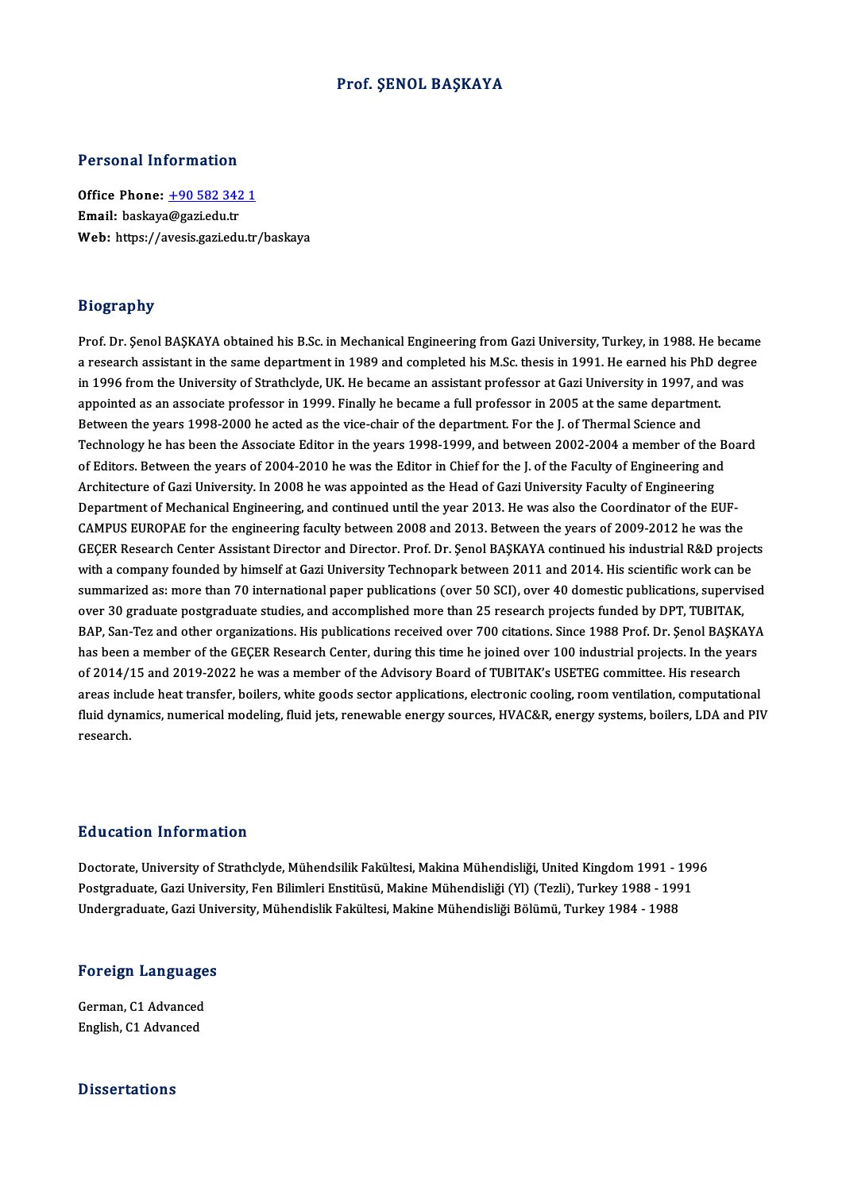#### Prof. ŞENOL BAŞKAYA

#### Personal Information

Personal Information<br>Office Phone: <u>+90 582 342 1</u><br>Email: backaye@seriedy.tr Procedure Hitch Hitchch<br>Office Phone: <u>+90 582 342</u><br>Email: baskaya[@gazi.edu.tr](tel:+90 582 342 1) Email: baskaya@gazi.edu.tr<br>Web: https://avesis.gazi.edu.tr/baskaya

#### Biography

Prof. Dr. Şenol BAŞKAYA obtained his B.Sc. in Mechanical Engineering from Gazi University, Turkey, in 1988. He became a regimpary<br>Prof. Dr. Şenol BAŞKAYA obtained his B.Sc. in Mechanical Engineering from Gazi University, Turkey, in 1988. He became<br>a research assistant in the same department in 1989 and completed his M.Sc. thesis in 1991. Prof. Dr. Şenol BAŞKAYA obtained his B.Sc. in Mechanical Engineering from Gazi University, Turkey, in 1988. He becam<br>a research assistant in the same department in 1989 and completed his M.Sc. thesis in 1991. He earned his a research assistant in the same department in 1989 and completed his M.Sc. thesis in 1991. He earned his PhD d<br>in 1996 from the University of Strathclyde, UK. He became an assistant professor at Gazi University in 1997, a in 1996 from the University of Strathclyde, UK. He became an assistant professor at Gazi University in 1997, and was<br>appointed as an associate professor in 1999. Finally he became a full professor in 2005 at the same depar appointed as an associate professor in 1999. Finally he became a full professor in 2005 at the same department.<br>Between the years 1998-2000 he acted as the vice-chair of the department. For the J. of Thermal Science and<br>Te Between the years 1998-2000 he acted as the vice-chair of the department. For the J. of Thermal Science and<br>Technology he has been the Associate Editor in the years 1998-1999, and between 2002-2004 a member of the B<br>of Edi Technology he has been the Associate Editor in the years 1998-1999, and between 2002-2004 a member of the<br>of Editors. Between the years of 2004-2010 he was the Editor in Chief for the J. of the Faculty of Engineering<br>Archi of Editors. Between the years of 2004-2010 he was the Editor in Chief for the J. of the Faculty of Engineering and<br>Architecture of Gazi University. In 2008 he was appointed as the Head of Gazi University Faculty of Enginee Architecture of Gazi University. In 2008 he was appointed as the Head of Gazi University Faculty of Engineering<br>Department of Mechanical Engineering, and continued until the year 2013. He was also the Coordinator of the EU Department of Mechanical Engineering, and continued until the year 2013. He was also the Coordinator of the EUF-<br>CAMPUS EUROPAE for the engineering faculty between 2008 and 2013. Between the years of 2009-2012 he was the<br>G CAMPUS EUROPAE for the engineering faculty between 2008 and 2013. Between the years of 2009-2012 he was the<br>GEÇER Research Center Assistant Director and Director. Prof. Dr. Şenol BAŞKAYA continued his industrial R&D projec GEÇER Research Center Assistant Director and Director. Prof. Dr. Şenol BAŞKAYA continued his industrial R&D projects<br>with a company founded by himself at Gazi University Technopark between 2011 and 2014. His scientific wor with a company founded by himself at Gazi University Technopark between 2011 and 2014. His scientific work can b<br>summarized as: more than 70 international paper publications (over 50 SCI), over 40 domestic publications, su summarized as: more than 70 international paper publications (over 50 SCI), over 40 domestic publications, supervised<br>over 30 graduate postgraduate studies, and accomplished more than 25 research projects funded by DPT, TU over 30 graduate postgraduate studies, and accomplished more than 25 research projects funded by DPT, TUBITAK,<br>BAP, San-Tez and other organizations. His publications received over 700 citations. Since 1988 Prof. Dr. Şenol BAP, San-Tez and other organizations. His publications received over 700 citations. Since 1988 Prof. Dr. Şenol BAŞKA<br>has been a member of the GEÇER Research Center, during this time he joined over 100 industrial projects. has been a member of the GEÇER Research Center, during this time he joined over 100 industrial projects. In the years<br>of 2014/15 and 2019-2022 he was a member of the Advisory Board of TUBITAK's USETEG committee. His resear of 2014/15 and 2019-2022 he was a member of the Advisory Board of TUBITAK's USETEG committee. His research<br>areas include heat transfer, boilers, white goods sector applications, electronic cooling, room ventilation, comput areas include heat transfer, boilers, white goods sector applications, electronic cooling, room ventilation, computational<br>fluid dynamics, numerical modeling, fluid jets, renewable energy sources, HVAC&R, energy systems, b

#### Education Information

<mark>Education Information</mark><br>Doctorate, University of Strathclyde, Mühendsilik Fakültesi, Makina Mühendisliği, United Kingdom 1991 - 1996<br>Postanaduata Cari University Fen Bilimleri Enstitüsü Makina Mühendisliği (V) (Tarli), Tur Pu u cu tron "Mirot mucron"<br>Doctorate, University of Strathclyde, Mühendsilik Fakültesi, Makina Mühendisliği, United Kingdom 1991 - 199<br>Undergraduate, Gazi University, Fen Bilimleri Enstitüsü, Makine Mühendisliği (Yl) (Tez Doctorate, University of Strathclyde, Mühendsilik Fakültesi, Makina Mühendisliği, United Kingdom 1991 - 1<br>Postgraduate, Gazi University, Fen Bilimleri Enstitüsü, Makine Mühendisliği (Yl) (Tezli), Turkey 1988 - 199<br>Undergra

# <sub>ondergraduate, Gazi oni<br>Foreign Languages</sub>

Foreign Language<br>German, C1 Advanced<br>English C1 Advanced German, C1 Advanced<br>English, C1 Advanced

#### **Dissertations**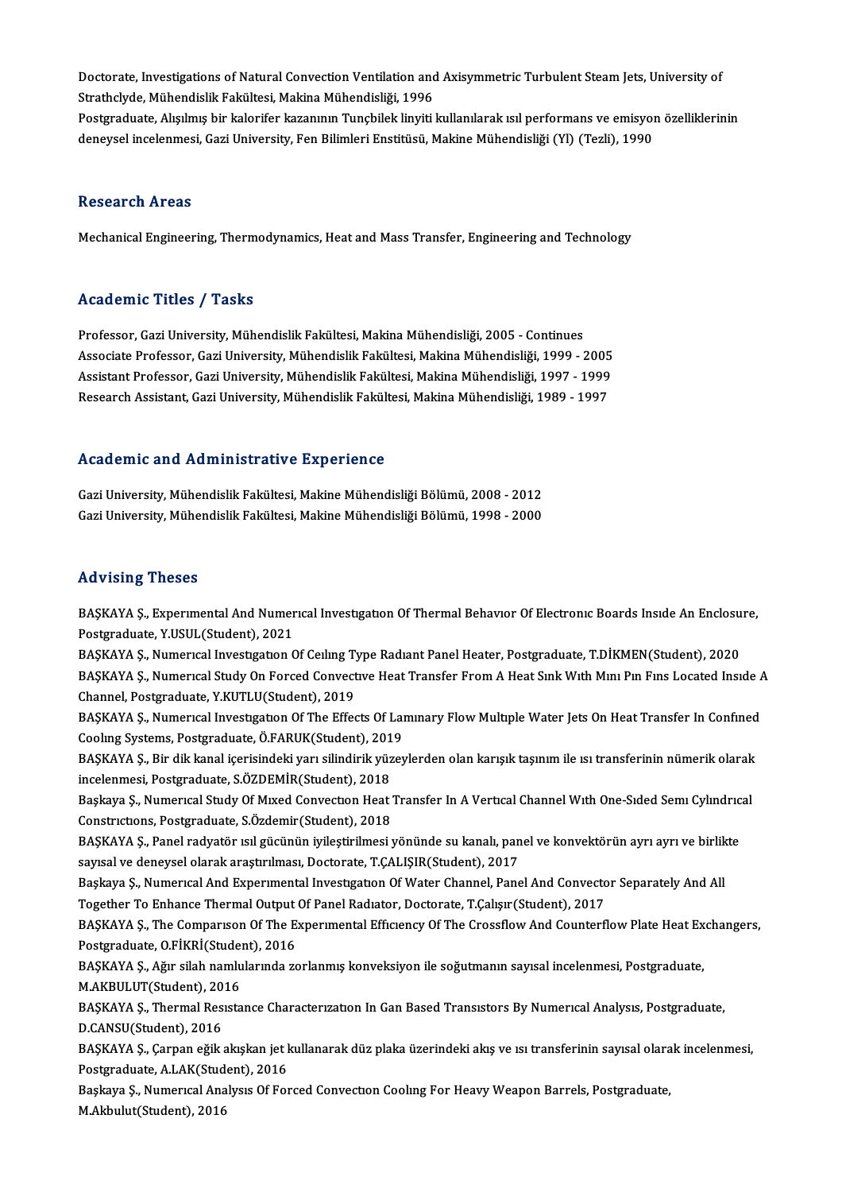Doctorate, Investigations of Natural Convection Ventilation and Axisymmetric Turbulent Steam Jets, University of<br>Strathelyde, Mühandielik Felsültesi, Meltine Mühandieliği, 1996 Doctorate, Investigations of Natural Convection Ventilation and<br>Strathclyde, Mühendislik Fakültesi, Makina Mühendisliği, 1996<br>Pestsraduate, Akulmıa bir kalori<sup>ç</sup>ar kazanının Tungbilek linyiti Doctorate, Investigations of Natural Convection Ventilation and Axisymmetric Turbulent Steam Jets, University of<br>Strathclyde, Mühendislik Fakültesi, Makina Mühendisliği, 1996<br>Postgraduate, Alışılmış bir kalorifer kazanının Strathclyde, Mühendislik Fakültesi, Makina Mühendisliği, 1996<br>Postgraduate, Alışılmış bir kalorifer kazanının Tunçbilek linyiti kullanılarak ısıl performans ve emisyoı<br>deneysel incelenmesi, Gazi University, Fen Bilimleri E deneysel incelenmesi, Gazi University, Fen Bilimleri Enstitüsü, Makine Mühendisliği (Yl) (Tezli), 1990<br>Research Areas

Mechanical Engineering, Thermodynamics, Heat and Mass Transfer, Engineering and Technology

#### Academic Titles / Tasks

Professor, Gazi University, Mühendislik Fakültesi, Makina Mühendisliği, 2005 - Continues Associate Articus 7 - 1 duktu<br>Professor, Gazi University, Mühendislik Fakültesi, Makina Mühendisliği, 2005 - Continues<br>Associate Professor, Gazi University, Mühendislik Fakültesi, Makina Mühendisliği, 1999 - 2005<br>Assistant Professor, Gazi University, Mühendislik Fakültesi, Makina Mühendisliği, 2005 - Continues<br>Associate Professor, Gazi University, Mühendislik Fakültesi, Makina Mühendisliği, 1999 - 2005<br>Assistant Professor, Gazi University, M Associate Professor, Gazi University, Mühendislik Fakültesi, Makina Mühendisliği, 1999 - 2005<br>Assistant Professor, Gazi University, Mühendislik Fakültesi, Makina Mühendisliği, 1997 - 1999<br>Research Assistant, Gazi Universit Research Assistant, Gazi University, Mühendislik Fakültesi, Makina Mühendisliği, 1989 - 1997<br>Academic and Administrative Experience

Academic and Administrative Experience<br>Gazi University, Mühendislik Fakültesi, Makine Mühendisliği Bölümü, 2008 - 2012<br>Cazi University, Mühendislik Fakültesi, Makine Mühendisliği Bölümü, 1998 - 2000 rsodu onne unu rrummiserutre Enpertonee<br>Gazi University, Mühendislik Fakültesi, Makine Mühendisliği Bölümü, 2008 - 2012<br>Gazi University, Mühendislik Fakültesi, Makine Mühendisliği Bölümü, 1998 - 2000 Gazi University, Mühendislik Fakültesi, Makine Mühendisliği Bölümü, 1998 - 2000<br>Advising Theses

Advising Theses<br>BAŞKAYA Ş., Experimental And Numerical Investigation Of Thermal Behavior Of Electronic Boards Inside An Enclosure,<br>Restanaduate, Y.HSHL (Student), 2021 Postgraduate, Y.USUC<br>BAŞKAYA Ş., Experimental And Numer<br>Postgraduate, Y.USUL(Student), 2021<br>BASKAYA S., Numerical Investigation G BAŞKAYA Ş., Experimental And Numerical Investigation Of Thermal Behavior Of Electronic Boards Inside An Enclosu<br>Postgraduate, Y.USUL(Student), 2021<br>BAŞKAYA Ş., Numerical Investigation Of Ceiling Type Radiant Panel Heater,

Postgraduate, Y.USUL(Student), 2021<br>BAŞKAYA Ş., Numerıcal Investıgatıon Of Ceılıng Type Radıant Panel Heater, Postgraduate, T.DİKMEN(Student), 2020<br>BAŞKAYA Ş., Numerıcal Study On Forced Convective Heat Transfer From A Heat BAŞKAYA Ş., Numerıcal Investigation Of Ceiling Ty<br>BAŞKAYA Ş., Numerical Study On Forced Convect<br>Channel, Postgraduate, Y.KUTLU(Student), 2019<br>BASKAYA S., Numerical Investigation Of The Effect BAŞKAYA Ş., Numerıcal Study On Forced Convective Heat Transfer From A Heat Sink With Mini Pin Fins Located Inside A<br>Channel, Postgraduate, Y.KUTLU(Student), 2019<br>BAŞKAYA Ş., Numerical Investigation Of The Effects Of Lamina

Channel, Postgraduate, Y.KUTLU(Student), 2019<br>BAŞKAYA Ş., Numerıcal Investigation Of The Effects Of Lai<br>Cooling Systems, Postgraduate, Ö.FARUK(Student), 2019<br>BASKAYA S. Bir dik kanal iserisindeki yarı silindirik yüzet BAŞKAYA Ş., Numerıcal Investıgatıon Of The Effects Of Lamınary Flow Multiple Water Jets On Heat Transfer In Confined<br>Cooling Systems, Postgraduate, Ö.FARUK(Student), 2019<br>BAŞKAYA Ş., Bir dik kanal içerisindeki yarı silindi

Coolıng Systems, Postgraduate, Ö.FARUK(Student), 2019<br>BAŞKAYA Ş., Bir dik kanal içerisindeki yarı silindirik yüzeylerden olan karışık taşınım ile ısı transferinin nümerik olarak<br>incelenmesi, Postgraduate, S.ÖZDEMİR(Student BAŞKAYA Ş., Bir dik kanal içerisindeki yarı silindirik yüzeylerden olan karışık taşınım ile ısı transferinin nümerik olarak<br>incelenmesi, Postgraduate, S.ÖZDEMİR(Student), 2018<br>Başkaya Ş., Numerıcal Study Of Mıxed Convectio

incelenmesi, Postgraduate, S.ÖZDEMİR(Student), 2018<br>Başkaya Ş., Numerıcal Study Of Mıxed Convection Heat<br>Constrictions, Postgraduate, S.Özdemir(Student), 2018<br>BASKAVA S. Banel radimtör isil güçünün ivilestirilmesi i Başkaya Ş., Numerıcal Study Of Mıxed Convection Heat Transfer In A Vertical Channel With One-Sided Semi Cylindric<br>Constrictions, Postgraduate, S.Özdemir(Student), 2018<br>BAŞKAYA Ş., Panel radyatör isil gücünün iyileştirilmes

Constrictions, Postgraduate, S.Özdemir(Student), 2018<br>BAŞKAYA Ş., Panel radyatör isil gücünün iyileştirilmesi yönünde su kanalı, pan<br>sayısal ve deneysel olarak araştırılması, Doctorate, T.ÇALIŞIR(Student), 2017<br>Başkaya S. BAŞKAYA Ş., Panel radyatör ısıl gücünün iyileştirilmesi yönünde su kanalı, panel ve konvektörün ayrı ayrı ve birlil<br>sayısal ve deneysel olarak araştırılması, Doctorate, T.ÇALIŞIR(Student), 2017<br>Başkaya Ş., Numerıcal And Ex

sayısal ve deneysel olarak araştırılması, Doctorate, T.ÇALIŞIR(Student), 2017<br>Başkaya Ş., Numerıcal And Experimental Investigation Of Water Channel, Panel And Convecto<br>Together To Enhance Thermal Output Of Panel Radiator, Başkaya Ş., Numerıcal And Experimental Investigation Of Water Channel, Panel And Convector Separately And All<br>Together To Enhance Thermal Output Of Panel Radiator, Doctorate, T.Çalışır(Student), 2017<br>BAŞKAYA Ş., The Compar

Together To Enhance Thermal Output<br>BAŞKAYA Ş., The Comparison Of The E.<br>Postgraduate, O.FİKRİ(Student), 2016<br>BASKAYA S. Ağır silah namlularında 79 BAŞKAYA Ş., The Comparison Of The Experimental Efficiency Of The Crossflow And Counterflow Plate Heat Ex<br>Postgraduate, O.FİKRİ(Student), 2016<br>BAŞKAYA Ş., Ağır silah namlularında zorlanmış konveksiyon ile soğutmanın sayısal Postgraduate, O.FİKRİ(Student), 2016<br>BAŞKAYA Ş., Ağır silah namlularında zorlanmış konveksiyon ile soğutmanın sayısal incelenmesi, Postgraduate,

M.AKBULUT(Student), 2016

BAŞKAYA Ş., Thermal Resistance Characterization In Gan Based Transistors By Numerical Analysis, Postgraduate,<br>D.CANSU(Student), 2016 BAŞKAYA Ş., Thermal Resistance Characterization In Gan Based Transistors By Numerical Analysis, Postgraduate,<br>D.CANSU(Student), 2016<br>BAŞKAYA Ş., Çarpan eğik akışkan jet kullanarak düz plaka üzerindeki akış ve ısı transferi

D.CANSU(Student), 2016<br>BAŞKAYA Ş., Çarpan eğik akışkan jet l<br>Postgraduate, A.LAK(Student), 2016<br>Baskaya S. Numarıcal Analysıs Of For BAŞKAYA Ş., Çarpan eğik akışkan jet kullanarak düz plaka üzerindeki akış ve ısı transferinin sayısal olara<br>Postgraduate, A.LAK(Student), 2016<br>Başkaya Ş., Numerıcal Analysıs Of Forced Convection Cooling For Heavy Weapon Bar

Postgraduate, A.LAK(Stud<br>Başkaya Ş., Numerıcal Ana<br>M.Akbulut(Student), 2016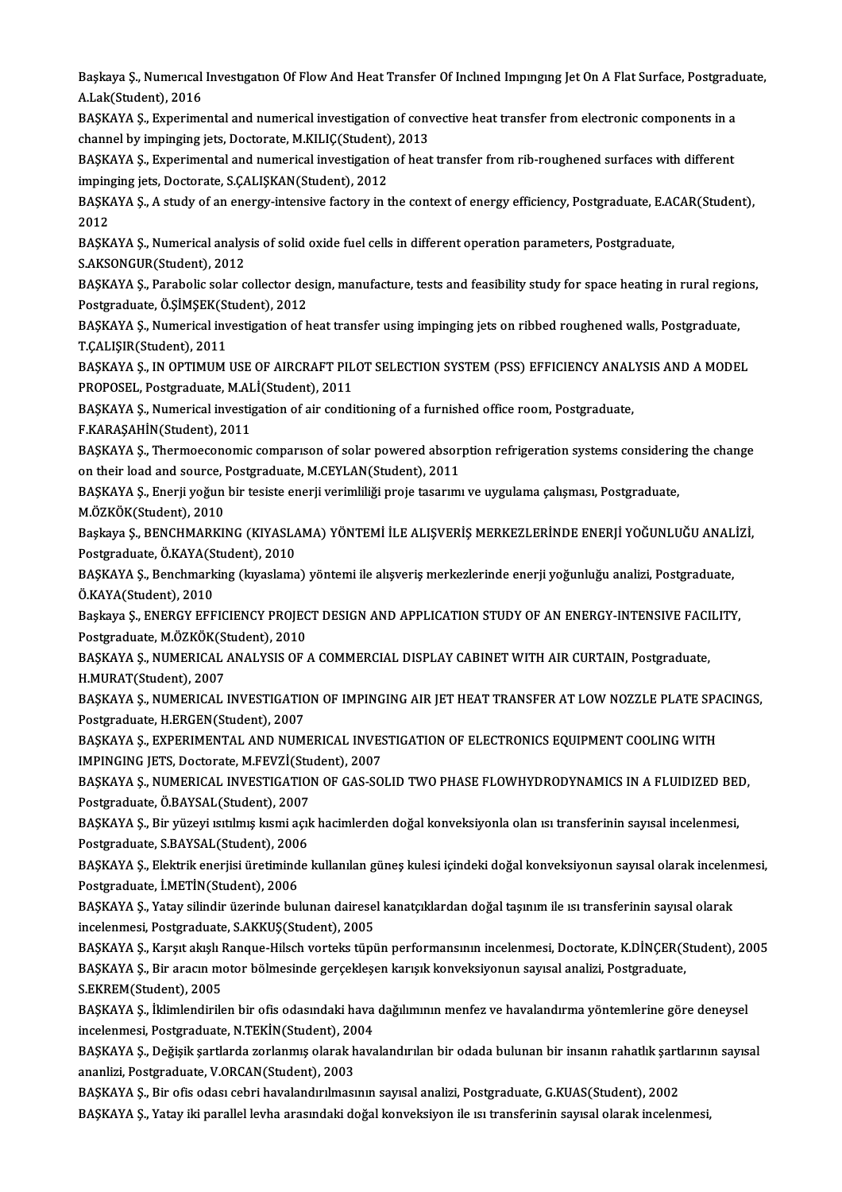Başkaya Ş., Numerıcal Investıgatıon Of Flow And Heat Transfer Of Inclined Impinging Jet On A Flat Surface, Postgraduate,<br>A Lak(Student), 2016 Başkaya Ş., Numerical<br>A.Lak(Student), 2016<br>BASKAVA S., Ernorima Başkaya Ş., Numerical Investigation Of Flow And Heat Transfer Of Inclined Impinging Jet On A Flat Surface, Postgrad<br>A.Lak(Student), 2016<br>BAŞKAYA Ş., Experimental and numerical investigation of convective heat transfer from

A.Lak(Student), 2016<br>BAŞKAYA Ş., Experimental and numerical investigation of conv<br>channel by impinging jets, Doctorate, M.KILIÇ(Student), 2013<br>BASKAYA S., Evnerimental and numerical investigation of best BAŞKAYA Ş., Experimental and numerical investigation of convective heat transfer from electronic components in a<br>channel by impinging jets, Doctorate, M.KILIÇ(Student), 2013<br>BAŞKAYA Ş., Experimental and numerical investiga

channel by impinging jets, Doctorate, M.KILIÇ(Student)<br>BAŞKAYA Ş., Experimental and numerical investigation<br>impinging jets, Doctorate, S.ÇALIŞKAN(Student), 2012<br>BASKAYA S. A study of an anargy intensiye fastory in t BAŞKAYA Ş., Experimental and numerical investigation of heat transfer from rib-roughened surfaces with different<br>impinging jets, Doctorate, S.ÇALIŞKAN(Student), 2012<br>BAŞKAYA Ş., A study of an energy-intensive factory in th

imping<br>BAŞK<br>2012<br>PASK BAŞKAYA Ş., A study of an energy-intensive factory in the context of energy efficiency, Postgraduate, E.A<br>2012<br>BAŞKAYA Ş., Numerical analysis of solid oxide fuel cells in different operation parameters, Postgraduate,<br>S.AKS

2012<br>BAŞKAYA Ş., Numerical analysis of solid oxide fuel cells in different operation parameters, Postgraduate,<br>S.AKSONGUR(Student), 2012 BAŞKAYA Ş., Numerical analysis of solid oxide fuel cells in different operation parameters, Postgraduate,<br>S.AKSONGUR(Student), 2012<br>BAŞKAYA Ş., Parabolic solar collector design, manufacture, tests and feasibility study for

S.AKSONGUR(Student), 2012<br>BAŞKAYA Ş., Parabolic solar collector de:<br>Postgraduate, Ö.ŞİMŞEK(Student), 2012<br>BASKAYA S. Numerical investigation of b

Postgraduate, Ö.ŞİMŞEK(Student), 2012<br>BAŞKAYA Ş., Numerical investigation of heat transfer using impinging jets on ribbed roughened walls, Postgraduate, T.ÇALIŞIR(Student),2011 BAŞKAYA Ş., Numerical investigation of heat transfer using impinging jets on ribbed roughened walls, Postgraduate,<br>T.ÇALIŞIR(Student), 2011<br>BAŞKAYA Ş., IN OPTIMUM USE OF AIRCRAFT PILOT SELECTION SYSTEM (PSS) EFFICIENCY ANA

T.ÇALIŞIR(Student), 2011<br>BAŞKAYA Ş., IN OPTIMUM USE OF AIRCRAFT PIL<br>PROPOSEL, Postgraduate, M.ALİ(Student), 2011<br>BASKAYA S. Numerisəl investigation of sin sendi BAŞKAYA Ş., IN OPTIMUM USE OF AIRCRAFT PILOT SELECTION SYSTEM (PSS) EFFICIENCY ANAL<br>PROPOSEL, Postgraduate, M.ALİ(Student), 2011<br>BAŞKAYA Ş., Numerical investigation of air conditioning of a furnished office room, Postgradu

PROPOSEL, Postgraduate, M.ALİ(Student), 2011<br>BAŞKAYA Ş., Numerical investigation of air conditioning of a furnished office room, Postgraduate,<br>F.KARASAHİN(Student), 2011

BAŞKAYA Ş., Numerical investigation of air conditioning of a furnished office room, Postgraduate,<br>F.KARAŞAHİN(Student), 2011<br>BAŞKAYA Ş., Thermoeconomic comparıson of solar powered absorption refrigeration systems consideri F.KARAŞAHİN(Student), 2011<br>BAŞKAYA Ş., Thermoeconomic comparıson of solar powered absor<br>on their load and source, Postgraduate, M.CEYLAN(Student), 2011<br>BASKAYA S., Frarij veğun bir tesiste anerij verimliliği preja tesarımı BAŞKAYA Ş., Thermoeconomic comparıson of solar powered absorption refrigeration systems considerin<br>on their load and source, Postgraduate, M.CEYLAN(Student), 2011<br>BAŞKAYA Ş., Enerji yoğun bir tesiste enerji verimliliği pro

on their load and source, Postgraduate, M.CEYLAN(Student), 2011<br>BAŞKAYA Ş., Enerji yoğun bir tesiste enerji verimliliği proje tasarımı ve uygulama çalışması, Postgraduate,<br>M.ÖZKÖK(Student), 2010

BAŞKAYA Ş., Enerji yoğun bir tesiste enerji verimliliği proje tasarımı ve uygulama çalışması, Postgraduate,<br>M.ÖZKÖK(Student), 2010<br>Başkaya Ş., BENCHMARKING (KIYASLAMA) YÖNTEMİ İLE ALIŞVERİŞ MERKEZLERİNDE ENERJİ YOĞUNLUĞU A M.ÖZKÖK(Student), 2010<br>Başkaya Ş., BENCHMARKING (KIYASLA<br>Postgraduate, Ö.KAYA(Student), 2010<br>BASKAYA S., Bonchmarking (kuralama Başkaya Ş., BENCHMARKING (KIYASLAMA) YÖNTEMİ İLE ALIŞVERİŞ MERKEZLERİNDE ENERJİ YOĞUNLUĞU ANAL<br>Postgraduate, Ö.KAYA(Student), 2010<br>BAŞKAYA Ş., Benchmarking (kıyaslama) yöntemi ile alışveriş merkezlerinde enerji yoğunluğu a

Postgraduate, Ö.KAYA(Student), 2010<br>BAŞKAYA Ş., Benchmarking (kıyaslama) yöntemi ile alışveriş merkezlerinde enerji yoğunluğu analizi, Postgraduate,<br>Ö.KAYA(Student), 2010 BAŞKAYA Ş., Benchmarking (kıyaslama) yöntemi ile alışveriş merkezlerinde enerji yoğunluğu analizi, Postgraduate,<br>Ö.KAYA(Student), 2010<br>Başkaya Ş., ENERGY EFFICIENCY PROJECT DESIGN AND APPLICATION STUDY OF AN ENERGY-INTENSI

Ö.KAYA(Student), 2010<br>Başkaya Ş., ENERGY EFFICIENCY PROJEC<br>Postgraduate, M.ÖZKÖK(Student), 2010<br>BASKAYA S., NUMERICAL ANALYSIS OF Başkaya Ş., ENERGY EFFICIENCY PROJECT DESIGN AND APPLICATION STUDY OF AN ENERGY-INTENSIVE FACI<br>Postgraduate, M.ÖZKÖK(Student), 2010<br>BAŞKAYA Ş., NUMERICAL ANALYSIS OF A COMMERCIAL DISPLAY CABINET WITH AIR CURTAIN, Postgradu

Postgraduate, M.ÖZKÖK(St<br>BAŞKAYA Ş., NUMERICAL<br>H.MURAT(Student), 2007<br>BASKAYA S. NUMERICAL I BAŞKAYA Ş., NUMERICAL ANALYSIS OF A COMMERCIAL DISPLAY CABINET WITH AIR CURTAIN, Postgraduate,<br>H.MURAT(Student), 2007<br>BAŞKAYA Ş., NUMERICAL INVESTIGATION OF IMPINGING AIR JET HEAT TRANSFER AT LOW NOZZLE PLATE SPACINGS,<br>Pos

H.MURAT(Student), 2007<br>BAŞKAYA Ş., NUMERICAL INVESTIGATION OF IMPINGING AIR JET HEAT TRANSFER AT LOW NOZZLE PLATE SPACINGS,<br>Postgraduate, H.ERGEN(Student), 2007 BAŞKAYA Ş., NUMERICAL INVESTIGATION OF IMPINGING AIR JET HEAT TRANSFER AT LOW NOZZLE PLATE SPA<br>Postgraduate, H.ERGEN(Student), 2007<br>BAŞKAYA Ş., EXPERIMENTAL AND NUMERICAL INVESTIGATION OF ELECTRONICS EQUIPMENT COOLING WITH

Postgraduate, H.ERGEN(Student), 2007<br>BAŞKAYA Ş., EXPERIMENTAL AND NUMERICAL INVES<br>IMPINGING JETS, Doctorate, M.FEVZİ(Student), 2007<br>BASKAYA S., NUMERICAL INVESTICATION OF CAS SO BAŞKAYA Ş., EXPERIMENTAL AND NUMERICAL INVESTIGATION OF ELECTRONICS EQUIPMENT COOLING WITH<br>IMPINGING JETS, Doctorate, M.FEVZİ(Student), 2007<br>BAŞKAYA Ş., NUMERICAL INVESTIGATION OF GAS-SOLID TWO PHASE FLOWHYDRODYNAMICS IN A

IMPINGING JETS, Doctorate, M.FEVZİ(Stu<br>BAŞKAYA Ş., NUMERICAL INVESTIGATIOI<br>Postgraduate, Ö.BAYSAL(Student), 2007<br>BASKAYA S., Bir vüseyi şatılmış hami asıl BAŞKAYA Ş., NUMERICAL INVESTIGATION OF GAS-SOLID TWO PHASE FLOWHYDRODYNAMICS IN A FLUIDIZED BEI<br>Postgraduate, Ö.BAYSAL(Student), 2007<br>BAŞKAYA Ş., Bir yüzeyi ısıtılmış kısmi açık hacimlerden doğal konveksiyonla olan ısı tra

Postgraduate, Ö.BAYSAL(Student), 2007<br>BAŞKAYA Ş., Bir yüzeyi ısıtılmış kısmi açık hacimlerden doğal konveksiyonla olan ısı transferinin sayısal incelenmesi,<br>Postgraduate, S.BAYSAL(Student), 2006 BAŞKAYA Ş., Bir yüzeyi ısıtılmış kısmi açık hacimlerden doğal konveksiyonla olan ısı transferinin sayısal incelenmesi,<br>Postgraduate, S.BAYSAL(Student), 2006<br>BAŞKAYA Ş., Elektrik enerjisi üretiminde kullanılan güneş kulesi

Postgraduate, S.BAYSAL(Student), 200<br>BAŞKAYA Ş., Elektrik enerjisi üretimind<br>Postgraduate, İ.METİN(Student), 2006<br>BASKAYA S. Yatay silindir üzerinde bul BAŞKAYA Ş., Elektrik enerjisi üretiminde kullanılan güneş kulesi içindeki doğal konveksiyonun sayısal olarak incelen<br>Postgraduate, İ.METİN(Student), 2006<br>BAŞKAYA Ş., Yatay silindir üzerinde bulunan dairesel kanatçıklardan

Postgraduate, İ.METİN(Student), 2006<br>BAŞKAYA Ş., Yatay silindir üzerinde bulunan dairese<br>incelenmesi, Postgraduate, S.AKKUŞ(Student), 2005<br>BASKAYA S. Kareyt alralı Banque Hilseb yerteks türü BAŞKAYA Ş., Yatay silindir üzerinde bulunan dairesel kanatçıklardan doğal taşınım ile ısı transferinin sayısal olarak<br>incelenmesi, Postgraduate, S.AKKUŞ(Student), 2005<br>BAŞKAYA Ş., Karşıt akışlı Ranque-Hilsch vorteks tüpün

incelenmesi, Postgraduate, S.AKKUŞ(Student), 2005<br>BAŞKAYA Ş., Karşıt akışlı Ranque-Hilsch vorteks tüpün performansının incelenmesi, Doctorate, K.DİNÇER(S<br>BAŞKAYA Ş., Bir aracın motor bölmesinde gerçekleşen karışık konveksi BAŞKAYA Ş., Karşıt akışlı I<br>BAŞKAYA Ş., Bir aracın me<br>S.EKREM(Student), 2005<br>BASKAYA S., İklimlandirile BAŞKAYA Ş., Bir aracın motor bölmesinde gerçekleşen karışık konveksiyonun sayısal analizi, Postgraduate,<br>S.EKREM(Student), 2005<br>BAŞKAYA Ş., İklimlendirilen bir ofis odasındaki hava dağılımının menfez ve havalandırma yöntem

S.EKREM(Student), 2005<br>BAŞKAYA Ş., İklimlendirilen bir ofis odasındaki hava<br>incelenmesi, Postgraduate, N.TEKİN(Student), 2004<br>BASKAYA S. Doğisil: sartlarda zarlanmış olarak hava BAŞKAYA Ş., İklimlendirilen bir ofis odasındaki hava dağılımının menfez ve havalandırma yöntemlerine göre deneysel<br>incelenmesi, Postgraduate, N.TEKİN(Student), 2004<br>BAŞKAYA Ş., Değişik şartlarda zorlanmış olarak havalandır

incelenmesi, Postgraduate, N.TEKİN(Student), 20<br>BAŞKAYA Ş., Değişik şartlarda zorlanmış olarak h<br>ananlizi, Postgraduate, V.ORCAN(Student), 2003<br>BASKAYA S., Bir ofis adası sahri havalandırılması BAŞKAYA Ş., Değişik şartlarda zorlanmış olarak havalandırılan bir odada bulunan bir insanın rahatlık şartl<br>ananlizi, Postgraduate, V.ORCAN(Student), 2003<br>BAŞKAYA Ş., Bir ofis odası cebri havalandırılmasının sayısal analizi

ananlizi, Postgraduate, V.ORCAN(Student), 2003<br>BAŞKAYA Ş., Bir ofis odası cebri havalandırılmasının sayısal analizi, Postgraduate, G.KUAS(Student), 2002<br>BAŞKAYA Ş., Yatay iki parallel levha arasındaki doğal konveksiyon ile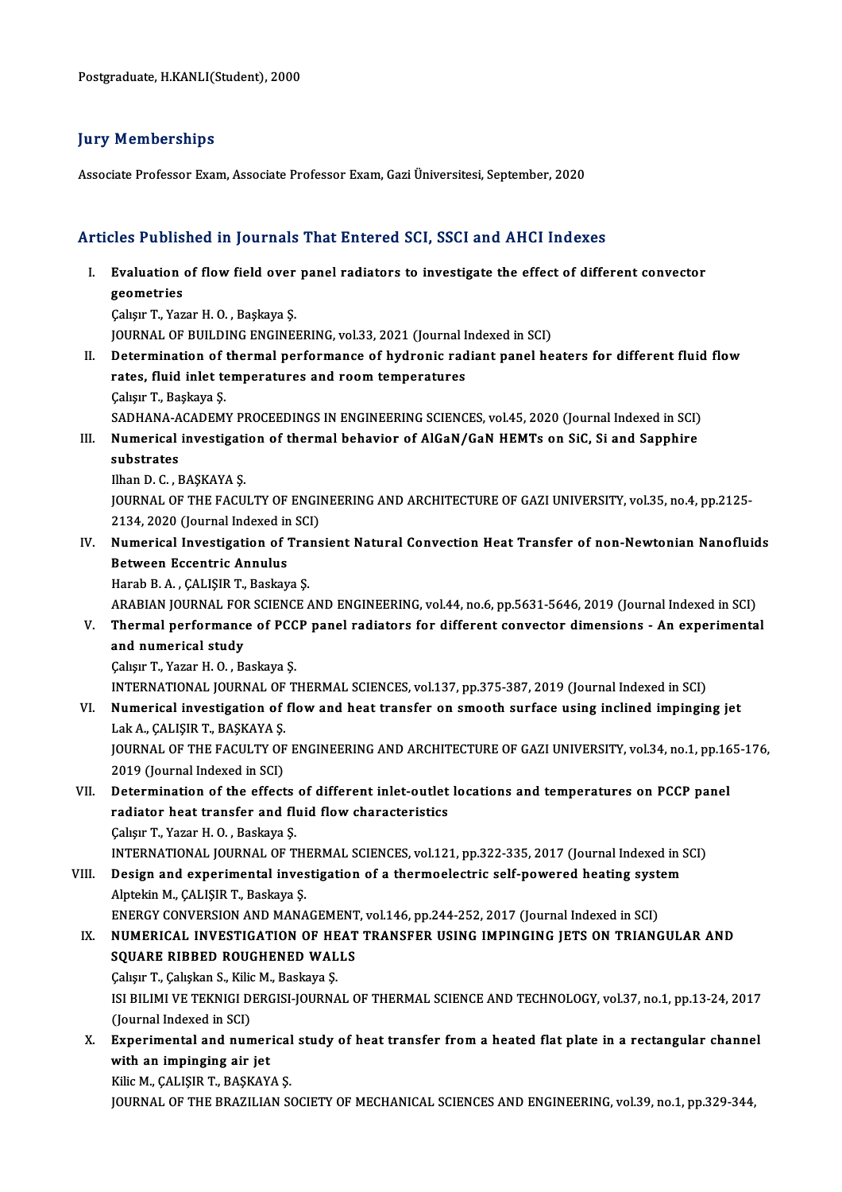#### **Jury Memberships**

Associate Professor Exam, Associate Professor Exam, Gazi Üniversitesi, September, 2020

#### Articles Published in Journals That Entered SCI, SSCI and AHCI Indexes

- rticles Published in Journals That Entered SCI, SSCI and AHCI Indexes<br>I. Evaluation of flow field over panel radiators to investigate the effect of different convector geometries<br>Evaluation<br>Gebour T. Ver Evaluation of flow field over<br>geometries<br>Çalışır T., Yazar H. O. , Başkaya Ş.<br>JOUPNAL OE BUU DING ENGINE! geometries<br>Çalışır T., Yazar H. O. , Başkaya Ş.<br>JOURNAL OF BUILDING ENGINEERING, vol.33, 2021 (Journal Indexed in SCI)<br>Petermination of thermal performance of bydronia redient penel be Calışır T., Yazar H. O. , Başkaya Ş.<br>JOURNAL OF BUILDING ENGINEERING, vol.33, 2021 (Journal Indexed in SCI)<br>II. Determination of thermal performance of hydronic radiant panel heaters for different fluid flow<br>rates, fluid i
- JOURNAL OF BUILDING ENGINEERING, vol.33, 2021 (Journal I<br>Determination of thermal performance of hydronic rad<br>rates, fluid inlet temperatures and room temperatures<br>Coleur T. Bookeys S Determination of<br>rates, fluid inlet te<br>Çalışır T., Başkaya Ş.<br>SADHANA ACADEM rates, fluid inlet temperatures and room temperatures<br>Çalışır T., Başkaya Ş.<br>SADHANA-ACADEMY PROCEEDINGS IN ENGINEERING SCIENCES, vol.45, 2020 (Journal Indexed in SCI)<br>Numerisel investisation of thermal behavior of AlGeN/C Calışır T., Başkaya Ş.<br>SADHANA-ACADEMY PROCEEDINGS IN ENGINEERING SCIENCES, vol.45, 2020 (Journal Indexed in SCI)<br>III. Numerical investigation of thermal behavior of AlGaN/GaN HEMTs on SiC, Si and Sapphire<br>cubetrates
- SADHANA-A<br>Numerical<br>substrates<br><sup>Ilban D.C.</sup> III. Numerical investigation of thermal behavior of AlGaN/GaN HEMTs on SiC, Si and Sapphire substrates<br>substrates<br>Ilhan D. C. , BAŞKAYA Ş.

substrates<br>Ilhan D. C. , BAŞKAYA Ş.<br>JOURNAL OF THE FACULTY OF ENGINEERING AND ARCHITECTURE OF GAZI UNIVERSITY, vol.35, no.4, pp.2125-<br>2134, 2020 (Journal Indoved in SCI) Ilhan D. C. , BAŞKAYA Ş.<br>JOURNAL OF THE FACULTY OF ENGI)<br>2134, 2020 (Journal Indexed in SCI)<br>Numerisal Investisation of Trans IOURNAL OF THE FACULTY OF ENGINEERING AND ARCHITECTURE OF GAZI UNIVERSITY, vol.35, no.4, pp.2125-<br>2134, 2020 (Journal Indexed in SCI)<br>IV. Numerical Investigation of Transient Natural Convection Heat Transfer of non-Newtoni

## 2134, 2020 (Journal Indexed in SCI)<br>Numerical Investigation of Trans<br>Between Eccentric Annulus<br>Harab B. A., CALISIR T., Baskaya S. Numerical Investigation of Trai<br>Between Eccentric Annulus<br>Harab B.A., ÇALIŞIR T., Baskaya Ş.<br>ARABIAN IQURNAL FOR SCIENCE Between Eccentric Annulus<br>Harab B. A. , ÇALIŞIR T., Baskaya Ş.<br>ARABIAN JOURNAL FOR SCIENCE AND ENGINEERING, vol.44, no.6, pp.5631-5646, 2019 (Journal Indexed in SCI)<br>Thermal nerformanes of BCCB nanal radiators for differen

Harab B. A. , ÇALIŞIR T., Baskaya Ş.<br>ARABIAN JOURNAL FOR SCIENCE AND ENGINEERING, vol.44, no.6, pp.5631-5646, 2019 (Journal Indexed in SCI)<br>V. Thermal performance of PCCP panel radiators for different convector dimensi ARABIAN JOURNAL FOR<br>Thermal performance<br>and numerical study<br>Coleur T. Yozer H.O., B. V. Thermal performance of PCCP panel radiators for different convector dimensions - An experimental<br>and numerical study<br>Calışır T., Yazar H. O. , Baskaya Ş. and numerical study<br>Çalışır T., Yazar H. O. , Baskaya Ş.<br>INTERNATIONAL JOURNAL OF THERMAL SCIENCES, vol.137, pp.375-387, 2019 (Journal Indexed in SCI)<br>Numerisel investigation of flow and best transfor on amoeth surface vei

VI. Numerical investigation of flow and heat transfer on smooth surface using inclined impinging jet<br>Lak A., CALISIR T., BASKAYA S. INTERNATIONAL JOURNAL OF<br>Numerical investigation of<br>Lak A., ÇALIŞIR T., BAŞKAYA Ş.<br>JOURNAL OF THE FACULTY OF Numerical investigation of flow and heat transfer on smooth surface using inclined impinging jet<br>Lak A., ÇALIŞIR T., BAŞKAYA Ş.<br>JOURNAL OF THE FACULTY OF ENGINEERING AND ARCHITECTURE OF GAZI UNIVERSITY, vol.34, no.1, pp.16

Lak A., ÇALIŞIR T., BAŞKAYA Ş.<br>JOURNAL OF THE FACULTY OF<br>2019 (Journal Indexed in SCI)<br>Determination of the offect JOURNAL OF THE FACULTY OF ENGINEERING AND ARCHITECTURE OF GAZI UNIVERSITY, vol.34, no.1, pp.16<br>2019 (Journal Indexed in SCI)<br>VII. Determination of the effects of different inlet-outlet locations and temperatures on PCCP pa

### 2019 (Journal Indexed in SCI)<br>Determination of the effects of different inlet-outlet<br>radiator heat transfer and fluid flow characteristics Determination of the effects<br>radiator heat transfer and flu<br>Çalışır T., Yazar H. O. , Baskaya Ş.<br>INTERNATIONAL JOURNAL OF T radiator heat transfer and fluid flow characteristics<br>Calışır T., Yazar H. O. , Baskaya Ş.<br>INTERNATIONAL JOURNAL OF THERMAL SCIENCES, vol.121, pp.322-335, 2017 (Journal Indexed in SCI)

## Calişir T., Yazar H. O. , Baskaya Ş.<br>INTERNATIONAL JOURNAL OF THERMAL SCIENCES, vol.121, pp.322-335, 2017 (Journal Indexed in S<br>VIII. Design and experimental investigation of a thermoelectric self-powered heating system<br>Al INTERNATIONAL JOURNAL OF TH<br>Design and experimental inves<br>Alptekin M., ÇALIŞIR T., Baskaya Ş.<br>ENEPCY CONVERSION AND MANA Design and experimental investigation of a thermoelectric self-powered heating syst<br>Alptekin M., ÇALIŞIR T., Baskaya Ş.<br>ENERGY CONVERSION AND MANAGEMENT, vol.146, pp.244-252, 2017 (Journal Indexed in SCI)<br>NUMERICAL INVESTI

## Alptekin M., ÇALIŞIR T., Baskaya Ş.<br>ENERGY CONVERSION AND MANAGEMENT, vol.146, pp.244-252, 2017 (Journal Indexed in SCI)<br>IX. NUMERICAL INVESTIGATION OF HEAT TRANSFER USING IMPINGING JETS ON TRIANGULAR AND<br>SOUARE RIRRED ENERGY CONVERSION AND MANAGEMENT<br>NUMERICAL INVESTIGATION OF HEAT<br>SQUARE RIBBED ROUGHENED WALLS<br>Color T. Coluiton S. Kilia M. Basirus S. NUMERICAL INVESTIGATION OF HE<br>SQUARE RIBBED ROUGHENED WAL<br>Çalışır T., Çalışkan S., Kilic M., Baskaya Ş.<br>ISLEH IMLVE TEKNICI DERÇISLIQUENA

SQUARE RIBBED ROUGHENED WALLS<br>Çalışır T., Çalışkan S., Kilic M., Baskaya Ş.<br>ISI BILIMI VE TEKNIGI DERGISI-JOURNAL OF THERMAL SCIENCE AND TECHNOLOGY, vol.37, no.1, pp.13-24, 2017<br>(Jaurnal Indaved in SCD Calışır T., Çalışkan S., Kilio<br>ISI BILIMI VE TEKNIGI D.<br>(Journal Indexed in SCI)<br>Eunonimental and num ISI BILIMI VE TEKNIGI DERGISI-JOURNAL OF THERMAL SCIENCE AND TECHNOLOGY, vol.37, no.1, pp.13-24, 2017<br>(Journal Indexed in SCI)<br>X. Experimental and numerical study of heat transfer from a heated flat plate in a rectangular

(Journal Indexed in SCI)<br>Experimental and numerical<br>with an impinging air jet<br>Kilic M., CALIŞIR T., BAŞKAYA Ş. X. Experimental and numerical study of heat transfer from a heated flat plate in a rectangular channel

JOURNAL OF THE BRAZILIAN SOCIETY OF MECHANICAL SCIENCES AND ENGINEERING, vol.39, no.1, pp.329-344,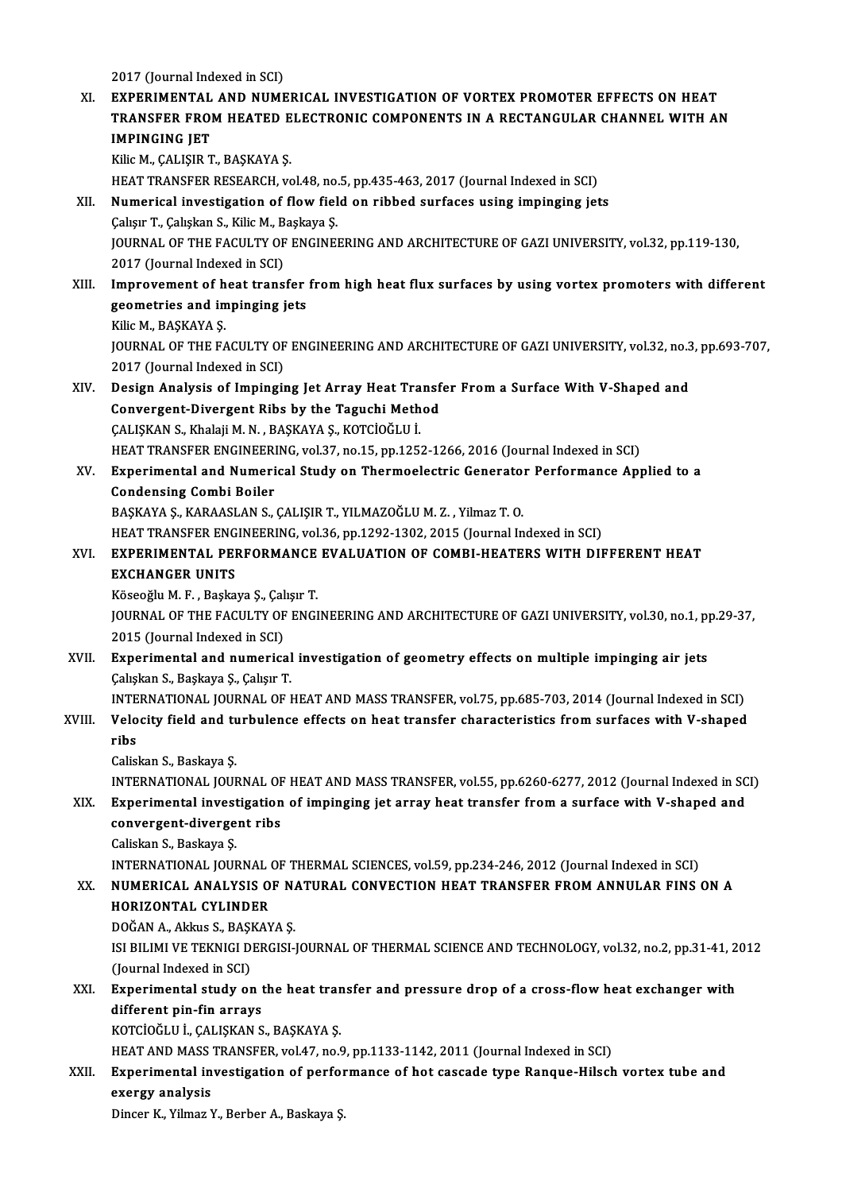2017 (Journal Indexed in SCI)

2017 (Journal Indexed in SCI)<br>XI. EXPERIMENTAL AND NUMERICAL INVESTIGATION OF VORTEX PROMOTER EFFECTS ON HEAT<br>TRANSEED EROM HEATED ELECTRONIC COMPONENTS IN A RECTANCULAR CHANNEL WITH A 2017 (Journal Indexed in SCI)<br>EXPERIMENTAL AND NUMERICAL INVESTIGATION OF VORTEX PROMOTER EFFECTS ON HEAT<br>TRANSFER FROM HEATED ELECTRONIC COMPONENTS IN A RECTANGULAR CHANNEL WITH AN<br>IMPINGING JET EXPERIMENTAL<br>TRANSFER FROI<br>IMPINGING JET<br><sup>Kili</sup>aM CALISIP T TRANSFER FROM HEATED ELECTRONIC COMPONENTS IN A RECTANGULAR CHANNEL WITH AN IMPINGING JET<br>IMPINGING JET<br>Kilic M., ÇALIŞIR T., BAŞKAYA Ş. HEAT TRANSFER RESEARCH, vol.48, no.5, pp.435-463, 2017 (Journal Indexed in SCI) Kilic M., ÇALIŞIR T., BAŞKAYA Ş.<br>HEAT TRANSFER RESEARCH, vol.48, no.5, pp.435-463, 2017 (Journal Indexed in SCI)<br>XII. Numerical investigation of flow field on ribbed surfaces using impinging jets<br>Coluy T. Colukan S. Kilic HEAT TRANSFER RESEARCH, vol.48, no.<br>Numerical investigation of flow fiel<br>Çalışır T., Çalışkan S., Kilic M., Başkaya Ş.<br>JOUPNAL OF THE FACULTY OF ENCINEI Numerical investigation of flow field on ribbed surfaces using impinging jets<br>Çalışır T., Çalışkan S., Kilic M., Başkaya Ş.<br>JOURNAL OF THE FACULTY OF ENGINEERING AND ARCHITECTURE OF GAZI UNIVERSITY, vol.32, pp.119-130,<br>201 Calışır T., Çalışkan S., Kilic M., B.<br>JOURNAL OF THE FACULTY OF<br>2017 (Journal Indexed in SCI)<br>Improvement of beet trans: JOURNAL OF THE FACULTY OF ENGINEERING AND ARCHITECTURE OF GAZI UNIVERSITY, vol.32, pp.119-130,<br>2017 (Journal Indexed in SCI)<br>XIII. Improvement of heat transfer from high heat flux surfaces by using vortex promoters with di 2017 (Journal Indexed in SCI)<br>Improvement of heat transfer<br>geometries and impinging jets<br><sup>Vilio M.</sub> PASYAVA S</sup> **Improvement of h<br>geometries and in<br>Kilic M., BAŞKAYA Ş.<br>JOUPMAL OF THE FA** geometries and impinging jets<br>Kilic M., BAŞKAYA Ş.<br>JOURNAL OF THE FACULTY OF ENGINEERING AND ARCHITECTURE OF GAZI UNIVERSITY, vol.32, no.3, pp.693-707,<br>2017 (Journal Indoved in SCI) Kilic M., BAŞKAYA Ş.<br>JOURNAL OF THE FACULTY OF<br>2017 (Journal Indexed in SCI)<br>Dosian Analysis of Imningi JOURNAL OF THE FACULTY OF ENGINEERING AND ARCHITECTURE OF GAZI UNIVERSITY, vol.32, no.3<br>2017 (Journal Indexed in SCI)<br>XIV. Design Analysis of Impinging Jet Array Heat Transfer From a Surface With V-Shaped and<br>Convergent Di 2017 (Journal Indexed in SCI)<br>Design Analysis of Impinging Jet Array Heat Transf<br>Convergent-Divergent Ribs by the Taguchi Method<br>CALISKAN S. Khalaji M.N., BASKAVA S. KOTCIOČLU I Design Analysis of Impinging Jet Array Heat Tra<br>Convergent-Divergent Ribs by the Taguchi Meth<br>ÇALIŞKAN S., Khalaji M. N. , BAŞKAYA Ş., KOTCİOĞLU İ.<br>HEAT TRANSEER ENCINEERING vel 27. no 15. np 125: Convergent-Divergent Ribs by the Taguchi Method<br>ÇALIŞKAN S., Khalaji M. N. , BAŞKAYA Ş., KOTCİOĞLU İ.<br>HEAT TRANSFER ENGINEERING, vol.37, no.15, pp.1252-1266, 2016 (Journal Indexed in SCI)<br>Eunerimental and Numerical Study o CALISKAN S., Khalaji M. N. , BASKAYA S., KOTCİOĞLU İ.<br>HEAT TRANSFER ENGINEERING, vol.37, no.15, pp.1252-1266, 2016 (Journal Indexed in SCI)<br>XV. Experimental and Numerical Study on Thermoelectric Generator Performance A **HEAT TRANSFER ENGINEER<br>Experimental and Numeri<br>Condensing Combi Boiler**<br>PASKAVA S. KARAASLAN S. Experimental and Numerical Study on Thermoelectric Generato:<br>Condensing Combi Boiler<br>BAŞKAYA Ş., KARAASLAN S., ÇALIŞIR T., YILMAZOĞLU M. Z. , Yilmaz T. O.<br>HEAT TRANSEER ENCINEERING .vol 36. np 1292, 1292, 2015 (Journal In Condensing Combi Boiler<br>BAŞKAYA Ş., KARAASLAN S., ÇALIŞIR T., YILMAZOĞLU M. Z. , Yilmaz T. O.<br>HEAT TRANSFER ENGINEERING, vol.36, pp.1292-1302, 2015 (Journal Indexed in SCI) BAŞKAYA Ş., KARAASLAN S., ÇALIŞIR T., YILMAZOĞLU M. Z. , Yilmaz T. O.<br>HEAT TRANSFER ENGINEERING, vol.36, pp.1292-1302, 2015 (Journal Indexed in SCI)<br>XVI. EXPERIMENTAL PERFORMANCE EVALUATION OF COMBI-HEATERS WITH DIFFERENT EXCHANGER UNITS EXPERIMENTAL PERFORMANCE<br>EXCHANGER UNITS<br>Köseoğlu M. F., Başkaya Ş., Çalışır T.<br>IOUPNAL OF THE EACULTY OF ENCI JOURNAL OF THE FACULTY OF ENGINEERING AND ARCHITECTURE OF GAZI UNIVERSITY, vol.30, no.1, pp.29-37,<br>2015 (Journal Indexed in SCI) Köseoğlu M.F., Başkaya Ş., Çalışır T. JOURNAL OF THE FACULTY OF ENGINEERING AND ARCHITECTURE OF GAZI UNIVERSITY, vol.30, no.1, pp<br>2015 (Journal Indexed in SCI)<br>XVII. Experimental and numerical investigation of geometry effects on multiple impinging air jets<br>Co 2015 (Journal Indexed in SCI)<br>**Experimental and numerical**<br>Çalışkan S., Başkaya Ş., Çalışır T.<br>INTERNATIONAL JOURNAL OF I Experimental and numerical investigation of geometry effects on multiple impinging air jets<br>Çalışkan S., Başkaya Ş., Çalışır T.<br>INTERNATIONAL JOURNAL OF HEAT AND MASS TRANSFER, vol.75, pp.685-703, 2014 (Journal Indexed in Calışkan S., Başkaya Ş., Çalışır T.<br>INTERNATIONAL JOURNAL OF HEAT AND MASS TRANSFER, vol.75, pp.685-703, 2014 (Journal Indexed in SCI)<br>XVIII. Velocity field and turbulence effects on heat transfer characteristics from INTE<br>Velo<br>Celis **Velocity field and tu<br>ribs<br>Caliskan S., Baskaya Ş.<br>INTERNATIONAL JOUL** ribs<br>Caliskan S., Baskaya Ş.<br>INTERNATIONAL JOURNAL OF HEAT AND MASS TRANSFER, vol.55, pp.6260-6277, 2012 (Journal Indexed in SCI)<br>Eunerimental investigation of impinging ist annay best transfor from a surface with V shaned Caliskan S., Baskaya Ș.<br>INTERNATIONAL JOURNAL OF HEAT AND MASS TRANSFER, vol.55, pp.6260-6277, 2012 (Journal Indexed in SC<br>XIX. Experimental investigation of impinging jet array heat transfer from a surface with V-shap INTERNATIONAL JOURNAL OF<br>Experimental investigation<br>convergent-divergent ribs<br>Caliskan S. Baskaya S. XIX. Experimental investigation of impinging jet array heat transfer from a surface with V-shaped and convergent-divergent ribs<br>Caliskan S., Baskaya Ş. INTERNATIONAL JOURNAL OF THERMAL SCIENCES, vol.59, pp.234-246, 2012 (Journal Indexed in SCI) XX. NUMERICAL ANALYSIS OF NATURAL CONVECTION HEAT TRANSFER FROMANNULAR FINS ON A HORIZONTAL CYLINDER NUMERICAL ANALYSIS OF NA<br>HORIZONTAL CYLINDER<br>DOĞAN A., Akkus S., BAŞKAYA Ş.<br>ISLBILIMI VE TEKNICI DERCISLI ISI BILIMI VE TEKNIGI DERGISI-JOURNAL OF THERMAL SCIENCE AND TECHNOLOGY, vol.32, no.2, pp.31-41, 2012<br>(Journal Indexed in SCI) DOĞAN A., Akkus S., BAŞI<br>ISI BILIMI VE TEKNIGI D.<br>(Journal Indexed in SCI)<br>Eunonimental study er ISI BILIMI VE TEKNIGI DERGISI-JOURNAL OF THERMAL SCIENCE AND TECHNOLOGY, vol.32, no.2, pp.31-41, 2<br>(Journal Indexed in SCI)<br>XXI. Experimental study on the heat transfer and pressure drop of a cross-flow heat exchanger with (Journal Indexed in SCI)<br>Experimental study on t<br>different pin-fin arrays<br>KOTCIOČI U L CALISKAN S Experimental study on the heat trandifferent pin-fin arrays<br>KOTCİOĞLU İ., ÇALIŞKAN S., BAŞKAYA Ş.<br>HEAT AND MASS TRANSEER vol 47 no ( different pin-fin arrays<br>KOTCİOĞLU İ., ÇALIŞKAN S., BAŞKAYA Ş.<br>HEAT AND MASS TRANSFER, vol.47, no.9, pp.1133-1142, 2011 (Journal Indexed in SCI)<br>Eunerimental investisation of nerformanse of bet sassade tune Bangue Hilseb KOTCİOĞLU İ., ÇALIŞKAN S., BAŞKAYA Ş.<br>HEAT AND MASS TRANSFER, vol.47, no.9, pp.1133-1142, 2011 (Journal Indexed in SCI)<br>XXII. Experimental investigation of performance of hot cascade type Ranque-Hilsch vortex tube and<br>exer HEAT AND MASS<br>Experimental in<br>exergy analysis<br>Dinger K. Vilmer V

Dincer K., Yilmaz Y., Berber A., Baskaya Ş.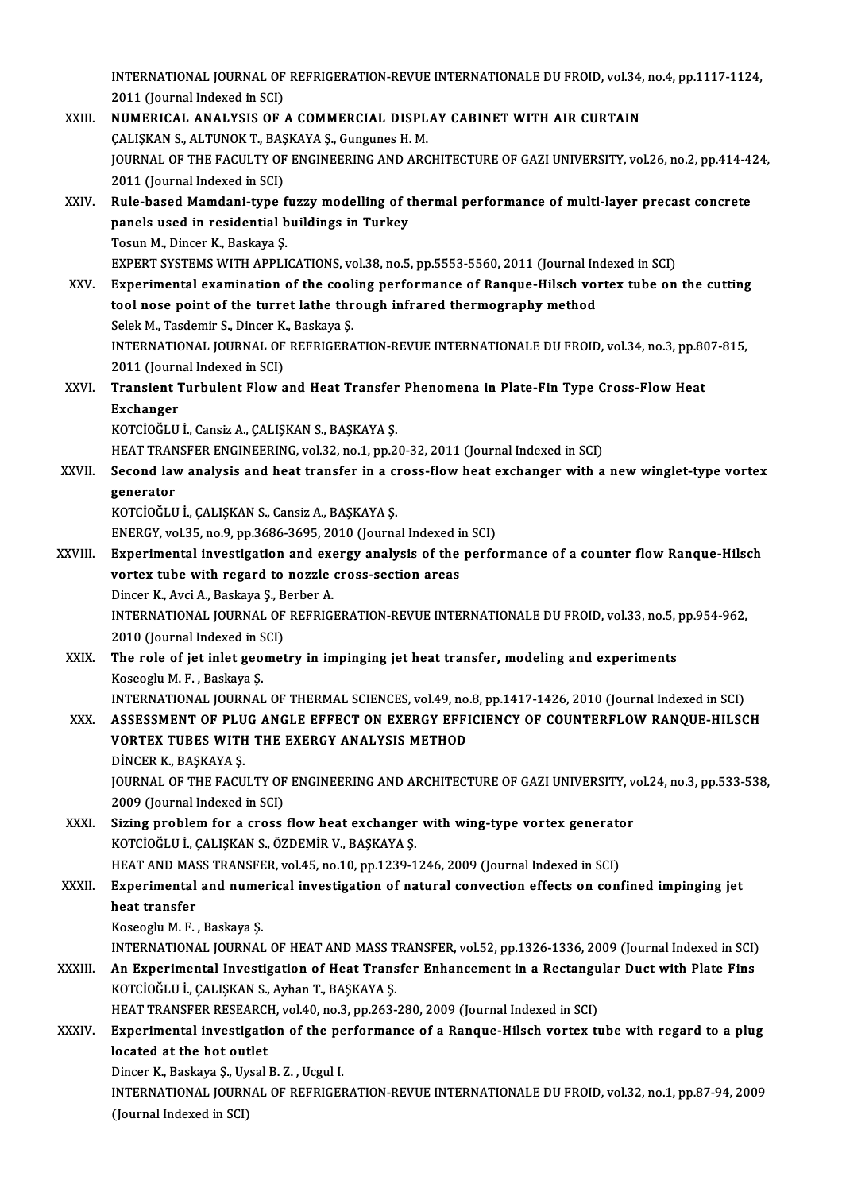INTERNATIONAL JOURNAL OF REFRIGERATION-REVUE INTERNATIONALE DU FROID, vol.34, no.4, pp.1117-1124,<br>2011 (Jaurnal Indoved in SCI)

- INTERNATIONAL JOURNAL OF<br>2011 (Journal Indexed in SCI)<br>NUMERICAL ANALYSIS OF INTERNATIONAL JOURNAL OF REFRIGERATION-REVUE INTERNATIONALE DU FROID, vol.34,<br>2011 (Journal Indexed in SCI)<br>XXIII. NUMERICAL ANALYSIS OF A COMMERCIAL DISPLAY CABINET WITH AIR CURTAIN 2011 (Journal Indexed in SCI)<br>NUMERICAL ANALYSIS OF A COMMERCIAL DISPLAY CABINET WITH AIR CURTAIN JOURNAL OF THE FACULTY OF ENGINEERING AND ARCHITECTURE OF GAZI UNIVERSITY, vol.26, no.2, pp.414-424,<br>2011 (Journal Indexed in SCI) CALISKAN S., ALTUNOK T., BASKAYA S., Gungunes H. M. JOURNAL OF THE FACULTY OF ENGINEERING AND ARCHITECTURE OF GAZI UNIVERSITY, vol.26, no.2, pp.414-4:<br>2011 (Journal Indexed in SCI)<br>XXIV. Rule-based Mamdani-type fuzzy modelling of thermal performance of multi-layer precast c 2011 (Journal Indexed in SCI)<br>Rule-based Mamdani-type fuzzy modelling of t<br>panels used in residential buildings in Turkey<br>Tesun M. Dinser K. Beskave S Rule-based Mamdani-type f<br>panels used in residential b<br>Tosun M., Dincer K., Baskaya Ş.<br>EYBERT SYSTEMS WITH APPLI panels used in residential buildings in Turkey<br>Tosun M., Dincer K., Baskaya Ş.<br>EXPERT SYSTEMS WITH APPLICATIONS, vol.38, no.5, pp.5553-5560, 2011 (Journal Indexed in SCI)<br>Experimental examination of the seeling performance Tosun M., Dincer K., Baskaya Ş.<br>EXPERT SYSTEMS WITH APPLICATIONS, vol.38, no.5, pp.5553-5560, 2011 (Journal Indexed in SCI)<br>XXV. Experimental examination of the cooling performance of Ranque-Hilsch vortex tube on the cutti EXPERT SYSTEMS WITH APPLICATIONS, vol.38, no.5, pp.5553-5560, 2011 (Journal In<br>Experimental examination of the cooling performance of Ranque-Hilsch vol<br>tool nose point of the turret lathe through infrared thermography meth Experimental examination of the cool<br>tool nose point of the turret lathe thr<br>Selek M., Tasdemir S., Dincer K., Baskaya Ş.<br>INTERNATIONAL JOURNAL OF REFRICERA tool nose point of the turret lathe through infrared thermography method<br>Selek M., Tasdemir S., Dincer K., Baskaya Ş.<br>INTERNATIONAL JOURNAL OF REFRIGERATION-REVUE INTERNATIONALE DU FROID, vol.34, no.3, pp.807-815,<br>2011 (Jo Selek M., Tasdemir S., Dincer K.<br>INTERNATIONAL JOURNAL OF<br>2011 (Journal Indexed in SCI)<br>Transient Turbulent Elew s INTERNATIONAL JOURNAL OF REFRIGERATION-REVUE INTERNATIONALE DU FROID, vol.34, no.3, pp.80<br>2011 (Journal Indexed in SCI)<br>XXVI. Transient Turbulent Flow and Heat Transfer Phenomena in Plate-Fin Type Cross-Flow Heat<br>Excha 2011 (Journal Indexed in SCI)<br>Transient Turbulent Flow and Heat Transfer Phenomena in Plate-Fin Type Cross-Flow Heat<br>Exchanger KOTCİOĞLU İ., Cansiz A., ÇALIŞKAN S., BAŞKAYA Ş. HEAT TRANSFER ENGINEERING, vol.32, no.1, pp.20-32, 2011 (Journal Indexed in SCI) KOTCİOĞLU İ., Cansiz A., ÇALIŞKAN S., BAŞKAYA Ş.<br>HEAT TRANSFER ENGINEERING, vol.32, no.1, pp.20-32, 2011 (Journal Indexed in SCI)<br>XXVII. Second law analysis and heat transfer in a cross-flow heat exchanger with a new w HEAT TRAN<br>Second lav<br>generator<br>KOTCIOČI U Second law analysis and heat transfer in a ch<br>generator<br>KOTCİOĞLU İ., ÇALIŞKAN S., Cansiz A., BAŞKAYA Ş.<br>ENEPCY vel 35 no 9 np 3696 3695 3010 (Journa generator<br>KOTCİOĞLU İ., ÇALIŞKAN S., Cansiz A., BAŞKAYA Ş.<br>ENERGY, vol.35, no.9, pp.3686-3695, 2010 (Journal Indexed in SCI)<br>Experimental investigation and ayorgy analysis of the perfe KOTCİOĞLU İ., ÇALIŞKAN S., Cansiz A., BAŞKAYA Ş.<br>ENERGY, vol.35, no.9, pp.3686-3695, 2010 (Journal Indexed in SCI)<br>XXVIII. Experimental investigation and exergy analysis of the performance of a counter flow Ranque-Hilsch<br>v ENERGY, vol.35, no.9, pp.3686-3695, 2010 (Journal Indexed in<br>Experimental investigation and exergy analysis of the<br>vortex tube with regard to nozzle cross-section areas<br>Dincer K, Avgi A, Boskaya S, Borbor A Experimental investigation and exe<br>vortex tube with regard to nozzle<br>Dincer K., Avci A., Baskaya Ş., Berber A.<br>INTERNATIONAL JOURNAL OF REERICI INTERNATIONAL JOURNAL OF REFRIGERATION-REVUE INTERNATIONALE DU FROID, vol.33, no.5, pp.954-962,<br>2010 (Journal Indexed in SCI) Dincer K., Avci A., Baskaya Ş., B<br>INTERNATIONAL JOURNAL OF<br>2010 (Journal Indexed in SCI)<br>The role of iet inlet geomet INTERNATIONAL JOURNAL OF REFRIGERATION-REVUE INTERNATIONALE DU FROID, vol.33, no.5,<br>2010 (Journal Indexed in SCI)<br>XXIX. The role of jet inlet geometry in impinging jet heat transfer, modeling and experiments<br> $V_{0}^{2}$ 2010 (Journal Indexed in S<br>The role of jet inlet geo<br>Koseoglu M. F. , Baskaya Ş.<br>INTERNATIONAL IOURNAL The role of jet inlet geometry in impinging jet heat transfer, modeling and experiments<br>Koseoglu M. F. , Baskaya Ş.<br>INTERNATIONAL JOURNAL OF THERMAL SCIENCES, vol.49, no.8, pp.1417-1426, 2010 (Journal Indexed in SCI)<br>ASSES Koseoglu M. F. , Baskaya Ş.<br>INTERNATIONAL JOURNAL OF THERMAL SCIENCES, vol.49, no.8, pp.1417-1426, 2010 (Journal Indexed in SCI)<br>XXX. ASSESSMENT OF PLUG ANGLE EFFECT ON EXERGY EFFICIENCY OF COUNTERFLOW RANQUE-HILSCH<br>VO INTERNATIONAL JOURNAL OF THERMAL SCIENCES, vol.49, no.<br>ASSESSMENT OF PLUG ANGLE EFFECT ON EXERGY EFFI<br>VORTEX TUBES WITH THE EXERGY ANALYSIS METHOD<br>DINCER K. BASKAVA S ASSESSMENT OF PLU<br>VORTEX TUBES WITH<br>DİNCER K., BAŞKAYA Ş.<br>JOUPNAL OF THE FACU VORTEX TUBES WITH THE EXERGY ANALYSIS METHOD<br>DİNCER K., BAŞKAYA Ş.<br>JOURNAL OF THE FACULTY OF ENGINEERING AND ARCHITECTURE OF GAZI UNIVERSITY, vol.24, no.3, pp.533-538,<br>2000 (Journal Indoved in SCI) DİNCER K., BAŞKAYA Ş.<br>JOURNAL OF THE FACULTY OF<br>2009 (Journal Indexed in SCI)<br>Siring problem for a spees JOURNAL OF THE FACULTY OF ENGINEERING AND ARCHITECTURE OF GAZI UNIVERSITY, v<br>2009 (Journal Indexed in SCI)<br>XXXI. Sizing problem for a cross flow heat exchanger with wing-type vortex generator<br>KOTCIOČI ILI CALISKAN S. ÖZDEM 2009 (Journal Indexed in SCI)<br>Sizing problem for a cross flow heat exchanger<br>KOTCİOĞLU İ., ÇALIŞKAN S., ÖZDEMİR V., BAŞKAYA Ş. Sizing problem for a cross flow heat exchanger with wing-type vortex generato<br>KOTClOĞLU İ., ÇALIŞKAN S., ÖZDEMİR V., BAŞKAYA Ş.<br>HEAT AND MASS TRANSFER, vol.45, no.10, pp.1239-1246, 2009 (Journal Indexed in SCI)<br>Experimenta KOTCİOĞLU İ., ÇALIŞKAN S., ÖZDEMİR V., BAŞKAYA Ş.<br>HEAT AND MASS TRANSFER, vol.45, no.10, pp.1239-1246, 2009 (Journal Indexed in SCI)<br>XXXII. Experimental and numerical investigation of natural convection effects on conf HEAT AND MASS TRANSFER, vol.45, no.10, pp.1239-1246, 2009 (Journal Indexed in SCI)<br>Experimental and numerical investigation of natural convection effects on con<br>heat transfer<br>Koseoglu M. F., Baskaya S. Experimental and nume<br>heat transfer<br>Koseoglu M. F. , Baskaya Ş.<br>INTERNATIONAL IOURNAL heat transfer<br>Koseoglu M. F. , Baskaya Ş.<br>INTERNATIONAL JOURNAL OF HEAT AND MASS TRANSFER, vol.52, pp.1326-1336, 2009 (Journal Indexed in SCI)<br>An Eunerimental Investigation of Heat Transfer Enhancement in a Bestangular Dus
	-

Koseoglu M. F. , Baskaya Ş.<br>INTERNATIONAL JOURNAL OF HEAT AND MASS TRANSFER, vol.52, pp.1326-1336, 2009 (Journal Indexed in SCI)<br>XXXIII. An Experimental Investigation of Heat Transfer Enhancement in a Rectangular Duct with INTERNATIONAL JOURNAL OF HEAT AND MASS T<br>An Experimental Investigation of Heat Trans<br>KOTCİOĞLU İ., ÇALIŞKAN S., Ayhan T., BAŞKAYA Ş.<br>HEAT TRANSEER RESEARCH .vol 40, po 3, pp.363 . An Experimental Investigation of Heat Transfer Enhancement in a Rectangu<br>KOTCİOĞLU İ., ÇALIŞKAN S., Ayhan T., BAŞKAYA Ş.<br>HEAT TRANSFER RESEARCH, vol.40, no.3, pp.263-280, 2009 (Journal Indexed in SCI)<br>Evnonimental investig

## KOTCİOĞLU İ., ÇALIŞKAN S., Ayhan T., BAŞKAYA Ş.<br>HEAT TRANSFER RESEARCH, vol.40, no.3, pp.263-280, 2009 (Journal Indexed in SCI)<br>XXXIV. Experimental investigation of the performance of a Ranque-Hilsch vortex tube with r HEAT TRANSFER RESEARCH, vol.40, no.3, pp.263-280, 2009 (Journal Indexed in SCI)<br>Experimental investigation of the performance of a Ranque-Hilsch vortex t<br>located at the hot outlet<br>Dincer K., Baskaya S., Uysal B. Z., Ucgul Experimental investigation of the pe<br>located at the hot outlet<br>Dincer K., Baskaya Ş., Uysal B. Z. , Ucgul I.<br>INTERNATIONAL JOURNAL OF REERICET

located at the hot outlet<br>Dincer K., Baskaya Ş., Uysal B. Z. , Ucgul I.<br>INTERNATIONAL JOURNAL OF REFRIGERATION-REVUE INTERNATIONALE DU FROID, vol.32, no.1, pp.87-94, 2009<br>(Journal Indoved in SCL) Dincer K., Baskaya Ş., Uy<br>INTERNATIONAL JOURN<br>(Journal Indexed in SCI)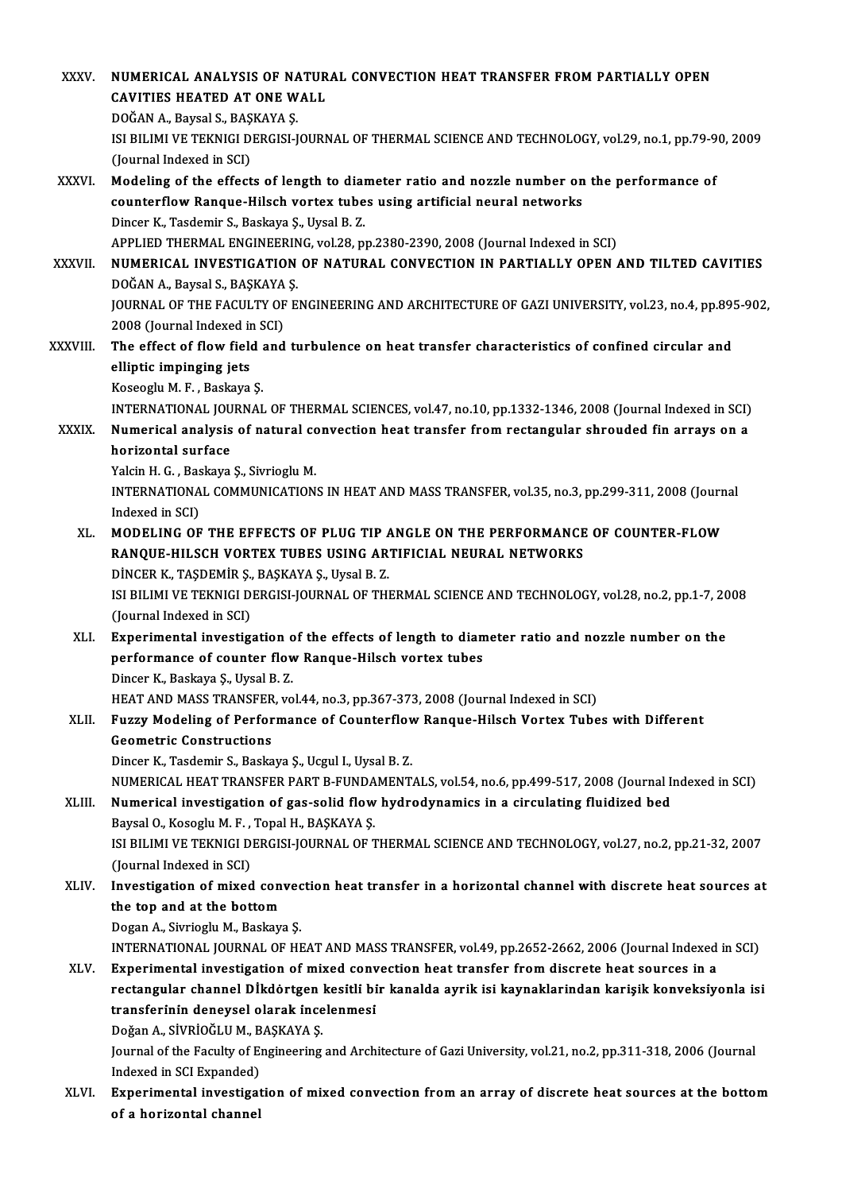| XXXV.         | NUMERICAL ANALYSIS OF NATURAL CONVECTION HEAT TRANSFER FROM PARTIALLY OPEN                                                                                              |
|---------------|-------------------------------------------------------------------------------------------------------------------------------------------------------------------------|
|               | <b>CAVITIES HEATED AT ONE WALL</b>                                                                                                                                      |
|               | DOĞAN A., Baysal S., BAŞKAYA Ş.                                                                                                                                         |
|               | ISI BILIMI VE TEKNIGI DERGISI-JOURNAL OF THERMAL SCIENCE AND TECHNOLOGY, vol.29, no.1, pp.79-90, 2009                                                                   |
|               | (Journal Indexed in SCI)                                                                                                                                                |
| XXXVI.        | Modeling of the effects of length to diameter ratio and nozzle number on the performance of                                                                             |
|               | counterflow Ranque-Hilsch vortex tubes using artificial neural networks                                                                                                 |
|               | Dincer K., Tasdemir S., Baskaya Ş., Uysal B.Z.                                                                                                                          |
|               | APPLIED THERMAL ENGINEERING, vol.28, pp.2380-2390, 2008 (Journal Indexed in SCI)<br>NUMERICAL INVESTIGATION OF NATURAL CONVECTION IN PARTIALLY OPEN AND TILTED CAVITIES |
| <b>XXXVII</b> | DOĞAN A., Baysal S., BAŞKAYA Ş.                                                                                                                                         |
|               | JOURNAL OF THE FACULTY OF ENGINEERING AND ARCHITECTURE OF GAZI UNIVERSITY, vol.23, no.4, pp.895-902,                                                                    |
|               | 2008 (Journal Indexed in SCI)                                                                                                                                           |
| XXXVIII.      | The effect of flow field and turbulence on heat transfer characteristics of confined circular and                                                                       |
|               | elliptic impinging jets                                                                                                                                                 |
|               | Koseoglu M F, Baskaya S.                                                                                                                                                |
|               | INTERNATIONAL JOURNAL OF THERMAL SCIENCES, vol.47, no.10, pp.1332-1346, 2008 (Journal Indexed in SCI)                                                                   |
| XXXIX.        | Numerical analysis of natural convection heat transfer from rectangular shrouded fin arrays on a                                                                        |
|               | horizontal surface                                                                                                                                                      |
|               | Yalcin H. G., Baskaya Ş., Sivrioglu M.                                                                                                                                  |
|               | INTERNATIONAL COMMUNICATIONS IN HEAT AND MASS TRANSFER, vol.35, no.3, pp.299-311, 2008 (Journal                                                                         |
|               | Indexed in SCI)                                                                                                                                                         |
| XL.           | MODELING OF THE EFFECTS OF PLUG TIP ANGLE ON THE PERFORMANCE OF COUNTER-FLOW                                                                                            |
|               | RANQUE-HILSCH VORTEX TUBES USING ARTIFICIAL NEURAL NETWORKS                                                                                                             |
|               | DİNCER K., TAŞDEMİR Ş., BAŞKAYA Ş., Uysal B.Z.                                                                                                                          |
|               | ISI BILIMI VE TEKNIGI DERGISI-JOURNAL OF THERMAL SCIENCE AND TECHNOLOGY, vol.28, no.2, pp.1-7, 2008                                                                     |
|               | (Journal Indexed in SCI)                                                                                                                                                |
| XLI.          | Experimental investigation of the effects of length to diameter ratio and nozzle number on the                                                                          |
|               | performance of counter flow Ranque-Hilsch vortex tubes<br>Dincer K., Baskaya Ş., Uysal B. Z.                                                                            |
|               | HEAT AND MASS TRANSFER, vol.44, no.3, pp.367-373, 2008 (Journal Indexed in SCI)                                                                                         |
| XLII.         | Fuzzy Modeling of Performance of Counterflow Ranque-Hilsch Vortex Tubes with Different                                                                                  |
|               | <b>Geometric Constructions</b>                                                                                                                                          |
|               | Dincer K., Tasdemir S., Baskaya Ş., Ucgul I., Uysal B. Z.                                                                                                               |
|               | NUMERICAL HEAT TRANSFER PART B-FUNDAMENTALS, vol.54, no.6, pp.499-517, 2008 (Journal Indexed in SCI)                                                                    |
| XLIII.        | Numerical investigation of gas-solid flow hydrodynamics in a circulating fluidized bed                                                                                  |
|               | Baysal O., Kosoglu M. F., Topal H., BAŞKAYA Ş.                                                                                                                          |
|               | ISI BILIMI VE TEKNIGI DERGISI-JOURNAL OF THERMAL SCIENCE AND TECHNOLOGY, vol.27, no.2, pp.21-32, 2007                                                                   |
|               | (Journal Indexed in SCI)                                                                                                                                                |
| XLIV.         | Investigation of mixed convection heat transfer in a horizontal channel with discrete heat sources at                                                                   |
|               | the top and at the bottom                                                                                                                                               |
|               | Dogan A., Sivrioglu M., Baskaya Ş.                                                                                                                                      |
|               | INTERNATIONAL JOURNAL OF HEAT AND MASS TRANSFER, vol.49, pp.2652-2662, 2006 (Journal Indexed in SCI)                                                                    |
| XLV.          | Experimental investigation of mixed convection heat transfer from discrete heat sources in a                                                                            |
|               | rectangular channel Dİkdortgen kesitli bir kanalda ayrik isi kaynaklarindan karişik konveksiyonla isi                                                                   |
|               | transferinin deneysel olarak incelenmesi                                                                                                                                |
|               | Doğan A, SİVRİOĞLU M, BAŞKAYA Ş.                                                                                                                                        |
|               | Journal of the Faculty of Engineering and Architecture of Gazi University, vol.21, no.2, pp.311-318, 2006 (Journal<br>Indexed in SCI Expanded)                          |
| XLVI.         | Experimental investigation of mixed convection from an array of discrete heat sources at the bottom                                                                     |
|               | of a horizontal channel                                                                                                                                                 |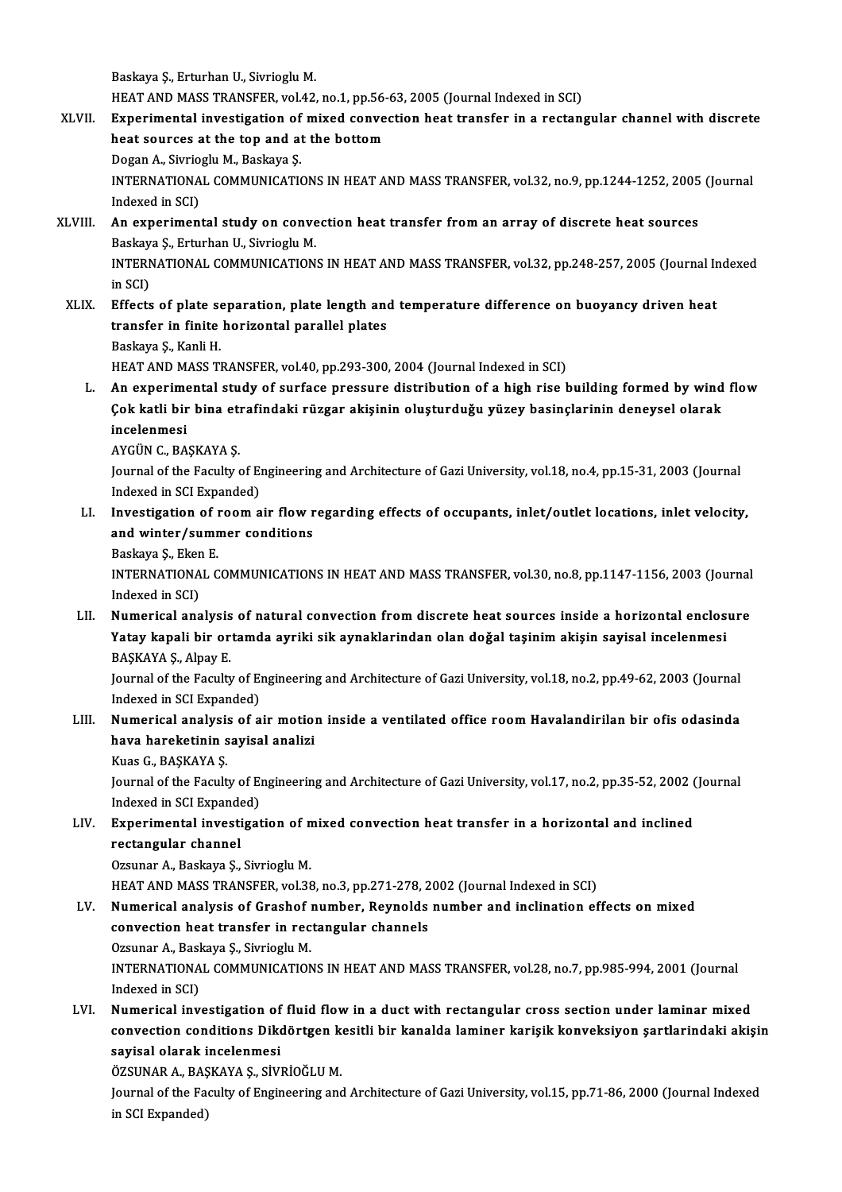Baskaya Ş., Erturhan U., Sivrioglu M.

Baskaya Ş., Erturhan U., Sivrioglu M.<br>HEAT AND MASS TRANSFER, vol.42, no.1, pp.56-63, 2005 (Journal Indexed in SCI)<br>Eunenimental investigation of mived convection heat transfor in a nestan

- XLVII. Experimental investigation of mixed convection heat transfer in a rectangular channel with discrete HEAT AND MASS TRANSFER, vol.42, no.1, pp.56-<br>Experimental investigation of mixed conve<br>heat sources at the top and at the bottom<br>Degan A. Simiegly M. Beslave S heat sources at the top and at the bottom INTERNATIONAL COMMUNICATIONS IN HEAT AND MASS TRANSFER, vol.32, no.9, pp.1244-1252, 2005 (Journal Indexed in SCI) Dogan A., Sivrioglu M., Baskaya Ş. INTERNATIONAL COMMUNICATIONS IN HEAT AND MASS TRANSFER, vol.32, no.9, pp.1244-1252, 2005<br>Indexed in SCI)<br>XLVIII. An experimental study on convection heat transfer from an array of discrete heat sources<br>Reckays S. Etturban
- Indexed in SCI)<br>**An experimental study on conve**<br>Baskaya Ş., Erturhan U., Sivrioglu M.<br>INTERNATIONAL COMMINICATION An experimental study on convection heat transfer from an array of discrete heat sources<br>Baskaya Ş., Erturhan U., Sivrioglu M.<br>INTERNATIONAL COMMUNICATIONS IN HEAT AND MASS TRANSFER, vol.32, pp.248-257, 2005 (Journal Index Baskay<br>INTERN<br>in SCI)<br>Effects INTERNATIONAL COMMUNICATIONS IN HEAT AND MASS TRANSFER, vol.32, pp.248-257, 2005 (Journal In<br>in SCI)<br>XLIX. Effects of plate separation, plate length and temperature difference on buoyancy driven heat<br>transfor in finite her
- in SCI)<br>Effects of plate separation, plate length and<br>transfer in finite horizontal parallel plates<br>Peckave S. Kapli H transfer in finite horizontal parallel plates<br>Baskaya Ş., Kanli H.
	-

HEAT AND MASS TRANSFER, vol.40, pp.293-300, 2004 (Journal Indexed in SCI)

L. An experimental study of surface pressure distribution of a high rise building formed by wind flow HEAT AND MASS TRANSFER, vol.40, pp.293-300, 2004 (Journal Indexed in SCI)<br>An experimental study of surface pressure distribution of a high rise building formed by wind<br>Çok katli bir bina etrafindaki rüzgar akişinin oluştur An experime<br>Çok katli bir<br>incelenmesi<br>AVCÜN C-RA **Çok katli bir bina eth**<br>incelenmesi<br>AYGÜN C., BAŞKAYA Ş.<br>Journal of the Foculty

incelenmesi<br>AYGÜN C., BAŞKAYA Ş.<br>Journal of the Faculty of Engineering and Architecture of Gazi University, vol.18, no.4, pp.15-31, 2003 (Journal AYGÜN C., BAŞKAYA Ş.<br>Journal of the Faculty of El<br>Indexed in SCI Expanded)<br>Investigation of room a Journal of the Faculty of Engineering and Architecture of Gazi University, vol.18, no.4, pp.15-31, 2003 (Journal<br>Indexed in SCI Expanded)<br>LI. Investigation of room air flow regarding effects of occupants, inlet/outlet loca

- Indexed in SCI Expanded)<br>LI. Investigation of room air flow regarding effects of occupants, inlet/outlet locations, inlet velocity,<br>and winter/summer conditions
	- Baskaya Ş., Eken E

and winter/summer conditions<br>Baskaya Ş., Eken E.<br>INTERNATIONAL COMMUNICATIONS IN HEAT AND MASS TRANSFER, vol.30, no.8, pp.1147-1156, 2003 (Journal Baskaya Ş., Eker<br>INTERNATIONA<br>Indexed in SCI)<br>Numarical ana INTERNATIONAL COMMUNICATIONS IN HEAT AND MASS TRANSFER, vol.30, no.8, pp.1147-1156, 2003 (Journal<br>Indexed in SCI)<br>LII. Numerical analysis of natural convection from discrete heat sources inside a horizontal enclosure<br>Vatau

Indexed in SCI)<br>LII. Numerical analysis of natural convection from discrete heat sources inside a horizontal enclosure<br>Yatay kapali bir ortamda ayriki sik aynaklarindan olan doǧal taşinim akişin sayisal incelenmesi BAŞKAYAŞ, Alpay E Yatay kapali bir ortamda ayriki sik aynaklarindan olan doğal taşinim akişin sayisal incelenmesi<br>BAŞKAYA Ş., Alpay E.<br>Journal of the Faculty of Engineering and Architecture of Gazi University, vol.18, no.2, pp.49-62, 2003 (

BAŞKAYA Ş., Alpay E.<br>Journal of the Faculty of El<br>Indexed in SCI Expanded)<br>Numeriaal analysis of a Journal of the Faculty of Engineering and Architecture of Gazi University, vol.18, no.2, pp.49-62, 2003 (Journal<br>Indexed in SCI Expanded)<br>LIII. Numerical analysis of air motion inside a ventilated office room Havalandirila

- Indexed in SCI Expanded)<br>Numerical analysis of air motiol<br>hava hareketinin sayisal analizi<br><sup>Vuqq C</sup>, BASVAVA S **Numerical analysi:<br>hava hareketinin s<br>Kuas G., BAŞKAYA Ş.<br>Journal of the Focult** 
	-

hava hareketinin sayisal analizi<br>Kuas G., BAŞKAYA Ş.<br>Journal of the Faculty of Engineering and Architecture of Gazi University, vol.17, no.2, pp.35-52, 2002 (Journal Kuas G., BAŞKAYA Ş.<br>Journal of the Faculty of El<br>Indexed in SCI Expanded)<br>Eunorimental investisat Journal of the Faculty of Engineering and Architecture of Gazi University, vol.17, no.2, pp.35-52, 2002 (<br>Indexed in SCI Expanded)<br>LIV. Experimental investigation of mixed convection heat transfer in a horizontal and incli

Indexed in SCI Expanded)<br>Experimental investigation of n<br>rectangular channel<br>Ozsunar A., Baskaya Ş., Sivrioglu M. Experimental investigation of n<br>rectangular channel<br>Ozsunar A., Baskaya Ş., Sivrioglu M.<br>HEAT AND MASS TRANSEER vol 29

HEAT AND MASS TRANSFER, vol.38, no.3, pp.271-278, 2002 (Journal Indexed in SCI)

- Ozsunar A., Baskaya Ş., Sivrioglu M.<br>HEAT AND MASS TRANSFER, vol.38, no.3, pp.271-278, 2002 (Journal Indexed in SCI)<br>LV. Numerical analysis of Grashof number, Reynolds number and inclination effects on mixed<br>convection bes HEAT AND MASS TRANSFER, vol.38, no.3, pp.271-278, 2<br>Numerical analysis of Grashof number, Reynolds<br>convection heat transfer in rectangular channels<br>Ozsunar A. Baskava S. Sivriagh: M convection heat transfer in rectangular channels INTERNATIONAL COMMUNICATIONS IN HEAT AND MASS TRANSFER, vol.28, no.7, pp.985-994, 2001 (Journal Indexed in SCI) Ozsunar A., Baskaya Ş., Sivrioglu M.
- LVI. Numerical investigation of fluid flowin a ductwith rectangular cross section under laminar mixed Indexed in SCI)<br>Numerical investigation of fluid flow in a duct with rectangular cross section under laminar mixed<br>convection conditions Dikdörtgen kesitli bir kanalda laminer karişik konveksiyon şartlarindaki akişin<br>sevis sayisal olarak incelenmesi<br>ÖZSUNAR A., BAŞKAYA Ş., SİVRİOĞLU M. convection conditions Dikdörtgen k<br>sayisal olarak incelenmesi<br>ÖZSUNAR A., BAŞKAYA Ş., SİVRİOĞLU M.<br>Journal of the Faquity of Engineering and

sayisal olarak incelenmesi<br>ÖZSUNAR A., BAŞKAYA Ş., SİVRİOĞLU M.<br>Journal of the Faculty of Engineering and Architecture of Gazi University, vol.15, pp.71-86, 2000 (Journal Indexed<br>in SCL Eunanded) ÖZSUNAR A., BAŞ<br>Journal of the Fa<br>in SCI Expanded)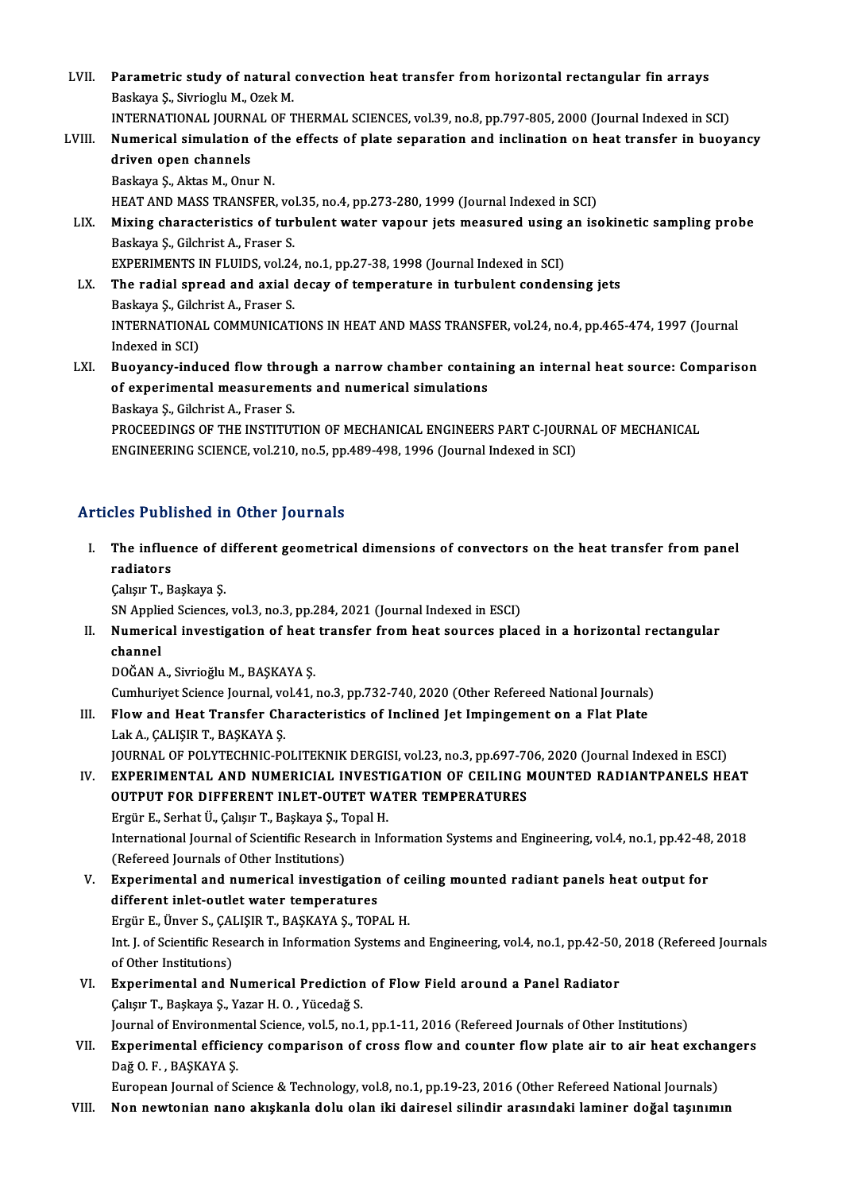LVII. Parametric study of natural convection heat transfer from horizontal rectangular fin arrays<br>Reckays S. Sivricaly M. Orel: M. Parametric study of natural<br>Baskaya Ş., Sivrioglu M., Ozek M.<br>INTERNATIONAL JOURNAL OF T Parametric study of natural convection heat transfer from horizontal rectangular fin arrays<br>Baskaya Ş., Sivrioglu M., Ozek M.<br>INTERNATIONAL JOURNAL OF THERMAL SCIENCES, vol.39, no.8, pp.797-805, 2000 (Journal Indexed in SC Baskaya \$., Sivrioglu M., Ozek M.<br>INTERNATIONAL JOURNAL OF THERMAL SCIENCES, vol.39, no.8, pp.797-805, 2000 (Journal Indexed in SCI)<br>LVIII. Numerical simulation of the effects of plate separation and inclination on heat tr INTERNATIONAL JOURN.<br>Numerical simulation<br>driven open channels<br>Baskava S. Aktas M. Opu **Numerical simulation of t<br>driven open channels<br>Baskaya Ş., Aktas M., Onur N.<br>HEAT AND MASS TRANSEED** driven open channels<br>Baskaya Ş., Aktas M., Onur N.<br>HEAT AND MASS TRANSFER, vol.35, no.4, pp.273-280, 1999 (Journal Indexed in SCI)<br>Miving characteristics of turbulant water vanour ists measured using an is Baskaya Ş., Aktas M., Onur N.<br>HEAT AND MASS TRANSFER, vol.35, no.4, pp.273-280, 1999 (Journal Indexed in SCI)<br>LIX. Mixing characteristics of turbulent water vapour jets measured using an isokinetic sampling probe<br>Baskaya S HEAT AND MASS TRANSFER, vo.<br>Mixing characteristics of ture<br>Baskaya Ş., Gilchrist A., Fraser S.<br>EXPERIMENTS IN ELUIDS vol.24 Mixing characteristics of turbulent water vapour jets measured using<br>Baskaya \$., Gilchrist A., Fraser S.<br>EXPERIMENTS IN FLUIDS, vol.24, no.1, pp.27-38, 1998 (Journal Indexed in SCI)<br>The radial spreed and avial desay of tem LX. The radial spread and axial decay of temperature in turbulent condensing jets<br>Baskaya S., Gilchrist A., Fraser S. EXPERIMENTS IN FLUIDS, vol.24<br>The radial spread and axial of<br>Baskaya \$., Gilchrist A., Fraser S.<br>INTERNATIONAL COMMUNICAT The radial spread and axial decay of temperature in turbulent condensing jets<br>Baskaya \$., Gilchrist A., Fraser S.<br>INTERNATIONAL COMMUNICATIONS IN HEAT AND MASS TRANSFER, vol.24, no.4, pp.465-474, 1997 (Journal<br>Indeved in S Baskaya Ş., Gilch<br>INTERNATIONA<br>Indexed in SCI)<br>Buovonav indi INTERNATIONAL COMMUNICATIONS IN HEAT AND MASS TRANSFER, vol.24, no.4, pp.465-474, 1997 (Journal<br>Indexed in SCI)<br>LXI. Buoyancy-induced flow through a narrow chamber containing an internal heat source: Comparison<br>of our exte Indexed in SCI)<br>Buoyancy-induced flow through a narrow chamber contain<br>of experimental measurements and numerical simulations<br>Beskave S. Silshrist A. Enasor S. Buoyancy-induced flow thro<br>of experimental measuremer<br>Baskaya Ş., Gilchrist A., Fraser S.<br>PROCEEDINCS OF THE INSTITUT of experimental measurements and numerical simulations<br>Baskaya Ş., Gilchrist A., Fraser S.<br>PROCEEDINGS OF THE INSTITUTION OF MECHANICAL ENGINEERS PART C-JOURNAL OF MECHANICAL

ENGINEERING SCIENCE, vol.210, no.5, pp.489-498, 1996 (Journal Indexed in SCI)

#### Articles Published in Other Journals

- rticles Published in Other Journals<br>I. The influence of different geometrical dimensions of convectors on the heat transfer from panel<br>redistars The influe<br>The influe<br>Colum<sup>T</sup> P The influence of d<br>radiators<br>Çalışır T., Başkaya Ş.<br>S.N. Annlied Sciences radiators<br>Çalışır T., Başkaya Ş.<br>SN Applied Sciences, vol.3, no.3, pp.284, 2021 (Journal Indexed in ESCI)<br>Numerisel investigation of heat transfor from heat seurees plas
	-

Calışır T., Başkaya Ş.<br>SN Applied Sciences, vol.3, no.3, pp.284, 2021 (Journal Indexed in ESCI)<br>II. Numerical investigation of heat transfer from heat sources placed in a horizontal rectangular<br>channel SN Applie<br>Numeric<br>channel<br>DOČAN 4 channel<br>DOĞAN A., Sivrioğlu M., BAŞKAYA Ş.<br>Cumhuriyet Science Journal, vol.41, no.3, pp.732-740, 2020 (Other Refereed National Journals)<br>Flow and Heet Transfor Characteristics of Inclined Jot Impingement en a Elet Plate

DOĞANA.,SivrioğluM.,BAŞKAYAŞ.

III. Flow and Heat Transfer Characteristics of Inclined Jet Impingement on a Flat Plate<br>Lak A., CALISIR T., BASKAYA S. Cumhuriyet Science Journal, vo<br>Flow and Heat Transfer Ch<br>Lak A., ÇALIŞIR T., BAŞKAYA Ş.<br>JOUPNAL OF POLYTECHNIC PO Flow and Heat Transfer Characteristics of Inclined Jet Impingement on a Flat Plate<br>Lak A., ÇALIŞIR T., BAŞKAYA Ş.<br>JOURNAL OF POLYTECHNIC-POLITEKNIK DERGISI, vol.23, no.3, pp.697-706, 2020 (Journal Indexed in ESCI)<br>EXPERIME

IV. EXPERIMENTAL AND NUMERICIAL INVESTIGATION OF CEILING MOUNTED RADIANTPANELS HEAT JOURNAL OF POLYTECHNIC-POLITEKNIK DERGISI, vol.23, no.3, pp.697-70<br>EXPERIMENTAL AND NUMERICIAL INVESTIGATION OF CEILING I<br>OUTPUT FOR DIFFERENT INLET-OUTET WATER TEMPERATURES<br>Fraür E. Sorbat Ü. Colisur T. Baskava S. Tonal H OUTPUT FOR DIFFERENT INLET-OUTET WATER TEMPERATURES<br>Ergür E., Serhat Ü., Çalışır T., Başkaya Ş., Topal H.

International Journal of Scientific Research in Information Systems and Engineering, vol.4, no.1, pp.42-48, 2018 (Refereed Journals of Other Institutions) International Journal of Scientific Research in Information Systems and Engineering, vol.4, no.1, pp.42-48<br>(Refereed Journals of Other Institutions)<br>V. Experimental and numerical investigation of ceiling mounted radiant pa

- (Refereed Journals of Other Institutions)<br>Experimental and numerical investigation<br>different inlet-outlet water temperatures<br>Frgün E. Ünyor S. CALISIP T. RASKAVA S. TOR Experimental and numerical investigation of continuent in the toutiet water temperatures<br>Ergür E., Ünver S., ÇALIŞIR T., BAŞKAYA Ş., TOPAL H.<br>Int Lef Scientific Besearsh in Information Systems a different inlet-outlet water temperatures<br>Ergür E., Ünver S., ÇALIŞIR T., BAŞKAYA Ş., TOPAL H.<br>Int. J. of Scientific Research in Information Systems and Engineering, vol.4, no.1, pp.42-50, 2018 (Refereed Journals<br>of Other Ergür E., Ünver S., ÇAI<br>Int. J. of Scientific Rese<br>of Other Institutions)<br>Eunouimental and A Int. J. of Scientific Research in Information Systems and Engineering, vol.4, no.1, pp.42-50,<br>of Other Institutions)<br>VI. Experimental and Numerical Prediction of Flow Field around a Panel Radiator<br>Color T. Boskave S. Varor
- of Other Institutions)<br>VI. Experimental and Numerical Prediction of Flow Field around a Panel Radiator<br>Calışır T., Başkaya Ş., Yazar H. O. , Yücedağ S. Experimental and Numerical Prediction of Flow Field around a Panel Radiator<br>Çalışır T., Başkaya Ş., Yazar H. O. , Yücedağ S.<br>Journal of Environmental Science, vol.5, no.1, pp.1-11, 2016 (Refereed Journals of Other Institut Callsur T., Başkaya Ş., Yazar H. O. , Yücedağ S.<br>Journal of Environmental Science, vol.5, no.1, pp.1-11, 2016 (Refereed Journals of Other Institutions)<br>VII. Experimental efficiency comparison of cross flow and counter flow
- Journal of Environmer<br><mark>Experimental efficie</mark><br>Dağ O. F. , BAŞKAYA Ş.<br>Euronsan Journal of S. Experimental efficiency comparison of cross flow and counter flow plate air to air heat excha<br>Dağ 0. F. , BAŞKAYA Ş.<br>European Journal of Science & Technology, vol.8, no.1, pp.19-23, 2016 (Other Refereed National Journals)<br>

Dağ O. F. , BAŞKAYA Ş.<br>European Journal of Science & Technology, vol.8, no.1, pp.19-23, 2016 (Other Refereed National Journals)<br>VIII. Non newtonian nano akışkanla dolu olan iki dairesel silindir arasındaki laminer doğa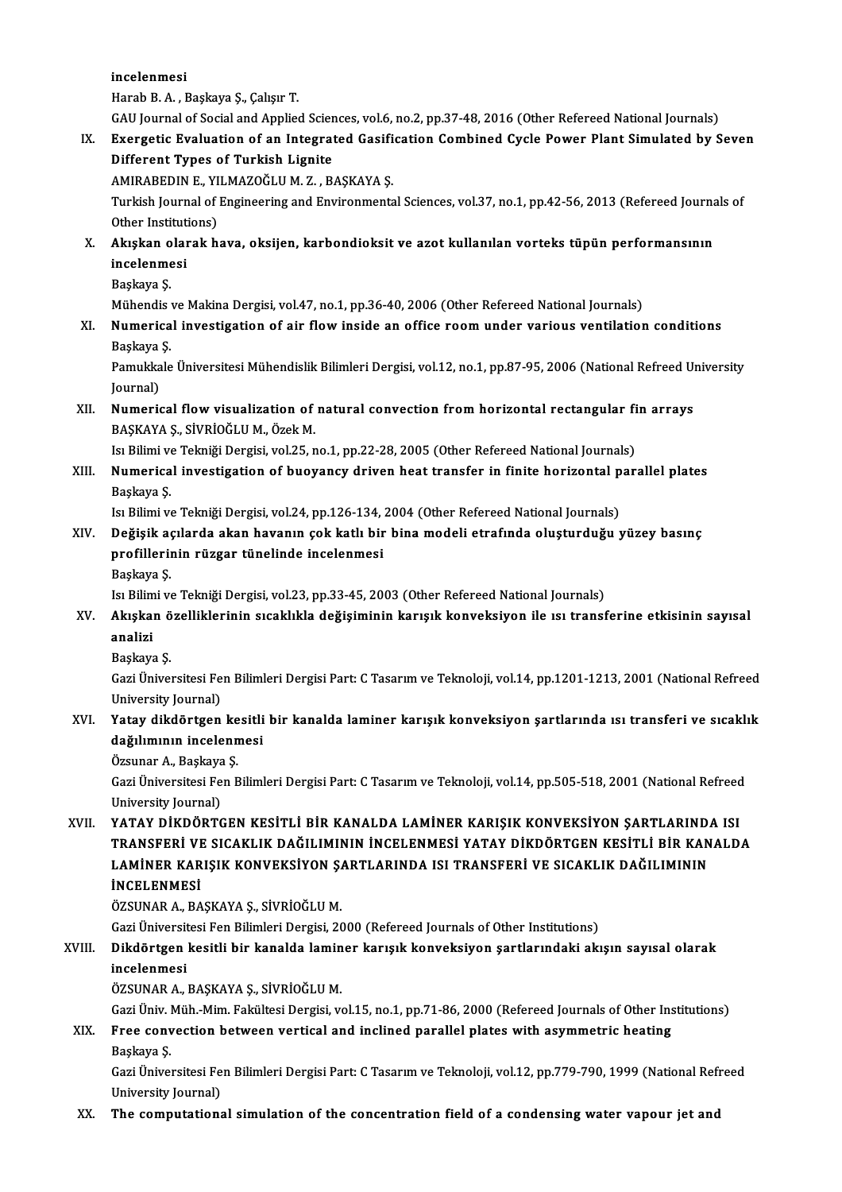incelenmesi

HarabB.A. ,Başkaya Ş.,ÇalışırT.

GAU Journal of Social and Applied Sciences, vol.6, no.2, pp.37-48, 2016 (Other Refereed National Journals)

## Harab B. A. , Başkaya Ş., Çalışır T.<br>GAU Journal of Social and Applied Sciences, vol.6, no.2, pp.37-48, 2016 (Other Refereed National Journals)<br>IX. Exergetic Evaluation of an Integrated Gasification Combined Cycle Power Pl GAU Journal of Social and Applied Scien<br>Exergetic Evaluation of an Integrat<br>Different Types of Turkish Lignite<br>AMIPAREDIN E, VILMAZOČLUM Z, R Exergetic Evaluation of an Integrated Gasifi<br>Different Types of Turkish Lignite<br>AMIRABEDIN E., YILMAZOĞLUM. Z. , BAŞKAYA Ş.<br>Turkish Journal of Engineering and Envirenments

Different Types of Turkish Lignite<br>AMIRABEDIN E., YILMAZOĞLU M. Z. , BAŞKAYA Ş.<br>Turkish Journal of Engineering and Environmental Sciences, vol.37, no.1, pp.42-56, 2013 (Refereed Journals of<br>Other Institutions) AMIRABEDIN E., YI<br>Turkish Journal of<br>Other Institutions)<br>Aluskan olarak b Turkish Journal of Engineering and Environmental Sciences, vol.37, no.1, pp.42-56, 2013 (Refereed Journa<br>Other Institutions)<br>X. Akışkan olarak hava, oksijen, karbondioksit ve azot kullanılan vorteks tüpün performansının<br>in

### Other Institut<br>Akışkan olar<br>incelenmesi<br><sup>Poskovo S</sup> Akışkan o<br>incelenme<br>Başkaya Ş.<br>Mühandisa incelenmesi<br>Başkaya Ş.<br>Mühendis ve Makina Dergisi, vol.47, no.1, pp.36-40, 2006 (Other Refereed National Journals)

## Başkaya Ş.<br>Mühendis ve Makina Dergisi, vol.47, no.1, pp.36-40, 2006 (Other Refereed National Journals)<br>XI. Numerical investigation of air flow inside an office room under various ventilation conditions<br>Reclevye S Mühendis<br>**Numerica**<br>Başkaya Ş.<br><sup>Romukkala</sub></sup> Numerical investigation of air flow inside an office room under various ventilation conditions<br>Başkaya Ş.<br>Pamukkale Üniversitesi Mühendislik Bilimleri Dergisi, vol.12, no.1, pp.87-95, 2006 (National Refreed University<br>Iour

Başkaya<br>Pamukka<br>Journal)<br>Numeris Pamukkale Üniversitesi Mühendislik Bilimleri Dergisi, vol.12, no.1, pp.87-95, 2006 (National Refreed Un<br>Journal)<br>XII. Numerical flow visualization of natural convection from horizontal rectangular fin arrays<br>RASYAVA S. SİV

## Journal)<br><mark>Numerical flow visualization of</mark><br>BAŞKAYA Ş., SİVRİOĞLU M., Özek M.<br>Isı Bilimi ve Telmiği Dergisi, vel 25. r Numerical flow visualization of natural convection from horizontal rectangular fi<br>BAŞKAYA Ş., SİVRİOĞLU M., Özek M.<br>Isı Bilimi ve Tekniği Dergisi, vol.25, no.1, pp.22-28, 2005 (Other Refereed National Journals)<br>Numerical i

BAŞKAYA Ş., SİVRİOĞLU M., Özek M.<br>Isı Bilimi ve Tekniği Dergisi, vol.25, no.1, pp.22-28, 2005 (Other Refereed National Journals)<br>XIII. Numerical investigation of buoyancy driven heat transfer in finite horizontal paral Isı Bilimi ve<br>**Numerica**<br>Başkaya Ş.<br>Isı Bilimi ve Numerical investigation of buoyancy driven heat transfer in finite horizontal p<br>Başkaya Ş.<br>Isı Bilimi ve Tekniği Dergisi, vol.24, pp.126-134, 2004 (Other Refereed National Journals)<br>Değisik asılarda akan bayanın sak katlı

## Başkaya Ş.<br>Isı Bilimi ve Tekniği Dergisi, vol.24, pp.126-134, 2004 (Other Refereed National Journals)<br>XIV. Değişik açılarda akan havanın çok katlı bir bina modeli etrafında oluşturduğu yüzey basınç<br> Isı Bilimi ve Tekniği Dergisi, vol.24, pp.126-134,<br>Değişik açılarda akan havanın çok katlı bir<br>profillerinin rüzgar tünelinde incelenmesi<br><sup>Bookaya</sup> S De<mark>ğişik a</mark><br>profillerii<br>Başkaya Ş.<br>Je Bilimi v profillerinin rüzgar tünelinde incelenmesi<br>Başkaya Ş.<br>Isı Bilimi ve Tekniği Dergisi, vol.23, pp.33-45, 2003 (Other Refereed National Journals)<br>Akıskan özelliklerinin sısaklıkla değisiminin karısık konveksiyen ile ısı tzans

## Başkaya Ş.<br>Isı Bilimi ve Tekniği Dergisi, vol.23, pp.33-45, 2003 (Other Refereed National Journals)<br>XV. Akışkan özelliklerinin sıcaklıkla değişiminin karışık konveksiyon ile ısı transferine etkisinin sayısal<br>Analiri Isi Bilim<br><mark>Akışka</mark>ı<br>analizi <mark>Akışkan ö</mark><br>analizi<br>Başkaya Ş.<br>Gazi Üniyel

**analizi**<br>Başkaya Ş.<br>Gazi Üniversitesi Fen Bilimleri Dergisi Part: C Tasarım ve Teknoloji, vol.14, pp.1201-1213, 2001 (National Refreed Başkaya Ş.<br>Gazi Üniversitesi Fe<br>University Journal)<br>Yatay diladörtson Gazi Üniversitesi Fen Bilimleri Dergisi Part: C Tasarım ve Teknoloji, vol.14, pp.1201-1213, 2001 (National Refreed<br>University Journal)<br>XVI. Yatay dikdörtgen kesitli bir kanalda laminer karışık konveksiyon şartlarında ısı

## University Journal)<br>Yatay dikdörtgen kesitli<br>dağılımının incelenmesi Yatay dikdörtgen ke<br>dağılımının incelenn<br>Özsunar A., Başkaya Ş.<br>Ceri Üniversitesi Fen E

**dağılımının incelenmesi**<br>Özsunar A., Başkaya Ş.<br>Gazi Üniversitesi Fen Bilimleri Dergisi Part: C Tasarım ve Teknoloji, vol.14, pp.505-518, 2001 (National Refreed Özsunar A., Başkaya<br>Gazi Üniversitesi Fe<br>University Journal)<br>YATAY DİKDÖPTC

#### University Journal)<br>XVII. YATAY DİKDÖRTGEN KESİTLİ BİR KANALDA LAMİNER KARIŞIK KONVEKSİYON SARTLARINDA ISI University Journal)<br>YATAY DİKDÖRTGEN KESİTLİ BİR KANALDA LAMİNER KARIŞIK KONVEKSİYON ŞARTLARINDA ISI<br>TAMİNER KARISIK KONVEKSİYON SARTLARINDA ISI TRANSEERİ VE SICAKLIK DAĞILIMININ YATAY DİKDÖRTGEN KESİTLİ BİR KANALDA LAMİNER KARIŞIK KONVEKSİYON ŞARTLARIND.<br>TRANSFERİ VE SICAKLIK DAĞILIMININ İNCELENMESİ YATAY DİKDÖRTGEN KESİTLİ BİR KAN<br>LAMİNER KARIŞIK KONVEKSİYON ŞARTLARINDA ISI TRANSFERİ VE SICAKLIK TRANSFERİ VI<br>LAMİNER KAR<br>İNCELENMESİ<br>ÖZSUNAR A-RA LAMİNER KARIŞIK KONVEKSİYON ŞARTLARINDA ISI TRANSFERİ VE SICAKLIK DAĞILIMININ İNCELENMESİ<br>İNCELENMESİ<br>ÖZSUNAR A., BAŞKAYA Ş., SİVRİOĞLU M.

Gazi Üniversitesi Fen Bilimleri Dergisi, 2000 (Refereed Journals of Other Institutions)

## ÖZSUNAR A., BAŞKAYA Ş., SİVRİOĞLU M.<br>Gazi Üniversitesi Fen Bilimleri Dergisi, 2000 (Refereed Journals of Other Institutions)<br>XVIII. Dikdörtgen kesitli bir kanalda laminer karışık konveksiyon şartlarındaki akışın sayısa Gazi Üniversit<br>Dikdörtgen<br>incelenmesi<br>ÖZSUNAR A Dikdörtgen kesitli bir kanalda lamin<br>incelenmesi<br>ÖZSUNAR A., BAŞKAYA Ş., SİVRİOĞLU M.<br>Ceri Üniy. Müh. Mim Feltültesi Dergisi va incelenmesi<br>ÖZSUNAR A., BAŞKAYA Ş., SİVRİOĞLU M.<br>Gazi Üniv. Müh.-Mim. Fakültesi Dergisi, vol.15, no.1, pp.71-86, 2000 (Refereed Journals of Other Institutions)<br>Enee senyestion between vertisel and inslined navallel plates

## ÖZSUNAR A., BAŞKAYA Ş., SİVRİOĞLU M.<br>Gazi Üniv. Müh.-Mim. Fakültesi Dergisi, vol.15, no.1, pp.71-86, 2000 (Refereed Journals of Other Ins<br>XIX. Free convection between vertical and inclined parallel plates with asymmetr Gazi Üniv. l<br>Free conv<br>Başkaya Ş.<br>Gazi Ünivel Free convection between vertical and inclined parallel plates with asymmetric heating<br>Başkaya Ş.<br>Gazi Üniversitesi Fen Bilimleri Dergisi Part: C Tasarım ve Teknoloji, vol.12, pp.779-790, 1999 (National Refreed<br>University J

Başkaya Ş.<br>Gazi Üniversitesi Fe<br>University Journal)<br>The computations

## XX. The computational simulation of the concentration field of a condensing water vapour jet and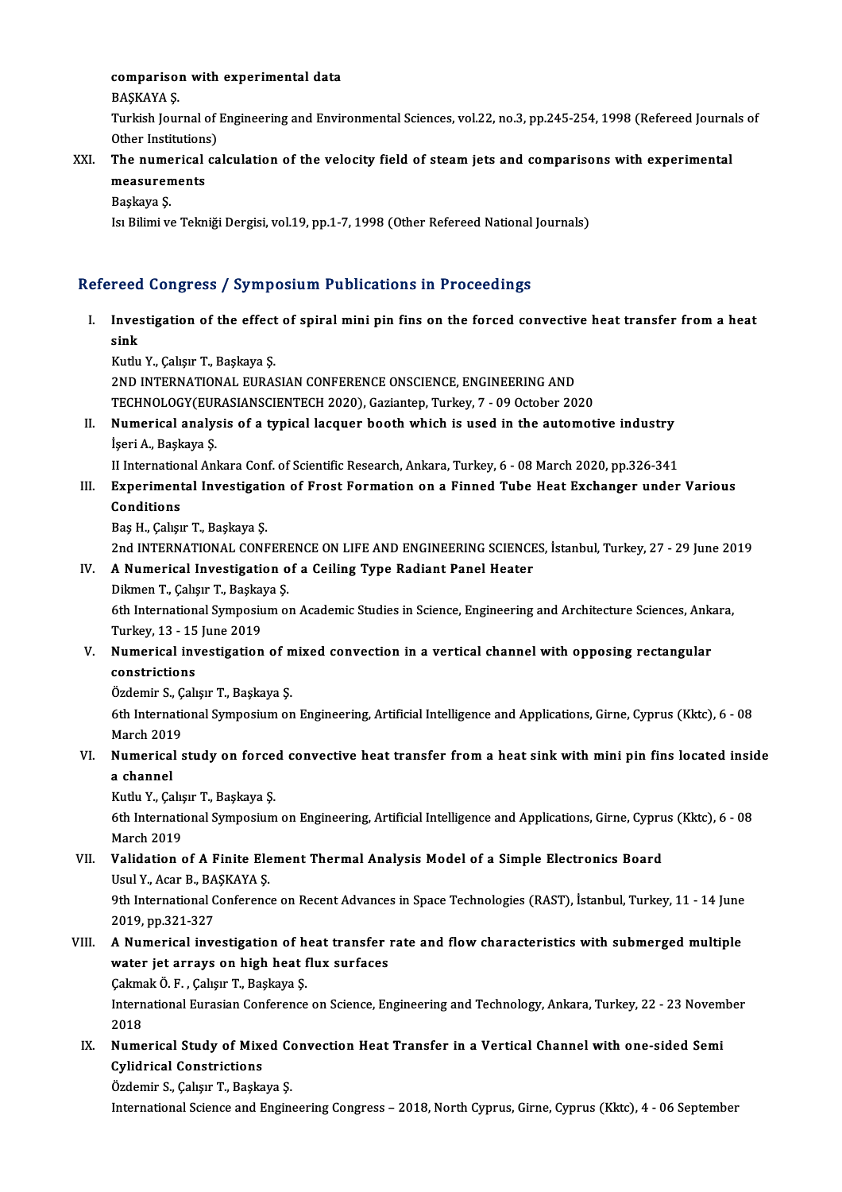# COMPATISON WITH EXPETIMENTAL<br>PASKAVA S

compariso<br>BAŞKAYA Ş.<br>Turkish Jour

comparison with experimental data<br>BAŞKAYA Ş.<br>Turkish Journal of Engineering and Environmental Sciences, vol.22, no.3, pp.245-254, 1998 (Refereed Journals of BAŞKAYA Ş.<br>Turkish Journal of J<br>Other Institutions)<br>The numerisal sa Turkish Journal of Engineering and Environmental Sciences, vol.22, no.3, pp.245-254, 1998 (Refereed Journa<br>Other Institutions)<br>XXI. The numerical calculation of the velocity field of steam jets and comparisons with experim

Other Institutions<br>The numerical<br>measurements<br>Paskava S The nume<br>measuren<br>Başkaya Ş.<br>Je Bilimi v

measurements<br>Başkaya Ş.<br>Isı Bilimi ve Tekniği Dergisi, vol.19, pp.1-7, 1998 (Other Refereed National Journals)

#### Refereed Congress / Symposium Publications in Proceedings

efereed Congress / Symposium Publications in Proceedings<br>I. Investigation of the effect of spiral mini pin fins on the forced convective heat transfer from a heat<br>Rink reed<br>Inve:<br>sink Investigation of the effect<br>sink<br>Kutlu Y., Çalışır T., Başkaya Ş.<br>2ND INTERNATIONAL EURAS sink<br>Kutlu Y., Çalışır T., Başkaya Ş.<br>2ND INTERNATIONAL EURASIAN CONFERENCE ONSCIENCE, ENGINEERING AND

Kutlu Y., Çalışır T., Başkaya Ş.<br>2ND INTERNATIONAL EURASIAN CONFERENCE ONSCIENCE, ENGINEERING AND<br>TECHNOLOGY(EURASIANSCIENTECH 2020), Gaziantep, Turkey, 7 - 09 October 2020<br>Numerisel analysis of a tynisel leggyer boeth yık

2ND INTERNATIONAL EURASIAN CONFERENCE ONSCIENCE, ENGINEERING AND<br>TECHNOLOGY(EURASIANSCIENTECH 2020), Gaziantep, Turkey, 7 - 09 October 2020<br>II. Numerical analysis of a typical lacquer booth which is used in the automotive TECHNOLOGY(EUF<br>Numerical analy:<br>İşeri A., Başkaya Ş.<br>II International An Numerical analysis of a typical lacquer booth which is used in the automotive industry<br>İşeri A., Başkaya Ş.<br>II International Ankara Conf. of Scientific Research, Ankara, Turkey, 6 - 08 March 2020, pp.326-341<br>Experimental I İşeri A., Başkaya Ş.<br>II International Ankara Conf. of Scientific Research, Ankara, Turkey, 6 - 08 March 2020, pp.326-341<br>III. Experimental Investigation of Frost Formation on a Finned Tube Heat Exchanger under Various<br>

II International Ankara Conf. of Scientific Research, Ankara, Turkey, 6 - 08 March 2020, pp.326-341

Baş H., Çalışır T., Başkaya Ş.

Conditions<br>Baş H., Çalışır T., Başkaya Ş.<br>2nd INTERNATIONAL CONFERENCE ON LIFE AND ENGINEERING SCIENCES, İstanbul, Turkey, 27 - 29 June 2019<br>A Numerisel Investisation of a Ceiling Tyne Bediant Banel Heater

## IV. A Numerical Investigation of a Ceiling Type Radiant Panel Heater 2nd INTERNATIONAL CONFERE<br>**A Numerical Investigation o**<br>Dikmen T., Çalışır T., Başkaya Ş.<br><sup>Eth</sup> International Sumnosium ol

A Numerical Investigation of a Ceiling Type Radiant Panel Heater<br>Dikmen T., Çalışır T., Başkaya Ş.<br>6th International Symposium on Academic Studies in Science, Engineering and Architecture Sciences, Ankara,<br>Turkay 12, 15 Ju Dikmen T., Çalışır T., Başkay<br>6th International Symposiu<br>Turkey, 13 - 15 June 2019<br>Numorical investisation 6th International Symposium on Academic Studies in Science, Engineering and Architecture Sciences, Ank:<br>Turkey, 13 - 15 June 2019<br>V. Numerical investigation of mixed convection in a vertical channel with opposing rectangul

## Turkey, 13 - 15<br>Numerical inv<br>constrictions<br>Ördemin S. Colv Numerical investigation of m<br>constrictions<br>Özdemir S., Çalışır T., Başkaya Ş.<br><sup>6th International Sumnasium on</sup>

6th International<br>6th International Symposium on Engineering, Artificial Intelligence and Applications, Girne, Cyprus (Kktc), 6 - 08<br>6th International Symposium on Engineering, Artificial Intelligence and Applications, Gir Özdemir S., Çalışır T., Başkaya Ş.

## 6th International Symposium on Engineering, Artificial Intelligence and Applications, Girne, Cyprus (Kktc), 6 - 08<br>March 2019<br>VI. Numerical study on forced convective heat transfer from a heat sink with mini pin fins locat March 201<sup>1</sup><br>**Numerical**<br>**a channel**<br>Kuth Y. Co Numerical study on force<br>a channel<br>Kutlu Y., Çalışır T., Başkaya Ş.<br><sup>6th Intornational Sumnosium</sup>

a channel<br>Kutlu Y., Çalışır T., Başkaya Ş.<br>6th International Symposium on Engineering, Artificial Intelligence and Applications, Girne, Cyprus (Kktc), 6 - 08<br>March 2019 Kutlu Y., Çalış<br>6th Internatio<br>March 2019<br>Validation 6th International Symposium on Engineering, Artificial Intelligence and Applications, Girne, Cypru<br>March 2019<br>VII. Validation of A Finite Element Thermal Analysis Model of a Simple Electronics Board<br>Usul V. Agar B. RASKAVA

## March 2019<br>**Validation of A Finite Ele**<br>Usul Y., Acar B., BAŞKAYA Ş.<br><sup>Oth</sup> International Conferenc Validation of A Finite Element Thermal Analysis Model of a Simple Electronics Board<br>Usul Y., Acar B., BAŞKAYA Ş.<br>9th International Conference on Recent Advances in Space Technologies (RAST), İstanbul, Turkey, 11 - 14 June<br>

Usul Y., Acar B., BA<br>9th International C<br>2019, pp.321-327<br>A Numerical inve 9th International Conference on Recent Advances in Space Technologies (RAST), İstanbul, Turkey, 11 - 14 June<br>2019, pp.321-327<br>VIII. A Numerical investigation of heat transfer rate and flow characteristics with submerged mu

## 2019, pp.321-327<br>A Numerical investigation of heat transfer<br>water jet arrays on high heat flux surfaces A Numerical investigation of h<br>water jet arrays on high heat f<br>Çakmak Ö. F. , Çalışır T., Başkaya Ş.<br>International Eurosian Conference

Çakmak Ö. F., Çalışır T., Başkaya Ş.

water jet arrays on high heat flux surfaces<br>Çakmak Ö. F. , Çalışır T., Başkaya Ş.<br>International Eurasian Conference on Science, Engineering and Technology, Ankara, Turkey, 22 - 23 November<br>2018 International Eurasian Conference on Science, Engineering and Technology, Ankara, Turkey, 22 - 23 Novem<br>2018<br>IX. Numerical Study of Mixed Convection Heat Transfer in a Vertical Channel with one-sided Semi<br>Cylidrical Constr

## 2018<br>Numerical Study of Mixe<br>Cylidrical Constrictions<br>Ördemin S. Colsur T. Boska Numerical Study of Mixed Constructions<br>Cylidrical Constrictions<br>Özdemir S., Çalışır T., Başkaya Ş.<br>International Science and Engin

Cylidrical Constrictions<br>Özdemir S., Çalışır T., Başkaya Ş.<br>International Science and Engineering Congress – 2018, North Cyprus, Girne, Cyprus (Kktc), 4 - 06 September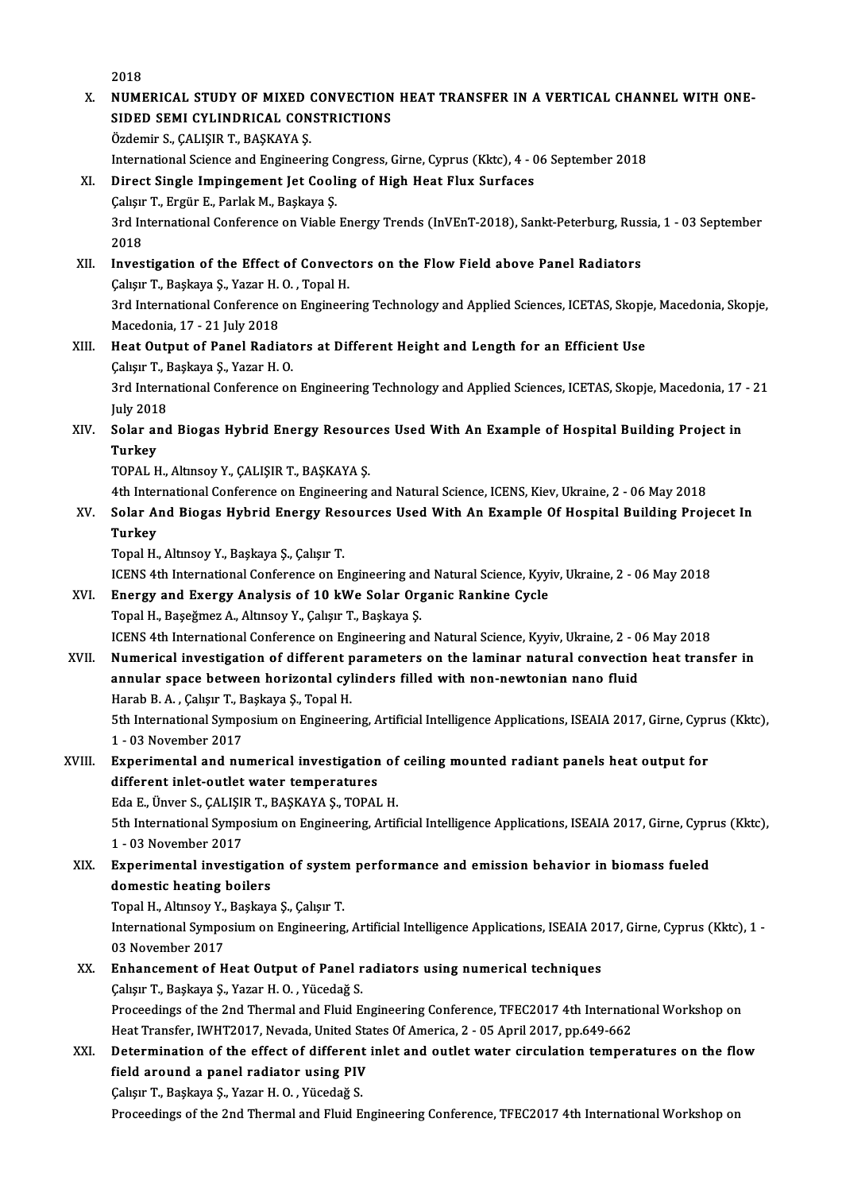2018

- 2018<br>X. NUMERICAL STUDY OF MIXED CONVECTION HEAT TRANSFER IN A VERTICAL CHANNEL WITH ONE-<br>SIDED SEMI CYLINDRICAL CONSTRICTIONS 2018<br>NUMERICAL STUDY OF MIXED CONVECTION<br>SIDED SEMI CYLINDRICAL CONSTRICTIONS<br>Ördemir S. CALISID T. BASKAVA S NUMERICAL STUDY OF MIXED (<br>SIDED SEMI CYLINDRICAL CON<br>Özdemir S., ÇALIŞIR T., BAŞKAYA Ş.<br>International Science and Engineeri SIDED SEMI CYLINDRICAL CONSTRICTIONS<br>Özdemir S., ÇALIŞIR T., BAŞKAYA Ş.<br>International Science and Engineering Congress, Girne, Cyprus (Kktc), 4 - 06 September 2018
- XI. Direct Single Impingement Jet Cooling of High Heat Flux Surfaces International Science and Engineering C<br>Direct Single Impingement Jet Cool:<br>Çalışır T., Ergür E., Parlak M., Başkaya Ş.<br><sup>2nd International Conference on Viable</sub></sup>

3rd International Conference on Viable Energy Trends (InVEnT-2018), Sankt-Peterburg, Russia, 1 - 03 September<br>2018 Calışır<br>3rd In<br>2018<br>Inves 3rd International Conference on Viable Energy Trends (InVEnT-2018), Sankt-Peterburg, Russ<br>2018<br>XII. Investigation of the Effect of Convectors on the Flow Field above Panel Radiators<br>Colum T. Baskays S. Varar H.O. Topel H.

2018<br>Investigation of the Effect of Convect<br>Çalışır T., Başkaya Ş., Yazar H. O. , Topal H.<br>2rd International Conference on Engineen 3rd International Conference on Engineering Technology and Applied Sciences, ICETAS, Skopje, Macedonia, Skopje,<br>Macedonia, 17 - 21 July 2018 Calışır T, Başkaya Ş, Yazar H.O., Topal H.

### 3rd International Conference on Engineering Technology and Applied Sciences, ICETAS, Skopje<br>Macedonia, 17 - 21 July 2018<br>XIII. Heat Output of Panel Radiators at Different Height and Length for an Efficient Use Macedonia, 17 - 21 July 2018<br>Heat Output of Panel Radiate<br>Çalışır T., Başkaya Ş., Yazar H. O.<br><sup>2nd Intornational Conference on</sup> Çalışır T., Başkaya Ş., Yazar H. O.

3rd International Conference on Engineering Technology and Applied Sciences, ICETAS, Skopje, Macedonia, 17 - 21<br>July 2018 3rd International Conference on Engineering Technology and Applied Sciences, ICETAS, Skopje, Macedonia, 17<br>July 2018<br>XIV. Solar and Biogas Hybrid Energy Resources Used With An Example of Hospital Building Project in

July 201<br><mark>Solar al</mark><br>Turkey<br>TOPAL E Solar and Biogas Hybrid Energy Resoure<br>Turkey<br>TOPAL H., Altınsoy Y., ÇALIŞIR T., BAŞKAYA Ş.<br>4th International Conference en Engineering. Turkey<br>TOPAL H., Altmsoy Y., ÇALIŞIR T., BAŞKAYA Ş.<br>4th International Conference on Engineering and Natural Science, ICENS, Kiev, Ukraine, 2 - 06 May 2018<br>Solar And Biagas Hybrid Energy Besourses Heed With An Example Of He

TOPAL H., Altınsoy Y., ÇALIŞIR T., BAŞKAYA Ş.<br>4th International Conference on Engineering and Natural Science, ICENS, Kiev, Ukraine, 2 - 06 May 2018<br>XV. Solar And Biogas Hybrid Energy Resources Used With An Example Of Ho 4th Inter<br>Solar Ar<br>Turkey<br><sup>Tonal H</sup> Turkey<br>Topal H., Altınsoy Y., Başkaya Ş., Çalışır T.<br>ICENS 4th International Conference on Engineering and Natural Science, Kyyiv, Ukraine, 2 - 06 May 2018<br>Energy and Exergy Analysis of 10 kWe Solar Organis Bankine Cycle

TopalH.,AltınsoyY.,Başkaya Ş.,ÇalışırT.

- XVI. Energy and Exergy Analysis of 10 kWe Solar Organic Rankine Cycle<br>Topal H., Baseğmez A., Altınsoy Y., Calısır T., Baskaya S. ICENS 4th International Conference on Engineering an<br>Energy and Exergy Analysis of 10 kWe Solar Org<br>Topal H., Başeğmez A., Altınsoy Y., Çalışır T., Başkaya Ş.<br>ICENS 4th International Conference on Engineering an ICENS 4th International Conference on Engineering and Natural Science, Kyyiv, Ukraine, 2 - 06 May 2018
- Topal H., Başeğmez A., Altınsoy Y., Çalışır T., Başkaya Ş.<br>ICENS 4th International Conference on Engineering and Natural Science, Kyyiv, Ukraine, 2 06 May 2018<br>XVII. Numerical investigation of different parameters on the ICENS 4th International Conference on Engineering and Natural Science, Kyyiv, Ukraine, 2 - 0<br>Numerical investigation of different parameters on the laminar natural convection<br>annular space between horizontal cylinders fill Numerical investigation of different p<br>annular space between horizontal cyl<br>Harab B.A., Çalışır T., Başkaya Ş., Topal H.<br>Eth International Sumnesium en Engineeri annular space between horizontal cylinders filled with non-newtonian nano fluid<br>Harab B. A. , Çalışır T., Başkaya Ş., Topal H.<br>5th International Symposium on Engineering, Artificial Intelligence Applications, ISEAIA 2017, Harab B. A. , Çalışır T., B<br>5th International Sympo<br>1 - 03 November 2017<br>Eunouimentel and nu

## 5th International Symposium on Engineering, Artificial Intelligence Applications, ISEAIA 2017, Girne, Cypr<br>1 - 03 November 2017<br>XVIII. Experimental and numerical investigation of ceiling mounted radiant panels heat output 1 - 03 November 2017<br>Experimental and numerical investigation<br>different inlet-outlet water temperatures Experimental and numerical investigation of<br>different inlet-outlet water temperatures<br>Eda E., Ünver S., ÇALIŞIR T., BAŞKAYA Ş., TOPAL H.<br>Eth International Sumperium on Engineering, Artif

different inlet-outlet water temperatures<br>Eda E., Ünver S., ÇALIŞIR T., BAŞKAYA Ş., TOPAL H.<br>5th International Symposium on Engineering, Artificial Intelligence Applications, ISEAIA 2017, Girne, Cyprus (Kktc), Eda E., Ünver S., ÇALIŞII<br>5th International Sympo<br>1 - 03 November 2017<br>Exnorimental investi 5th International Symposium on Engineering, Artificial Intelligence Applications, ISEAIA 2017, Girne, Cypr<br>1 - 03 November 2017<br>XIX. Experimental investigation of system performance and emission behavior in biomass fueled<br>

1 - 03 November 2017<br>Experimental investigation<br>domestic heating boilers<br>Topel H. Altmeeu Y. Boskavs Experimental investigation of systen<br>domestic heating boilers<br>Topal H., Altınsoy Y., Başkaya Ş., Çalışır T.<br>International Sumnosium on Engineering

domestic heating boilers<br>Topal H., Altınsoy Y., Başkaya Ş., Çalışır T.<br>International Symposium on Engineering, Artificial Intelligence Applications, ISEAIA 2017, Girne, Cyprus (Kktc), 1 -Topal H., Altınsoy Y.,<br>International Sympo<br>03 November 2017<br>Enhancement of H International Symposium on Engineering, Artificial Intelligence Applications, ISEAIA 20<br>03 November 2017<br>XX. Enhancement of Heat Output of Panel radiators using numerical techniques<br>Coluy T. Boskave S. Varar H.O. Vijeodoğ

## 03 November 2017<br>Enhancement of Heat Output of Panel radiators using numerical techniques<br>Çalışır T., Başkaya Ş., Yazar H. O. , Yücedağ S. Enhancement of Heat Output of Panel radiators using numerical techniques<br>Çalışır T., Başkaya Ş., Yazar H. O. , Yücedağ S.<br>Proceedings of the 2nd Thermal and Fluid Engineering Conference, TFEC2017 4th International Workshop Calışır T., Başkaya Ş., Yazar H. O. , Yücedağ S.<br>Proceedings of the 2nd Thermal and Fluid Engineering Conference, TFEC2017 4th Internation<br>Heat Transfer, IWHT2017, Nevada, United States Of America, 2 - 05 April 2017, pp.64

### Proceedings of the 2nd Thermal and Fluid Engineering Conference, TFEC2017 4th International Workshop on<br>Heat Transfer, IWHT2017, Nevada, United States Of America, 2 - 05 April 2017, pp.649-662<br>XXI. Determination of the eff Heat Transfer, IWHT2017, Nevada, United Sta<br>Determination of the effect of different<br>field around a panel radiator using PIV<br>Celeur T. Beeksus S. Veren H.O. Vüsedež S. Determination of the effect of different<br>field around a panel radiator using PIV<br>Çalışır T., Başkaya Ş., Yazar H. O. , Yücedağ S.<br>Proseedings of the 2nd Thermal and Fluid E. field around a panel radiator using PIV<br>Çalışır T., Başkaya Ş., Yazar H. O. , Yücedağ S.<br>Proceedings of the 2nd Thermal and Fluid Engineering Conference, TFEC2017 4th International Workshop on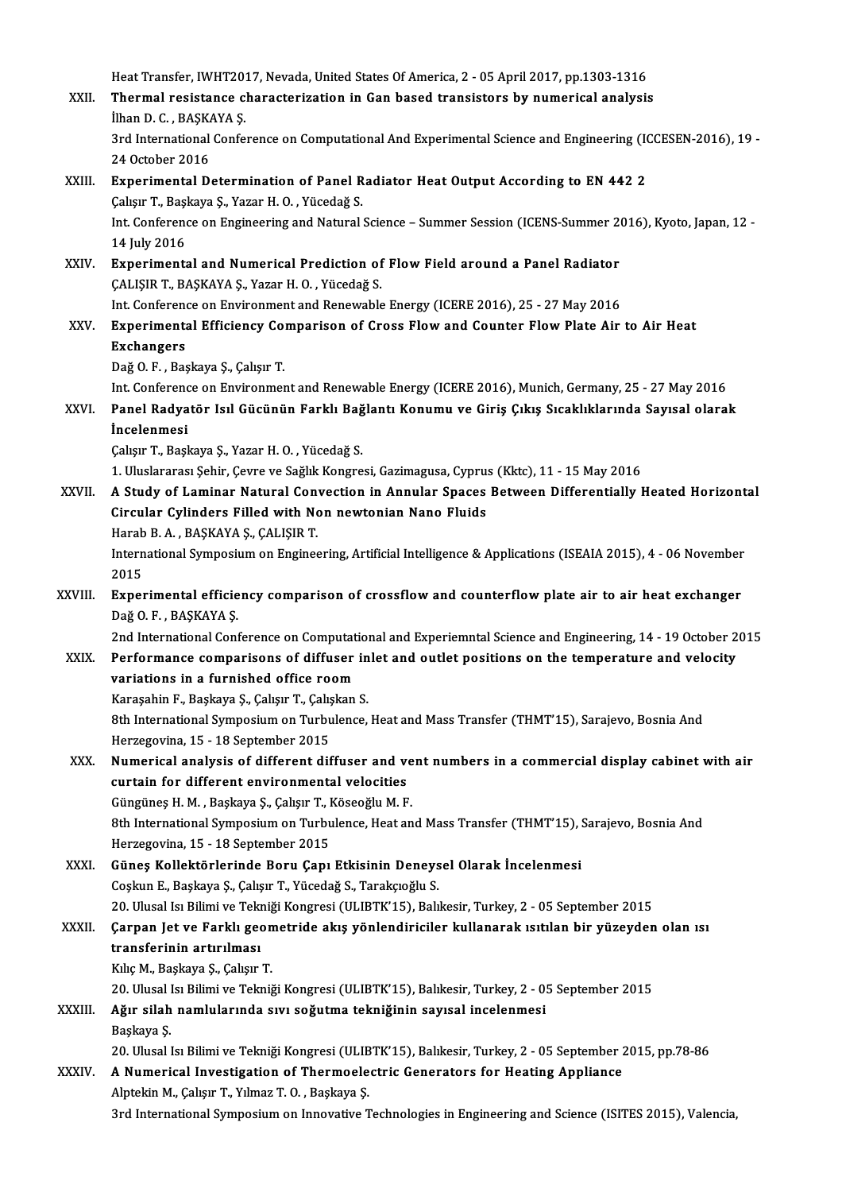Heat Transfer, IWHT2017, Nevada, United States Of America, 2 - 05 April 2017, pp.1303-1316<br>Thermal resistance characterization in Can based transistors by numerical analysis Heat Transfer, IWHT2017, Nevada, United States Of America, 2 - 05 April 2017, pp.1303-1316<br>XXII. Thermal resistance characterization in Gan based transistors by numerical analysis Heat Transfer, IWHT20<br>Thermal resistance<br>İlhan D. C. , BAŞKAYA Ş.<br><sup>2nd</sup> International Confe Thermal resistance characterization in Gan based transistors by numerical analysis<br>İlhan D. C. , BAŞKAYA Ş.<br>3rd International Conference on Computational And Experimental Science and Engineering (ICCESEN-2016), 19 -<br>24 Oct İlhan D. C. , BAŞK<br>3rd International<br>24 October 2016<br>Experimental D. XXIII. Experimental Determination of Panel Radiator Heat Output According to EN 442 2 24 October 2016<br>Experimental Determination of Panel R<br>Çalışır T., Başkaya Ş., Yazar H. O. , Yücedağ S.<br>Int Conference on Engineering and Natural. Int. Conference on Engineering and Natural Science – Summer Session (ICENS-Summer 2016), Kyoto, Japan, 12 - 14 July 2016 Calışır T., Başl<br>Int. Conferenc<br>14 July 2016<br>Evnoriments Int. Conference on Engineering and Natural Science – Summer Session (ICENS-Summer 20<br>14 July 2016<br>XXIV. Experimental and Numerical Prediction of Flow Field around a Panel Radiator<br>CALISIP T. PASKAVA S. Varar H.O. Visedoğ S ÇALIŞIR T., BAŞKAYA Ş., Yazar H. O. , Yücedağ S.<br>Int. Conference on Environment and Renewable Energy (ICERE 2016), 25 - 27 May 2016 Experimental and Numerical Prediction of Flow Field around a Panel Radiator<br>CALISIR T., BASKAYA S., Yazar H. O. , Yücedağ S.<br>Int. Conference on Environment and Renewable Energy (ICERE 2016), 25 - 27 May 2016<br>Experimental E CALISIR T., BASKAYA S., Yazar H. O. , Yücedağ S.<br>Int. Conference on Environment and Renewable Energy (ICERE 2016), 25 - 27 May 2016<br>XXV. Experimental Efficiency Comparison of Cross Flow and Counter Flow Plate Air to Air He Int Conference<br>Experiment<br>Exchangers<br>Dež O.E. Pes Experimental Efficiency Co<br>Exchangers<br>Dağ O. F. , Başkaya Ş., Çalışır T.<br>Int Conforence on Envirenmer Exchangers<br>Dağ O. F. , Başkaya Ş., Çalışır T.<br>Int. Conference on Environment and Renewable Energy (ICERE 2016), Munich, Germany, 25 - 27 May 2016 Dağ O. F. , Başkaya Ş., Çalışır T.<br>Int. Conference on Environment and Renewable Energy (ICERE 2016), Munich, Germany, 25 - 27 May 2016<br>XXVI. Panel Radyatör Isıl Gücünün Farklı Bağlantı Konumu ve Giriş Çıkış Sıcaklıklar Int. Conferend<br>Panel Radya<br>İncelenmesi<br>Cakay T. Basl Panel Radyatör Isıl Gücünün Farklı Bağ<br>İncelenmesi<br>Çalışır T., Başkaya Ş., Yazar H. O. , Yücedağ S.<br>1. Uluslararası Sehir Gaure ve Sağlık Kangre İncelenmesi<br>Çalışır T., Başkaya Ş., Yazar H. O. , Yücedağ S.<br>1. Uluslararası Şehir, Çevre ve Sağlık Kongresi, Gazimagusa, Cyprus (Kktc), 11 - 15 May 2016<br>A. Study of Laminar Natural Convection in Annular Spages Batween Dif Calışır T., Başkaya Ş., Yazar H. O. , Yücedağ S.<br>1. Uluslararası Şehir, Çevre ve Sağlık Kongresi, Gazimagusa, Cyprus (Kktc), 11 - 15 May 2016<br>XXVII. A Study of Laminar Natural Convection in Annular Spaces Between Diffe 1. Uluslararası Şehir, Çevre ve Sağlık Kongresi, Gazimagusa, Cypru:<br>A Study of Laminar Natural Convection in Annular Spaces<br>Circular Cylinders Filled with Non newtonian Nano Fluids<br>Harab B. A., BASKAVA S. CALISIP T A Study of Laminar Natural Con<br>Circular Cylinders Filled with No<br>Harab B.A., BAŞKAYA Ş., ÇALIŞIR T.<br>International Sumnesium on Engines International Symposium on Engineering, Artificial Intelligence & Applications (ISEAIA 2015), 4 - 06 November 2015 Harab<br>Intern<br>2015<br>Eyner International Symposium on Engineering, Artificial Intelligence & Applications (ISEAIA 2015), 4 - 06 November<br>2015<br>XXVIII. Experimental efficiency comparison of crossflow and counterflow plate air to air heat exchanger<br>D32 2015<br><mark>Experimental efficie</mark><br>Dağ O. F. , BAŞKAYA Ş.<br>2nd International Cort Dağ O. F. , BAŞKAYA Ş.<br>2nd International Conference on Computational and Experiemntal Science and Engineering, 14 - 19 October 2015 Dağ O. F. , BAŞKAYA Ş.<br>2nd International Conference on Computational and Experiemntal Science and Engineering, 14 - 19 October 2<br>XXIX. Performance comparisons of diffuser inlet and outlet positions on the temperature and v 2nd International Conference on Computat<br>Performance comparisons of diffuser<br>variations in a furnished office room<br>Kanasabin E. Baskave S. Colsar T. Colsakan Performance comparisons of diffuser in<br>variations in a furnished office room<br>Karaşahin F., Başkaya Ş., Çalışır T., Çalışkan S.<br><sup>9th Intornational Sumnosium on Turbulanco</sup> variations in a furnished office room<br>Karaşahin F., Başkaya Ş., Çalışır T., Çalışkan S.<br>8th International Symposium on Turbulence, Heat and Mass Transfer (THMT'15), Sarajevo, Bosnia And<br>Harragayina 15 - 18 Sartambar 2015 Karaşahin F., Başkaya Ş., Çalışır T., Çalış<br>8th International Symposium on Turbu<br>Herzegovina, 15 - 18 September 2015<br>Numerisal analyais of different dif 8th International Symposium on Turbulence, Heat and Mass Transfer (THMT'15), Sarajevo, Bosnia And<br>Herzegovina, 15 - 18 September 2015<br>XXX. Numerical analysis of different diffuser and vent numbers in a commercial display c Herzegovina, 15 - 18 September 2015<br>Numerical analysis of different diffuser and velocities<br>curtain for different environmental velocities<br>Süngünes H.M., Beskave S. Coleur T. Kösseğlu M. E Numerical analysis of different diffuser and ve<br>curtain for different environmental velocities<br>Güngüneş H. M. , Başkaya Ş., Çalışır T., Köseoğlu M. F.<br><sup>Oth Intornational Sumnosium on Turbulanca Hast an</sup> curtain for different environmental velocities<br>6üngüneş H. M. , Başkaya Ş., Çalışır T., Köseoğlu M. F.<br>8th International Symposium on Turbulence, Heat and Mass Transfer (THMT'15), Sarajevo, Bosnia And Herzegovina,15 -18 September 2015 8th International Symposium on Turbulence, Heat and Mass Transfer (THMT'15), S<br>Herzegovina, 15 - 18 September 2015<br>XXXI. Güneş Kollektörlerinde Boru Çapı Etkisinin Deneysel Olarak İncelenmesi<br>Coslup E. Beskava S. Coluy T. Herzegovina, 15 - 18 September 2015<br>Güneş Kollektörlerinde Boru Çapı Etkisinin Deneys<br>Coşkun E., Başkaya Ş., Çalışır T., Yücedağ S., Tarakçıoğlu S.<br>20 Hlucel Isı Bilimi ve Telmiği Kongresi (H. 1971/15), Peli Güneş Kollektörlerinde Boru Çapı Etkisinin Deneysel Olarak İncelenmesi<br>Coşkun E., Başkaya Ş., Çalışır T., Yücedağ S., Tarakçıoğlu S.<br>20. Ulusal Isı Bilimi ve Tekniği Kongresi (ULIBTK'15), Balıkesir, Turkey, 2 - 05 Septembe Coşkun E., Başkaya Ş., Çalışır T., Yücedağ S., Tarakçıoğlu S.<br>20. Ulusal Isı Bilimi ve Tekniği Kongresi (ULIBTK'15), Balıkesir, Turkey, 2 - 05 September 2015<br>XXXII. Çarpan Jet ve Farklı geometride akış yönlendiriciler 20. Ulusal Isı Bilimi ve Tekı<br>Çarpan Jet ve Farklı geo<br>transferinin artırılması<br>Kılıs M. Beskave S. Galisur Çarpan Jet ve Farklı geon<br>transferinin artırılması<br>Kılıç M., Başkaya Ş., Çalışır T.<br>20 Ulucal Isı Bilimi ve Telmi transferinin artırılması<br>Kılıç M., Başkaya Ş., Çalışır T.<br>20. Ulusal Isı Bilimi ve Tekniği Kongresi (ULIBTK'15), Balıkesir, Turkey, 2 - 05 September 2015<br>Ağır silab namlularında ayyı soğutma tekniğinin sayısal inselenmesi Kılıç M., Başkaya Ş., Çalışır T.<br>20. Ulusal Isı Bilimi ve Tekniği Kongresi (ULIBTK'15), Balıkesir, Turkey, 2 - 0!<br>XXXIII. Ağır silah namlularında sıvı soğutma tekniğinin sayısal incelenmesi<br>Başkaya Ş. 20. Ulusal l<br>**Ağır silah**<br>Başkaya Ş.<br>20. Ulusal l Ağır silah namlularında sıvı soğutma tekniğinin sayısal incelenmesi<br>Başkaya Ş.<br>20. Ulusal Isı Bilimi ve Tekniği Kongresi (ULIBTK'15), Balıkesir, Turkey, 2 - 05 September 2015, pp.78-86<br>A Numarical Investigation of Thermoel Başkaya Ş.<br>20. Ulusal Isı Bilimi ve Tekniği Kongresi (ULIBTK'15), Balıkesir, Turkey, 2 - 05 September 2<br>XXXIV. A Numerical Investigation of Thermoelectric Generators for Heating Appliance 20. Ulusal Isı Bilimi ve Tekniği Kongresi (ULIB<br>A Numerical Investigation of Thermoele<br>Alptekin M., Çalışır T., Yılmaz T. O. , Başkaya Ş.<br><sup>2nd International Sumnesium on Innevative T</sub></sup> A Numerical Investigation of Thermoelectric Generators for Heating Appliance<br>Alptekin M., Çalışır T., Yılmaz T. O. , Başkaya Ş.<br>3rd International Symposium on Innovative Technologies in Engineering and Science (ISITES 2015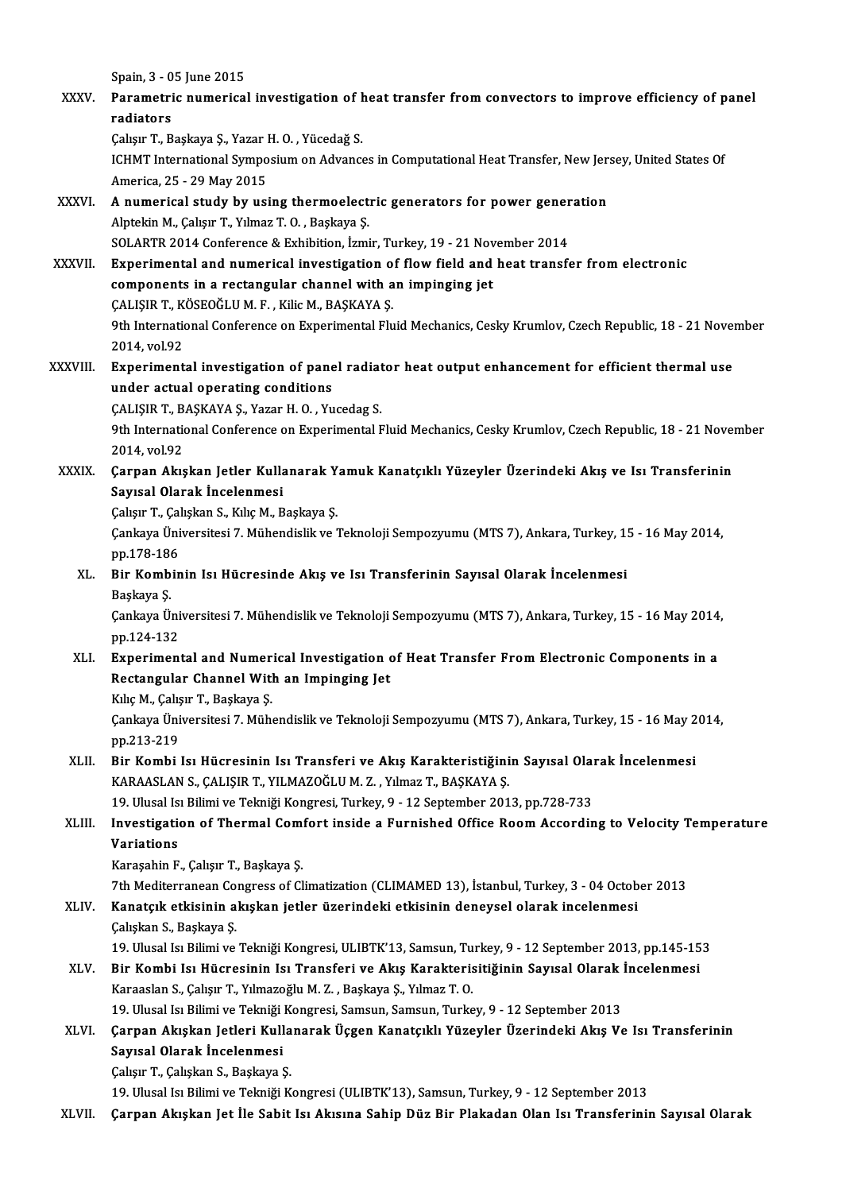|               | Spain, 3 - 05 June 2015                                                                                                                                                                   |
|---------------|-------------------------------------------------------------------------------------------------------------------------------------------------------------------------------------------|
| <b>XXXV</b>   | Parametric numerical investigation of heat transfer from convectors to improve efficiency of panel<br>radiators                                                                           |
|               | Çalışır T., Başkaya Ş., Yazar H.O., Yücedağ S.                                                                                                                                            |
|               | ICHMT International Symposium on Advances in Computational Heat Transfer, New Jersey, United States Of<br>America, 25 - 29 May 2015                                                       |
| XXXVI.        | A numerical study by using thermoelectric generators for power generation                                                                                                                 |
|               | Alptekin M., Çalışır T., Yılmaz T.O., Başkaya Ş.                                                                                                                                          |
|               | SOLARTR 2014 Conference & Exhibition, İzmir, Turkey, 19 - 21 November 2014                                                                                                                |
| <b>XXXVII</b> | Experimental and numerical investigation of flow field and heat transfer from electronic                                                                                                  |
|               | components in a rectangular channel with an impinging jet                                                                                                                                 |
|               | ÇALIŞIR T., KÖSEOĞLU M. F., Kilic M., BAŞKAYA Ş.                                                                                                                                          |
|               | 9th International Conference on Experimental Fluid Mechanics, Cesky Krumlov, Czech Republic, 18 - 21 November                                                                             |
|               | 2014, vol 92                                                                                                                                                                              |
| XXXVIII.      | Experimental investigation of panel radiator heat output enhancement for efficient thermal use                                                                                            |
|               | under actual operating conditions                                                                                                                                                         |
|               | ÇALIŞIR T., BAŞKAYA Ş., Yazar H. O., Yucedag S.                                                                                                                                           |
|               | 9th International Conference on Experimental Fluid Mechanics, Cesky Krumlov, Czech Republic, 18 - 21 November                                                                             |
|               | 2014, vol 92                                                                                                                                                                              |
| XXXIX.        | Çarpan Akışkan Jetler Kullanarak Yamuk Kanatçıklı Yüzeyler Üzerindeki Akış ve Isı Transferinin                                                                                            |
|               | Sayısal Olarak İncelenmesi                                                                                                                                                                |
|               | Çalışır T., Çalışkan S., Kılıç M., Başkaya Ş.                                                                                                                                             |
|               | Çankaya Üniversitesi 7. Mühendislik ve Teknoloji Sempozyumu (MTS 7), Ankara, Turkey, 15 - 16 May 2014,                                                                                    |
|               | pp 178-186                                                                                                                                                                                |
| XL.           | Bir Kombinin Isı Hücresinde Akış ve Isı Transferinin Sayısal Olarak İncelenmesi                                                                                                           |
|               | Başkaya Ş                                                                                                                                                                                 |
|               | Çankaya Üniversitesi 7. Mühendislik ve Teknoloji Sempozyumu (MTS 7), Ankara, Turkey, 15 - 16 May 2014,                                                                                    |
|               | pp 124-132                                                                                                                                                                                |
|               | XLI. Experimental and Numerical Investigation of Heat Transfer From Electronic Components in a                                                                                            |
|               | Rectangular Channel With an Impinging Jet                                                                                                                                                 |
|               | Kılıç M., Çalışır T., Başkaya Ş.                                                                                                                                                          |
|               | Çankaya Üniversitesi 7. Mühendislik ve Teknoloji Sempozyumu (MTS 7), Ankara, Turkey, 15 - 16 May 2014,                                                                                    |
|               | pp 213-219                                                                                                                                                                                |
| XLII.         | Bir Kombi Isı Hücresinin Isı Transferi ve Akış Karakteristiğinin Sayısal Olarak İncelenmesi                                                                                               |
|               | KARAASLAN S., ÇALIŞIR T., YILMAZOĞLU M. Z., Yılmaz T., BAŞKAYA Ş.                                                                                                                         |
|               | 19. Ulusal Isı Bilimi ve Tekniği Kongresi, Turkey, 9 - 12 September 2013, pp.728-733<br>Investigation of Thermal Comfort inside a Furnished Office Room According to Velocity Temperature |
| XLIII.        | Variations                                                                                                                                                                                |
|               | Karaşahin F., Çalışır T., Başkaya Ş.                                                                                                                                                      |
|               | 7th Mediterranean Congress of Climatization (CLIMAMED 13), İstanbul, Turkey, 3 - 04 October 2013                                                                                          |
| XLIV.         | Kanatçık etkisinin akışkan jetler üzerindeki etkisinin deneysel olarak incelenmesi                                                                                                        |
|               | Çalışkan S., Başkaya Ş.                                                                                                                                                                   |
|               | 19. Ulusal Isı Bilimi ve Tekniği Kongresi, ULIBTK'13, Samsun, Turkey, 9 - 12 September 2013, pp.145-153                                                                                   |
| XLV.          | Bir Kombi Isı Hücresinin Isı Transferi ve Akış Karakterisitiğinin Sayısal Olarak İncelenmesi                                                                                              |
|               | Karaaslan S., Çalışır T., Yılmazoğlu M. Z., Başkaya Ş., Yılmaz T. O.                                                                                                                      |
|               | 19. Ulusal Isı Bilimi ve Tekniği Kongresi, Samsun, Samsun, Turkey, 9 - 12 September 2013                                                                                                  |
| XLVI.         | Çarpan Akışkan Jetleri Kullanarak Üçgen Kanatçıklı Yüzeyler Üzerindeki Akış Ve Isı Transferinin                                                                                           |
|               | Sayısal Olarak İncelenmesi                                                                                                                                                                |
|               | Çalışır T., Çalışkan S., Başkaya Ş.                                                                                                                                                       |
|               | 19. Ulusal Isı Bilimi ve Tekniği Kongresi (ULIBTK'13), Samsun, Turkey, 9 - 12 September 2013                                                                                              |
| XLVII.        | Çarpan Akışkan Jet İle Sabit Isı Akısına Sahip Düz Bir Plakadan Olan Isı Transferinin Sayısal Olarak                                                                                      |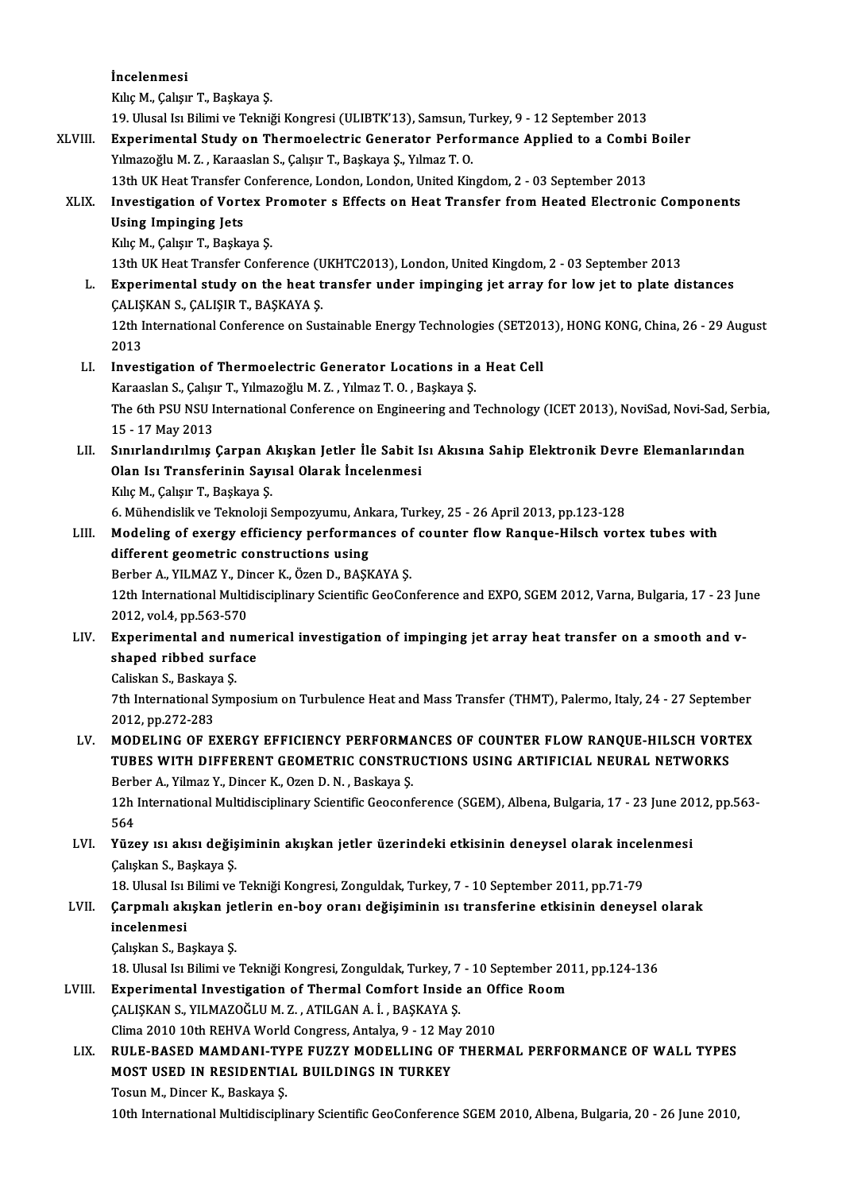İncelenmesi KılıçM.,ÇalışırT.,Başkaya Ş. 19.Ulusal IsıBilimiveTekniğiKongresi (ULIBTK'13),Samsun,Turkey,9 -12 September 2013 Kılıç M., Çalışır T., Başkaya Ş.<br>19. Ulusal Isı Bilimi ve Tekniği Kongresi (ULIBTK'13), Samsun, Turkey, 9 - 12 September 2013<br>XLVIII. Experimental Study on Thermoelectric Generator Performance Applied to a Combi Boiler<br>Vil 19. Ulusal Isı Bilimi ve Tekniği Kongresi (ULIBTK'13), Samsun, T<br>Experimental Study on Thermoelectric Generator Perfor<br>Yılmazoğlu M. Z. , Karaaslan S., Çalışır T., Başkaya Ş., Yılmaz T. O.<br>12th UK Host Transfor Conforence Experimental Study on Thermoelectric Generator Performance Applied to a Combi<br>13th UK Heat Transfer Conference, London, London, United Kingdom, 2 - 03 September 2013<br>Investigation of Vertex Premeter s Effects on Heat Trans Yılmazoğlu M. Z. , Karaaslan S., Çalışır T., Başkaya Ş., Yılmaz T. O.<br>13th UK Heat Transfer Conference, London, London, United Kingdom, 2 - 03 September 2013<br>XLIX. Investigation of Vortex Promoter s Effects on Heat Transfe 13th UK Heat Transfer<br>Investigation of Vort<br>Using Impinging Jets<br>Kike M. Caker T. Paska Investigation of Vortex P<br>Using Impinging Jets<br>Kılıç M., Çalışır T., Başkaya Ş.<br>12th U.V. Heat Transfor Confe Using Impinging Jets<br>Kılıç M., Çalışır T., Başkaya Ş.<br>13th UK Heat Transfer Conference (UKHTC2013), London, United Kingdom, 2 - 03 September 2013<br>Evnorimental study on the beat transfer under impinging ist errey for lew is Kılıç M., Çalışır T., Başkaya Ş.<br>13th UK Heat Transfer Conference (UKHTC2013), London, United Kingdom, 2 - 03 September 2013<br>1. Experimental study on the heat transfer under impinging jet array for low jet to plate distanc 13th UK Heat Transfer Conference (U<br>Experimental study on the heat t<br>CALIŞKAN S., ÇALIŞIR T., BAŞKAYA Ş. Experimental study on the heat transfer under impinging jet array for low jet to plate distances<br>CALISKAN S., CALISIR T., BASKAYA S.<br>12th International Conference on Sustainable Energy Technologies (SET2013), HONG KONG, Ch ÇALIŞKAN S., ÇALIŞIR T., BAŞKAYA Ş.<br>12th International Conference on Sustainable Energy Technologies (SET2013), HONG KONG, China, 26 - 29 August<br>2013 12th International Conference on Sustainable Energy Technologies (SET20<br>2013<br>LI. Investigation of Thermoelectric Generator Locations in a Heat Cell<br>Karasslap S. Calsur T. Vilmazağlu M.Z. Vilmaz T. O. Baskave S. 2013<br>Investigation of Thermoelectric Generator Locations in a<br>Karaaslan S., Çalışır T., Yılmazoğlu M. Z. , Yılmaz T. O. , Başkaya Ş.<br>The 6th PSU NSU International Conference on Engineering and 1 The 6th PSU NSU International Conference on Engineering and Technology (ICET 2013), NoviSad, Novi-Sad, Serbia,<br>15 - 17 May 2013 Karaaslan S., Çalışır T., Yılmazoğlu M. Z., Yılmaz T. O., Başkaya Ş. The 6th PSU NSU International Conference on Engineering and Technology (ICET 2013), NoviSad, Novi-Sad, Ser<br>15 - 17 May 2013<br>LII. Sınırlandırılmış Çarpan Akışkan Jetler İle Sabit Isı Akısına Sahip Elektronik Devre Elemanlar 15 - 17 May 2013<br>Sınırlandırılmış Çarpan Akışkan Jetler İle Sabit I<br>Olan Isı Transferinin Sayısal Olarak İncelenmesi Sınırlandırılmış Çarpan A<br>Olan Isı Transferinin Sayı<br>Kılıç M., Çalışır T., Başkaya Ş.<br>6 Mühandislik ve Talmalaji S 6.MühendislikveTeknoloji Sayısal Olarak İncelenmesi<br>19.Mühendislik ve Teknoloji Sempozyumu, Ankara, Turkey, 25 - 26 April 2013, pp.123-128<br>19. Mühendislik ve Teknoloji Sempozyumu, Ankara, Turkey, 25 - 26 April 2013, pp.123 Kılıç M., Çalışır T., Başkaya Ş.<br>6. Mühendislik ve Teknoloji Sempozyumu, Ankara, Turkey, 25 - 26 April 2013, pp.123-128<br>LIII. Modeling of exergy efficiency performances of counter flow Ranque-Hilsch vortex tubes with<br>diffe 6. Mühendislik ve Teknoloji Sempozyumu, Anl<br>Modeling of exergy efficiency performat<br>different geometric constructions using<br>Perber A, XII MAZ X, Dineer K, Özen D, PASK Modeling of exergy efficiency performances of<br>different geometric constructions using<br>Berber A., YILMAZ Y., Dincer K., Özen D., BAŞKAYA Ş.<br>12th International Multidissiplinery Scientific CooCor different geometric constructions using<br>Berber A., YILMAZ Y., Dincer K., Özen D., BAŞKAYA Ş.<br>12th International Multidisciplinary Scientific GeoConference and EXPO, SGEM 2012, Varna, Bulgaria, 17 - 23 June<br>2012, vol.4, pp. Berber A., YILMAZ Y., Dincer K., Özen D., BAŞKAYA Ş. 12th International Multidisciplinary Scientific GeoConference and EXPO, SGEM 2012, Varna, Bulgaria, 17 - 23 Ju<br>2012, vol.4, pp.563-570<br>LIV. Experimental and numerical investigation of impinging jet array heat transfer on a 2012, vol.4, pp.563-570<br>Experimental and nume<br>shaped ribbed surface shaped ribbed surface 7th International Symposium on Turbulence Heat and Mass Transfer (THMT), Palermo, Italy, 24 - 27 September 2012, pp.272-283 Caliskan S., Baskaya Ş. LV. MODELING OF EXERGY EFFICIENCY PERFORMANCES OF COUNTER FLOWRANQUE-HILSCH VORTEX 2012, pp.272-283<br>MODELING OF EXERGY EFFICIENCY PERFORMANCES OF COUNTER FLOW RANQUE-HILSCH VORT<br>TUBES WITH DIFFERENT GEOMETRIC CONSTRUCTIONS USING ARTIFICIAL NEURAL NETWORKS<br>Rerber A. Vilmes V. Dincer K. Oser D. N., Beskaue MODELING OF EXERGY EFFICIENCY PERFORMA<br>TUBES WITH DIFFERENT GEOMETRIC CONSTRI<br>Berber A., Yilmaz Y., Dincer K., Ozen D. N. , Baskaya Ş.<br>12h International Multidiacinlinew Scientific Cooconf TUBES WITH DIFFERENT GEOMETRIC CONSTRUCTIONS USING ARTIFICIAL NEURAL NETWORKS<br>Berber A., Yilmaz Y., Dincer K., Ozen D. N. , Baskaya Ş.<br>12h International Multidisciplinary Scientific Geoconference (SGEM), Albena, Bulgaria, **Berb**<br>12h<br>564<br><sup>Vüre</sup> 12h International Multidisciplinary Scientific Geoconference (SGEM), Albena, Bulgaria, 17 - 23 June 20<br>564<br>LVI. Yüzey ısı akısı değişiminin akışkan jetler üzerindeki etkisinin deneysel olarak incelenmesi<br>Calskan S. Baskava 564<br>Yüzey ısı akısı değiş<br>Çalışkan S., Başkaya Ş.<br>19. Ulucal Isı Bilimi ve Yüzey ısı akısı değişiminin akışkan jetler üzerindeki etkisinin deneysel olarak incel<br>Çalışkan S., Başkaya Ş.<br>18. Ulusal Isı Bilimi ve Tekniği Kongresi, Zonguldak, Turkey, 7 - 10 September 2011, pp.71-79<br>Carnmalı akışkan i Çalışkan S., Başkaya Ş.<br>18. Ulusal Isı Bilimi ve Tekniği Kongresi, Zonguldak, Turkey, 7 - 10 September 2011, pp.71-79<br>LVII. Çarpmalı akışkan jetlerin en-boy oranı değişiminin ısı transferine etkisinin deneysel olarak<br>i 18. Ulusal Isi I<br>Çarpmalı ak<br>incelenmesi<br>Calıskan S. Ba Çarpmalı akışkan je<br>incelenmesi<br>Çalışkan S., Başkaya Ş.<br>19. Ulucal Isı Bilimi ve incelenmesi<br>Çalışkan S., Başkaya Ş.<br>18. Ulusal Isı Bilimi ve Tekniği Kongresi, Zonguldak, Turkey, 7 - 10 September 2011, pp.124-136<br>Evnorimental Investisation of Thermal Comfort Inside en Office Beem Calışkan S., Başkaya Ş.<br>18. Ulusal Isı Bilimi ve Tekniği Kongresi, Zonguldak, Turkey, 7 - 10 September 20<br>19. Experimental Investigation of Thermal Comfort Inside an Office Room 18. Ulusal Isı Bilimi ve Tekniği Kongresi, Zonguldak, Turkey, 7<br>Experimental Investigation of Thermal Comfort Inside<br>ÇALIŞKAN S., YILMAZOĞLUM. Z. , ATILGAN A. İ. , BAŞKAYA Ş.<br>Clima 2010 10th PEHVA World Congress, Antalya Q Experimental Investigation of Thermal Comfort Inside an Of<br>CALISKAN S., YILMAZOĞLU M. Z. , ATILGAN A. İ. , BAŞKAYA Ş.<br>Clima 2010 10th REHVA World Congress, Antalya, 9 - 12 May 2010<br>PIILE PASED MAMDANI TYPE EUZZY MODELLING CALIŞKAN S., YILMAZOĞLU M. Z. , ATILGAN A. İ. , BAŞKAYA Ş.<br>Clima 2010 10th REHVA World Congress, Antalya, 9 - 12 May 2010<br>LIX. RULE-BASED MAMDANI-TYPE FUZZY MODELLING OF THERMAL PERFORMANCE OF WALL TYPES<br>MOST USED IN R Clima 2010 10th REHVA World Congress, Antalya, 9 - 12 Ma<br>RULE-BASED MAMDANI-TYPE FUZZY MODELLING OF<br>MOST USED IN RESIDENTIAL BUILDINGS IN TURKEY<br>Teaun M. Dinger K. Beekaun S RULE-BASED MAMDANI-TY<br>MOST USED IN RESIDENTIA<br>Tosun M., Dincer K., Baskaya Ş.<br>10th International Multidiscipli 10th International International Multidisciplinary Scientifics International Tosun M. Dincer K., Baskaya S.<br>10th International Multidisciplinary Scientific GeoConference SGEM 2010, Albena, Bulgaria, 20 - 26 June 2010,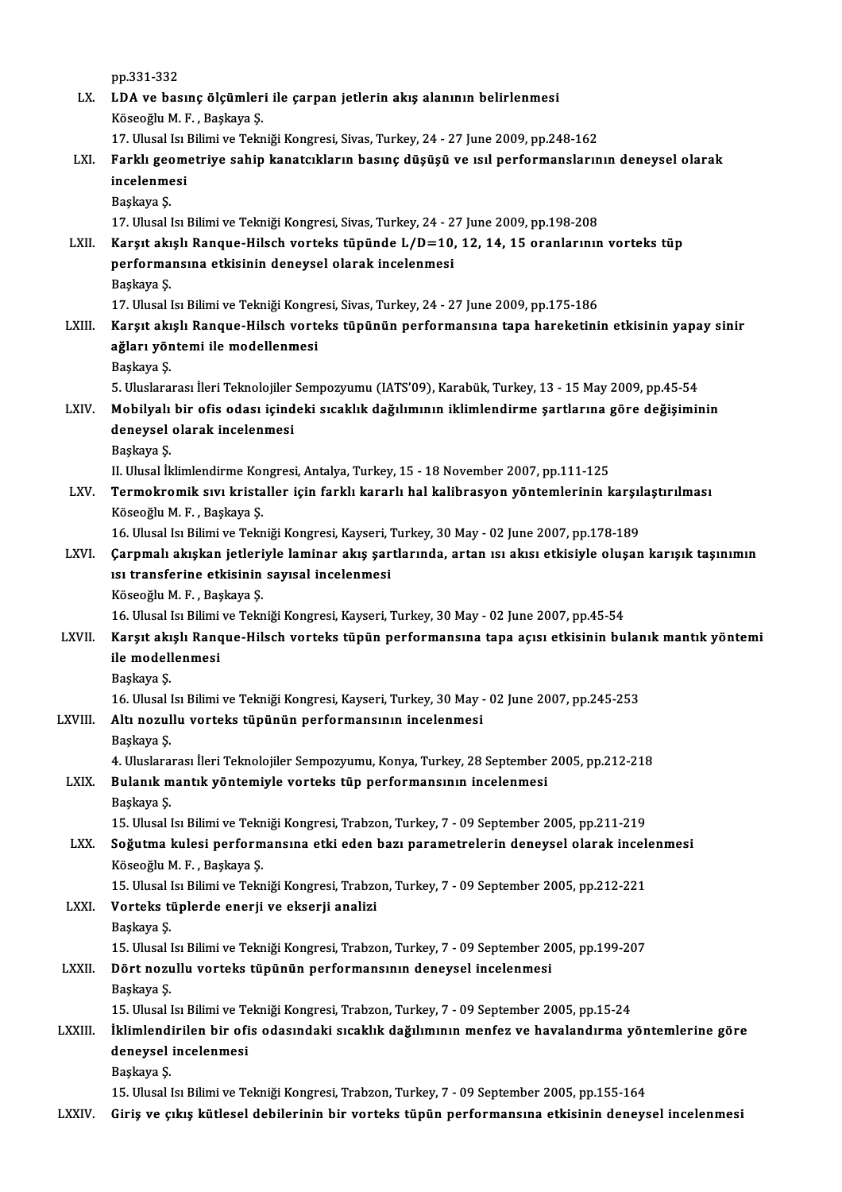pp.331-332

pp.331-332<br>LX. LDA ve basınç ölçümleri ile çarpan jetlerin akış alanının belirlenmesi<br>Kösesğlu M.E. Baskava S pp.331-332<br><mark>LDA ve basınç ölçümler</mark><br>Köseoğlu M. F. , Başkaya Ş.<br>17. Illusal Ja Bilimi ve Telm LDA ve basınç ölçümleri ile çarpan jetlerin akış alanının belirlenmesi<br>Köseoğlu M. F., Başkaya Ş.<br>17. Ulusal Isı Bilimi ve Tekniği Kongresi, Sivas, Turkey, 24 - 27 June 2009, pp.248-162<br>Farklı geometriye sahin kanatarkları

- Köseoğlu M. F. , Başkaya Ş.<br>17. Ulusal Isı Bilimi ve Tekniği Kongresi, Sivas, Turkey, 24 27 June 2009, pp.248-162<br>LXI. Farklı geometriye sahip kanatcıkların basınç düşüşü ve ısıl performanslarının deneysel olarak<br>inc 17. Ulusal Isi I<br>Farklı geom<br>incelenmesi<br><sup>Poskovo S</sup> Farklı geo<br>incelenme<br>Başkaya Ş.<br>17 Husel l incelenmesi<br>Başkaya Ş.<br>17. Ulusal Isı Bilimi ve Tekniği Kongresi, Sivas, Turkey, 24 - 27 June 2009, pp.198-208
	-

Başkaya Ş.<br>17. Ulusal Isı Bilimi ve Tekniği Kongresi, Sivas, Turkey, 24 - 27 June 2009, pp.198-208<br>LXII. Karşıt akışlı Ranque-Hilsch vorteks tüpünde L/D=10, 12, 14, 15 oranlarının vorteks tüp<br>norformansına atkisinin da 17. Ulusal Isı Bilimi ve Tekniği Kongresi, Sivas, Turkey, 24 - 2<br>Karşıt akışlı Ranque-Hilsch vorteks tüpünde L/D=10,<br>performansına etkisinin deneysel olarak incelenmesi<br>Peskava S Karşıt akı<br>performa<br>Başkaya Ş.<br>17 Husalı performansına etkisinin deneysel olarak incelenmesi<br>Başkaya Ş.<br>17. Ulusal Isı Bilimi ve Tekniği Kongresi, Sivas, Turkey, 24 - 27 June 2009, pp.175-186

LXIII. Karşıt akışlı Ranque-Hilsch vorteks tüpünün performansına tapa hareketinin etkisinin yapay sinir 17. Ulusal Isı Bilimi ve Tekniği Kongr<br>Karşıt akışlı Ranque-Hilsch vorte<br>ağları yöntemi ile modellenmesi<br>Baskava S Karşıt akı<br>ağları yör<br>Başkaya Ş.

5.Uluslararası İleriTeknolojiler Sempozyumu (IATS'09),Karabük,Turkey,13 -15May2009,pp.45-54

## Başkaya Ş.<br>5. Uluslararası İleri Teknolojiler Sempozyumu (IATS'09), Karabük, Turkey, 13 - 15 May 2009, pp.45-54<br>1. LXIV. Mobilyalı bir ofis odası içindeki sıcaklık dağılımının iklimlendirme şartlarına göre değişiminin<br> 5. Uluslararası İleri Teknolojiler<br>Mobilyalı bir ofis odası içind<br>deneysel olarak incelenmesi<br><sup>Boolmun S</sup> Mobilyalı<br>deneysel<br>Başkaya Ş.<br>H. Husel İl deneysel olarak incelenmesi<br>Başkaya Ş.<br>II. Ulusal İklimlendirme Kongresi, Antalya, Turkey, 15 - 18 November 2007, pp.111-125<br>Termelynemik suu kristellen isin farklı kanarlı bel kalibresyen yöntemlerinin k

Başkaya Ş.<br>II. Ulusal İklimlendirme Kongresi, Antalya, Turkey, 15 - 18 November 2007, pp.111-125<br>LXV. Termokromik sıvı kristaller için farklı kararlı hal kalibrasyon yöntemlerinin karşılaştırılması<br>Köseoğlu M. F. , Baş II. Ulusal İklimlendirme Kor<br>Termokromik sıvı krista<br>Köseoğlu M. F. , Başkaya Ş.<br>16 Hlusal Isı Bilimi ve Telm Termokromik sıvı kristaller için farklı kararlı hal kalibrasyon yöntemlerinin karşıl<br>Köseoğlu M. F. , Başkaya Ş.<br>16. Ulusal Isı Bilimi ve Tekniği Kongresi, Kayseri, Turkey, 30 May - 02 June 2007, pp.178-189<br>Carnmalı akıska

### Köseoğlu M. F. , Başkaya Ş.<br>16. Ulusal Isı Bilimi ve Tekniği Kongresi, Kayseri, Turkey, 30 May - 02 June 2007, pp.178-189<br>13. Carpmalı akışkan jetleriyle laminar akış şartlarında, artan ısı akısı etkisiyle oluşan karışık t 16. Ulusal Isı Bilimi ve Tekniği Kongresi, Kayseri, 7<br>Çarpmalı akışkan jetleriyle laminar akış şar<br>ısı transferine etkisinin sayısal incelenmesi<br><sup>Väsooğlu M. E. Boskava S</sup> Çarpmalı akışkan jetleri<br>ısı transferine etkisinin<br>Köseoğlu M.F., Başkaya Ş.<br>16 Hlucel ku Bilimi ve Telm 151 transferine etkisinin sayısal incelenmesi<br>Köseoğlu M. F. , Başkaya Ş.<br>16. Ulusal Isı Bilimi ve Tekniği Kongresi, Kayseri, Turkey, 30 May - 02 June 2007, pp.45-54

### LXVII. Karşıt akışlı Ranque-Hilsch vorteks tüpün performansına tapa açısı etkisinin bulanık mantık yöntemi 16. Ulusal Isı Bilimi<br>Karşıt akışlı Ranq<br>ile modellenmesi<br><sup>Boolrava S</sup> Karşıt akı<br>ile modell<br>Başkaya Ş.<br>16 Husell

Başkaya Ş.<br>16. Ulusal Isı Bilimi ve Tekniği Kongresi, Kayseri, Turkey, 30 May - 02 June 2007, pp.245-253

# Başkaya Ş.<br>16. Ulusal Isı Bilimi ve Tekniği Kongresi, Kayseri, Turkey, 30 May -<br>1. LXVIII. Altı nozullu vorteks tüpünün performansının incelenmesi

16. Ulusal l<br>**Altı nozul**<br>Başkaya Ş.<br>4. Uluslara

4.Uluslararası İleriTeknolojiler Sempozyumu,Konya,Turkey,28 September 2005,pp.212-218 Başkaya Ş.<br>4. Uluslararası İleri Teknolojiler Sempozyumu, Konya, Turkey, 28 September<br>LXIX. Bulanık mantık yöntemiyle vorteks tüp performansının incelenmesi<br>Baskaya S

# 4. Uluslara<br><mark>Bulanık m</mark><br>Başkaya Ş.<br>15. Ulusel l

Başkaya Ş.<br>15. Ulusal Isı Bilimi ve Tekniği Kongresi, Trabzon, Turkey, 7 - 09 September 2005, pp.211-219

## Başkaya Ş.<br>15. Ulusal Isı Bilimi ve Tekniği Kongresi, Trabzon, Turkey, 7 - 09 September 2005, pp.211-219<br>1931- LXX. Soğutma kulesi performansına etki eden bazı parametrelerin deneysel olarak incelenmesi<br>1933- Köseqğlu 15. Ulusal Isı Bilimi ve Tekr<br>S**oğutma kulesi perform**<br>Köseoğlu M. F. , Başkaya Ş.<br>15. Ulusal Isı Bilimi ve Tekr Soğutma kulesi performansına etki eden bazı parametrelerin deneysel olarak incele<br>Köseoğlu M. F. , Başkaya Ş.<br>15. Ulusal Isı Bilimi ve Tekniği Kongresi, Trabzon, Turkey, 7 - 09 September 2005, pp.212-221<br>Verteks türlerde e

## Köseoğlu M. F. , Başkaya Ş.<br>15. Ulusal Isı Bilimi ve Tekniği Kongresi, Trabzo<br>LXXI. Vorteks tüplerde enerji ve ekserji analizi 15. Ulusal I<br>**Vorteks ti**<br>Başkaya Ş.<br>15. Ulusal I

Başkaya Ş.<br>15. Ulusal Isı Bilimi ve Tekniği Kongresi, Trabzon, Turkey, 7 - 09 September 2005, pp.199-207

## Başkaya Ş.<br>15. Ulusal Isı Bilimi ve Tekniği Kongresi, Trabzon, Turkey, 7 - 09 September 20<br>LXXII. Dört nozullu vorteks tüpünün performansının deneysel incelenmesi 15. Ulusal I<br>**Dört nozu**<br>Başkaya Ş.<br>15. Ulusal I

Başkaya Ş.<br>15. Ulusal Isı Bilimi ve Tekniği Kongresi, Trabzon, Turkey, 7 - 09 September 2005, pp.15-24

### LXXIII. İklimlendirilen bir ofis odasındaki sıcaklık dağılımının menfez ve havalandırma yöntemlerine göre 15. Ulusal Isı Bilimi ve Te<br>İklimlendirilen bir ofi<br>deneysel incelenmesi<br><sup>Boolouo S</sup> İklimlendi<br>deneysel<br>Başkaya Ş.<br>15 Husel l

Başkaya Ş.<br>15. Ulusal Isı Bilimi ve Tekniği Kongresi, Trabzon, Turkey, 7 - 09 September 2005, pp.155-164

LXXIV. Giriş ve çıkış kütlesel debilerinin bir vorteks tüpün performansına etkisinin deneysel incelenmesi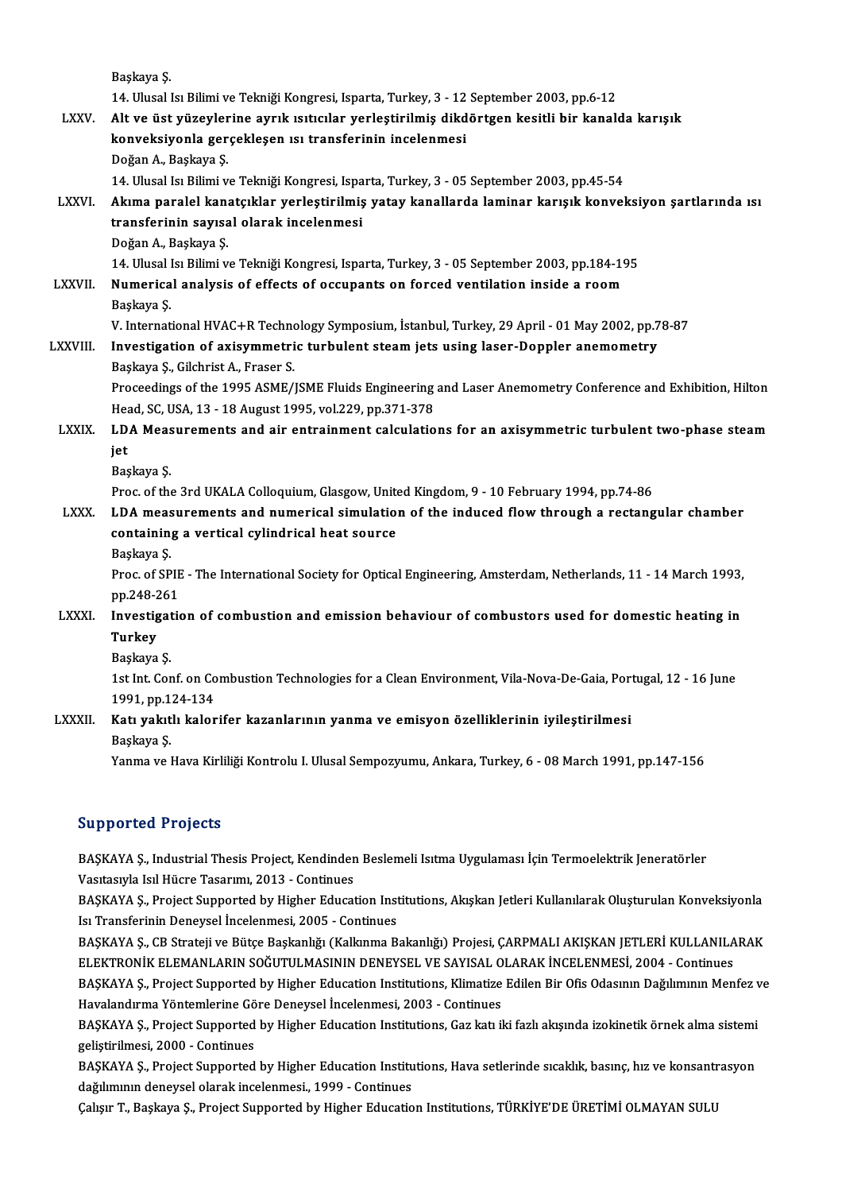|                | Başkaya Ş                                                                                                      |
|----------------|----------------------------------------------------------------------------------------------------------------|
|                | 14. Ulusal Isı Bilimi ve Tekniği Kongresi, Isparta, Turkey, 3 - 12 September 2003, pp.6-12                     |
| <b>LXXV</b>    | Alt ve üst yüzeylerine ayrık ısıtıcılar yerleştirilmiş dikdörtgen kesitli bir kanalda karışık                  |
|                | konveksiyonla gerçekleşen ısı transferinin incelenmesi                                                         |
|                | Doğan A., Başkaya Ş.                                                                                           |
|                | 14. Ulusal Isı Bilimi ve Tekniği Kongresi, Isparta, Turkey, 3 - 05 September 2003, pp.45-54                    |
| <b>LXXVI</b> . | Akıma paralel kanatçıklar yerleştirilmiş yatay kanallarda laminar karışık konveksiyon şartlarında ısı          |
|                | transferinin sayısal olarak incelenmesi                                                                        |
|                | Doğan A., Başkaya Ş.                                                                                           |
|                | 14. Ulusal Isı Bilimi ve Tekniği Kongresi, Isparta, Turkey, 3 - 05 September 2003, pp.184-195                  |
| <b>LXXVII</b>  | Numerical analysis of effects of occupants on forced ventilation inside a room                                 |
|                | Başkaya Ş                                                                                                      |
|                | V. International HVAC+R Technology Symposium, İstanbul, Turkey, 29 April - 01 May 2002, pp.78-87               |
| <b>LXXVIII</b> | Investigation of axisymmetric turbulent steam jets using laser-Doppler anemometry                              |
|                | Başkaya Ş., Gilchrist A., Fraser S.                                                                            |
|                | Proceedings of the 1995 ASME/JSME Fluids Engineering and Laser Anemometry Conference and Exhibition, Hilton    |
|                | Head, SC, USA, 13 - 18 August 1995, vol.229, pp.371-378                                                        |
| <b>LXXIX</b>   | LDA Measurements and air entrainment calculations for an axisymmetric turbulent two-phase steam                |
|                | jet                                                                                                            |
|                | Başkaya Ş                                                                                                      |
|                | Proc. of the 3rd UKALA Colloquium, Glasgow, United Kingdom, 9 - 10 February 1994, pp.74-86                     |
| <b>LXXX</b>    | LDA measurements and numerical simulation of the induced flow through a rectangular chamber                    |
|                | containing a vertical cylindrical heat source                                                                  |
|                | Başkaya Ş                                                                                                      |
|                | Proc. of SPIE - The International Society for Optical Engineering, Amsterdam, Netherlands, 11 - 14 March 1993, |
|                | pp 248-261                                                                                                     |
| <b>LXXXI</b>   | Investigation of combustion and emission behaviour of combustors used for domestic heating in                  |
|                | <b>Turkey</b>                                                                                                  |
|                | Başkaya Ş                                                                                                      |
|                | 1st Int. Conf. on Combustion Technologies for a Clean Environment, Vila-Nova-De-Gaia, Portugal, 12 - 16 June   |
|                | 1991, pp 124-134                                                                                               |
| <b>LXXXII.</b> | Katı yakıtlı kalorifer kazanlarının yanma ve emisyon özelliklerinin iyileştirilmesi                            |
|                | Başkaya Ş                                                                                                      |
|                | Yanma ve Hava Kirliliği Kontrolu I. Ulusal Sempozyumu, Ankara, Turkey, 6 - 08 March 1991, pp.147-156           |
|                |                                                                                                                |

#### Supported Projects

Supported Projects<br>BAŞKAYA Ş., Industrial Thesis Project, Kendinden Beslemeli Isıtma Uygulaması İçin Termoelektrik Jeneratörler<br>Vesthemla Jal Hüsre Teserumı 2013 - Centinues Uapput Carrygode<br>BAŞKAYA Ş., Industrial Thesis Project, Kendinden<br>Vasıtasıyla Isıl Hücre Tasarımı, 2013 - Continues<br>BASKAYA S. Breject Sunnerted by Higher Educat BAŞKAYA Ş., Industrial Thesis Project, Kendinden Beslemeli Isıtma Uygulaması İçin Termoelektrik Jeneratörler<br>Vasıtasıyla Isıl Hücre Tasarımı, 2013 - Continues<br>BAŞKAYA Ş., Project Supported by Higher Education Institutions,

Vasıtasıyla Isıl Hücre Tasarımı, 2013 - Continues<br>BAŞKAYA Ş., Project Supported by Higher Education Institutions, Akışkan Jetleri Kullanılarak Oluşturulan Konveksiyonla<br>Isı Transferinin Deneysel İncelenmesi, 2005 - Continu BAŞKAYA Ş., Project Supported by Higher Education Institutions, Akışkan Jetleri Kullanılarak Oluşturulan Konveksiyonla<br>Isı Transferinin Deneysel İncelenmesi, 2005 - Continues<br>BAŞKAYA Ş., CB Strateji ve Bütçe Başkanlığı (Ka

Isı Transferinin Deneysel İncelenmesi, 2005 - Continues<br>BAŞKAYA Ş., CB Strateji ve Bütçe Başkanlığı (Kalkınma Bakanlığı) Projesi, ÇARPMALI AKIŞKAN JETLERİ KULLANILA<br>ELEKTRONİK ELEMANLARIN SOĞUTULMASININ DENEYSEL VE SAYISAL BAŞKAYA Ş., CB Strateji ve Bütçe Başkanlığı (Kalkınma Bakanlığı) Projesi, ÇARPMALI AKIŞKAN JETLERİ KULLANILARAK<br>ELEKTRONİK ELEMANLARIN SOĞUTULMASININ DENEYSEL VE SAYISAL OLARAK İNCELENMESİ, 2004 - Continues<br>BAŞKAYA Ş., Pro ELEKTRONİK ELEMANLARIN SOĞUTULMASININ DENEYSEL VE SAYISAL OLARAK İNCELENMESİ, 2004 - Continues<br>BAŞKAYA Ş., Project Supported by Higher Education Institutions, Klimatize Edilen Bir Ofis Odasının Dağılımının Menfez v<br>Havalan

BAŞKAYA Ş., Project Supported by Higher Education Institutions, Klimatize Edilen Bir Ofis Odasının Dağılımının Menfez v<br>Havalandırma Yöntemlerine Göre Deneysel İncelenmesi, 2003 - Continues<br>BAŞKAYA Ş., Project Supported by geliştirilmesi,2000 -Continues BAŞKAYA Ş., Project Supported by Higher Education Institutions, Gaz katı iki fazlı akışında izokinetik örnek alma sistemi<br>geliştirilmesi, 2000 - Continues<br>BAŞKAYA Ş., Project Supported by Higher Education Institutions, Hav

geliştirilmesi, 2000 - Continues<br>BAŞKAYA Ş., Project Supported by Higher Education Institu<br>dağılımının deneysel olarak incelenmesi., 1999 - Continues<br>Colare T. Baskaya S., Project Supported by Higher Educatio BAŞKAYA Ş., Project Supported by Higher Education Institutions, Hava setlerinde sıcaklık, basınç, hız ve konsantr<br>dağılımının deneysel olarak incelenmesi., 1999 - Continues<br>Çalışır T., Başkaya Ş., Project Supported by High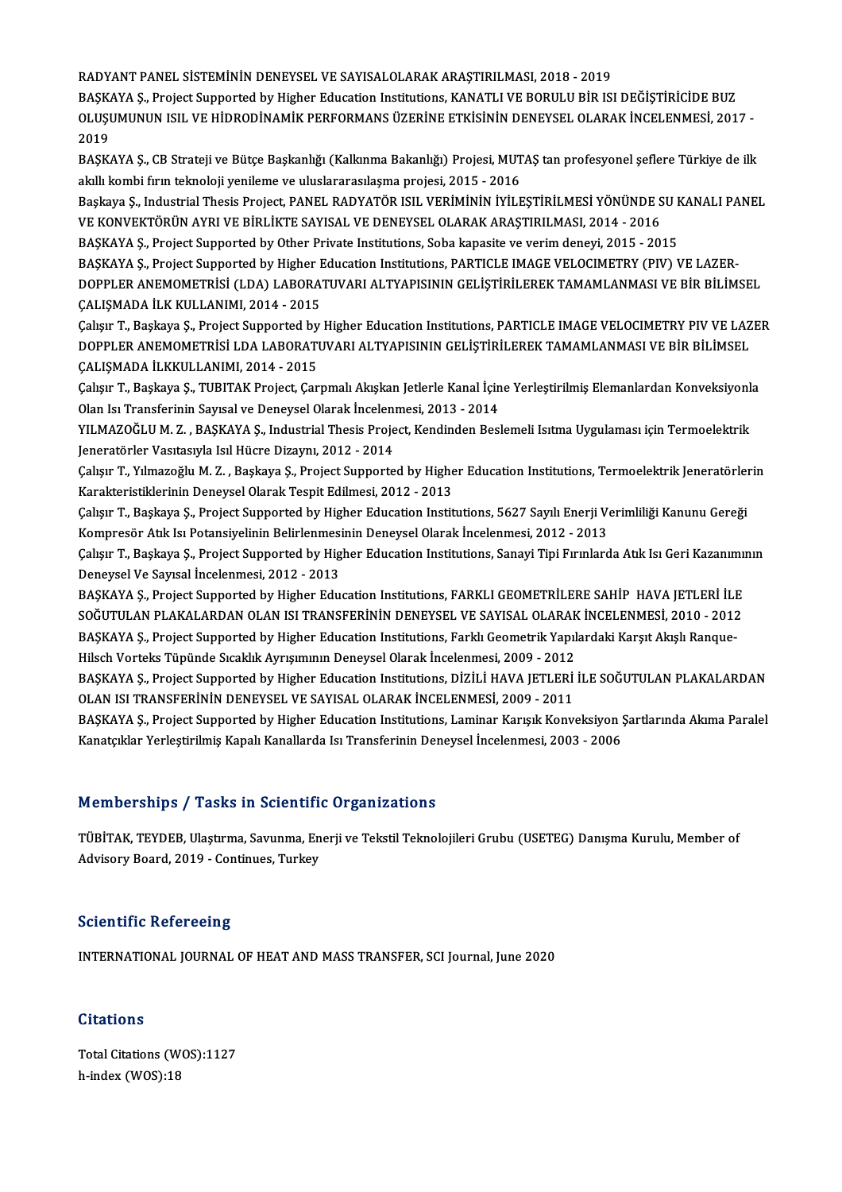RADYANTPANEL SİSTEMİNİNDENEYSELVESAYISALOLARAKARAŞTIRILMASI,2018 -2019

RADYANT PANEL SİSTEMİNİN DENEYSEL VE SAYISALOLARAK ARAŞTIRILMASI, 2018 - 2019<br>BAŞKAYA Ş., Project Supported by Higher Education Institutions, KANATLI VE BORULU BİR ISI DEĞİŞTİRİCİDE BUZ<br>OLUSUMUNUN ISU, VE HİDRODİNAMİZ RERE OLUŞUMUNUN ISIL VE HİDRODİNAMİK PERFORMANS ÜZERİNE ETKİSİNİN DENEYSEL OLARAK İNCELENMESİ, 2017 -<br>2019 **BAŞKA**<br>OLUŞI<br>2019 OLUŞUMUNUN ISIL VE HİDRODİNAMİK PERFORMANS ÜZERİNE ETKİSİNİN DENEYSEL OLARAK İNCELENMESİ, 2017 -<br>2019<br>BAŞKAYA Ş., CB Strateji ve Bütçe Başkanlığı (Kalkınma Bakanlığı) Projesi, MUTAŞ tan profesyonel şeflere Türkiye de ilk<br>a

2019<br>BAŞKAYA Ş., CB Strateji ve Bütçe Başkanlığı (Kalkınma Bakanlığı) Projesi, MUT<br>akıllı kombi fırın teknoloji yenileme ve uluslararasılaşma projesi, 2015 - 2016<br>Baskava S. Industrial Thesis Project, BANEL BADYATÖR ISU, V BAŞKAYA Ş., CB Strateji ve Bütçe Başkanlığı (Kalkınma Bakanlığı) Projesi, MUTAŞ tan profesyonel şeflere Türkiye de ilk<br>akıllı kombi fırın teknoloji yenileme ve uluslararasılaşma projesi, 2015 - 2016<br>Başkaya Ş., Industrial

akıllı kombi fırın teknoloji yenileme ve uluslararasılaşma projesi, 2015 - 2016<br>Başkaya Ş., Industrial Thesis Project, PANEL RADYATÖR ISIL VERİMİNİN İYİLEŞTİRİLMESİ YÖNÜNDE S<br>VE KONVEKTÖRÜN AYRI VE BİRLİKTE SAYISAL VE DENE Başkaya Ş., Industrial Thesis Project, PANEL RADYATÖR ISIL VERİMİNİN İYİLEŞTİRİLMESİ YÖNÜNDE SU F<br>VE KONVEKTÖRÜN AYRI VE BİRLİKTE SAYISAL VE DENEYSEL OLARAK ARAŞTIRILMASI, 2014 - 2016<br>BAŞKAYA Ş., Project Supported by Other

VE KONVEKTÖRÜN AYRI VE BİRLİKTE SAYISAL VE DENEYSEL OLARAK ARAŞTIRILMASI, 2014 - 2016<br>BAŞKAYA Ş., Project Supported by Other Private Institutions, Soba kapasite ve verim deneyi, 2015 - 2015<br>BAŞKAYA Ş., Project Supported by

BAŞKAYA Ş., Project Supported by Other Private Institutions, Soba kapasite ve verim deneyi, 2015 - 2015<br>BAŞKAYA Ş., Project Supported by Higher Education Institutions, PARTICLE IMAGE VELOCIMETRY (PIV) VE LAZER-<br>DOPPLER ANE BAŞKAYA Ş., Project Supported by Higher I<br>DOPPLER ANEMOMETRİSİ (LDA) LABORA<br>ÇALIŞMADA İLK KULLANIMI, 2014 - 2015<br>Caları T. Baskaya S. Brajast Supported by DOPPLER ANEMOMETRISI (LDA) LABORATUVARI ALTYAPISININ GELIŞTIRILEREK TAMAMLANMASI VE BIR BILIMSEL<br>ÇALIŞMADA İLK KULLANIMI, 2014 - 2015<br>Çalışır T., Başkaya Ş., Project Supported by Higher Education Institutions, PARTICLE IMA

ÇALIŞMADA İLK KULLANIMI, 2014 - 2015<br>Çalışır T., Başkaya Ş., Project Supported by Higher Education Institutions, PARTICLE IMAGE VELOCIMETRY PIV VE LAZ<br>DOPPLER ANEMOMETRİSİ LDA LABORATUVARI ALTYAPISININ GELİŞTİRİLEREK TAMAM Çalışır T., Başkaya Ş., Project Supported by<br>DOPPLER ANEMOMETRİSİ LDA LABORATI<br>ÇALIŞMADA İLKKULLANIMI, 2014 - 2015<br>Çalısır T. Baskaya S. TUBITAK Project Car DOPPLER ANEMOMETRISİ LDA LABORATUVARI ALTYAPISININ GELİŞTİRİLEREK TAMAMLANMASI VE BİR BİLİMSEL<br>ÇALIŞMADA İLKKULLANIMI, 2014 - 2015<br>Çalışır T., Başkaya Ş., TUBITAK Project, Çarpmalı Akışkan Jetlerle Kanal İçine Yerleştirilm

ÇALIŞMADA İLKKULLANIMI, 2014 - 2015<br>Çalışır T., Başkaya Ş., TUBITAK Project, Çarpmalı Akışkan Jetlerle Kanal İçin<br>Olan Isı Transferinin Sayısal ve Deneysel Olarak İncelenmesi, 2013 - 2014<br>VII MAZOČLUM Z., BASKAYA S., Indus Çalışır T., Başkaya Ş., TUBITAK Project, Çarpmalı Akışkan Jetlerle Kanal İçine Yerleştirilmiş Elemanlardan Konveksiyonl<br>Olan Isı Transferinin Sayısal ve Deneysel Olarak İncelenmesi, 2013 - 2014<br>YILMAZOĞLU M. Z. , BAŞKAYA Ş

Olan Isı Transferinin Sayısal ve Deneysel Olarak İncelenmesi, 2013 - 2014<br>YILMAZOĞLU M. Z. , BAŞKAYA Ş., Industrial Thesis Project, Kendinden Beslemeli Isıtma Uygulaması için Termoelektrik<br>Jeneratörler Vasıtasıyla Isıl Hüc YILMAZOĞLU M. Z. , BAŞKAYA Ş., Industrial Thesis Project, Kendinden Beslemeli Isıtma Uygulaması için Termoelektrik<br>Jeneratörler Vasıtasıyla Isıl Hücre Dizaynı, 2012 - 2014<br>Çalışır T., Yılmazoğlu M. Z. , Başkaya Ş., Project

Jeneratörler Vasıtasıyla Isıl Hücre Dizaynı, 2012 - 2014<br>Çalışır T., Yılmazoğlu M. Z. , Başkaya Ş., Project Supported by Highe<br>Karakteristiklerinin Deneysel Olarak Tespit Edilmesi, 2012 - 2013<br>Calısır T. Baskaya S. Project Çalışır T., Yılmazoğlu M. Z. , Başkaya Ş., Project Supported by Higher Education Institutions, Termoelektrik Jeneratörler<br>Karakteristiklerinin Deneysel Olarak Tespit Edilmesi, 2012 - 2013<br>Çalışır T., Başkaya Ş., Project Su

Karakteristiklerinin Deneysel Olarak Tespit Edilmesi, 2012 - 2013<br>Çalışır T., Başkaya Ş., Project Supported by Higher Education Institutions, 5627 Sayılı Enerji V.<br>Kompresör Atık Isı Potansiyelinin Belirlenmesinin Deneysel Çalışır T., Başkaya Ş., Project Supported by Higher Education Institutions, 5627 Sayılı Enerji Verimliliği Kanunu Gereği<br>Kompresör Atık Isı Potansiyelinin Belirlenmesinin Deneysel Olarak İncelenmesi, 2012 - 2013<br>Çalışır T.

Kompresör Atık Isı Potansiyelinin Belirlenmesi<br>Çalışır T., Başkaya Ş., Project Supported by Hig<br>Deneysel Ve Sayısal İncelenmesi, 2012 - 2013<br>BASKAVA S., Project Supported by Higbor Edu Çalışır T., Başkaya Ş., Project Supported by Higher Education Institutions, Sanayi Tipi Fırınlarda Atık Isı Geri Kazanımı<br>Deneysel Ve Sayısal İncelenmesi, 2012 - 2013<br>BAŞKAYA Ş., Project Supported by Higher Education Insti

Deneysel Ve Sayısal İncelenmesi, 2012 - 2013<br>BAŞKAYA Ş., Project Supported by Higher Education Institutions, FARKLI GEOMETRİLERE SAHİP HAVA JETLERİ İLE<br>SOĞUTULAN PLAKALARDAN OLAN ISI TRANSFERİNİN DENEYSEL VE SAYISAL OLARA BAŞKAYA Ş., Project Supported by Higher Education Institutions, FARKLI GEOMETRİLERE SAHİP HAVA JETLERİ İLI<br>SOĞUTULAN PLAKALARDAN OLAN ISI TRANSFERİNİN DENEYSEL VE SAYISAL OLARAK İNCELENMESİ, 2010 - 2012<br>BAŞKAYA Ş., Projec SOĞUTULAN PLAKALARDAN OLAN ISI TRANSFERİNİN DENEYSEL VE SAYISAL OLARAK<br>BAŞKAYA Ş., Project Supported by Higher Education Institutions, Farklı Geometrik Yapıl<br>Hilsch Vorteks Tüpünde Sıcaklık Ayrışımının Deneysel Olarak İnce

BAŞKAYA Ş., Project Supported by Higher Education Institutions, Farklı Geometrik Yapılardaki Karşıt Akışlı Ranque-<br>Hilsch Vorteks Tüpünde Sıcaklık Ayrışımının Deneysel Olarak İncelenmesi, 2009 - 2012<br>BAŞKAYA Ş., Project Su Hilsch Vorteks Tüpünde Sıcaklık Ayrışımının Deneysel Olarak İncelenmesi, 2009 - 2012<br>BAŞKAYA Ş., Project Supported by Higher Education Institutions, DİZİLİ HAVA JETLERİ<br>OLAN ISI TRANSFERİNİN DENEYSEL VE SAYISAL OLARAK İNCE BAŞKAYA Ş., Project Supported by Higher Education Institutions, DİZİLİ HAVA JETLERİ İLE SOĞUTULAN PLAKALARDAN<br>OLAN ISI TRANSFERİNİN DENEYSEL VE SAYISAL OLARAK İNCELENMESİ, 2009 - 2011<br>BAŞKAYA Ş., Project Supported by Highe

OLAN ISI TRANSFERİNİN DENEYSEL VE SAYISAL OLARAK İNCELENMESİ, 2009 - 2011<br>BAŞKAYA Ş., Project Supported by Higher Education Institutions, Laminar Karışık Konveksiyon Ş<br>Kanatçıklar Yerleştirilmiş Kapalı Kanallarda Isı Trans Kanatçıklar Yerleştirilmiş Kapalı Kanallarda Isı Transferinin Deneysel İncelenmesi, 2003 - 2006<br>Memberships / Tasks in Scientific Organizations

TÜBİTAK, TEYDEB, Ulaştırma, Savunma, Enerji ve Tekstil Teknolojileri Grubu (USETEG) Danışma Kurulu, Member of Advisory Board, 2019 - Continues, Turkey

#### **Scientific Refereeing**

INTERNATIONAL JOURNALOFHEATANDMASSTRANSFER,SCI Journal, June 2020

#### **Citations**

Total Citations (WOS):1127 h-index (WOS):18